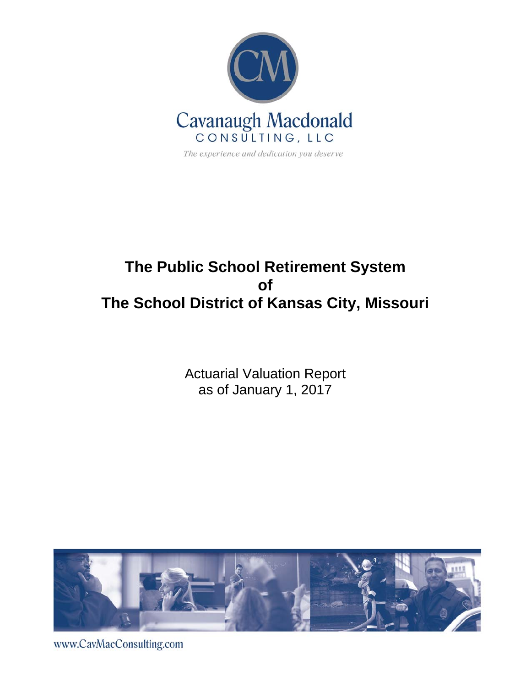

# **The Public School Retirement System of The School District of Kansas City, Missouri**

Actuarial Valuation Report as of January 1, 2017



www.CavMacConsulting.com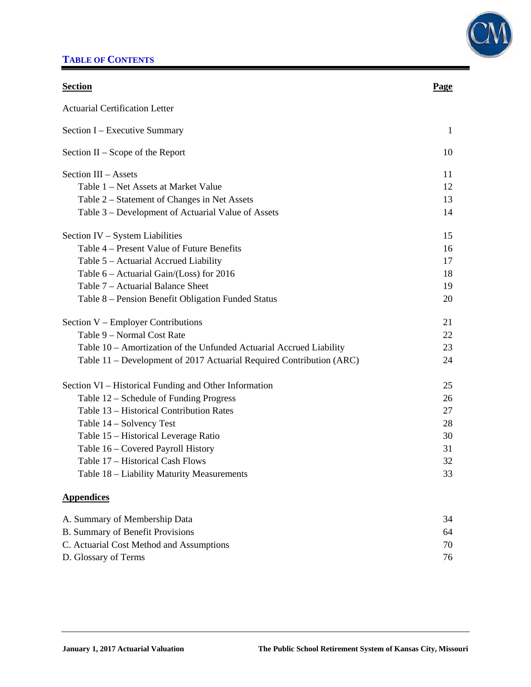### **TABLE OF CONTENTS**



| <b>Section</b>                                                       | Page         |
|----------------------------------------------------------------------|--------------|
| <b>Actuarial Certification Letter</b>                                |              |
| Section I - Executive Summary                                        | $\mathbf{1}$ |
| Section $II -$ Scope of the Report                                   | 10           |
| Section III - Assets                                                 | 11           |
| Table 1 - Net Assets at Market Value                                 | 12           |
| Table 2 – Statement of Changes in Net Assets                         | 13           |
| Table 3 – Development of Actuarial Value of Assets                   | 14           |
| Section IV – System Liabilities                                      | 15           |
| Table 4 – Present Value of Future Benefits                           | 16           |
| Table 5 - Actuarial Accrued Liability                                | 17           |
| Table 6 – Actuarial Gain/(Loss) for 2016                             | 18           |
| Table 7 – Actuarial Balance Sheet                                    | 19           |
| Table 8 – Pension Benefit Obligation Funded Status                   | 20           |
| Section V – Employer Contributions                                   | 21           |
| Table 9 - Normal Cost Rate                                           | 22           |
| Table 10 - Amortization of the Unfunded Actuarial Accrued Liability  | 23           |
| Table 11 – Development of 2017 Actuarial Required Contribution (ARC) | 24           |
| Section VI – Historical Funding and Other Information                | 25           |
| Table 12 – Schedule of Funding Progress                              | 26           |
| Table 13 - Historical Contribution Rates                             | 27           |
| Table 14 - Solvency Test                                             | 28           |
| Table 15 - Historical Leverage Ratio                                 | 30           |
| Table 16 - Covered Payroll History                                   | 31           |
| Table 17 - Historical Cash Flows                                     | 32           |
| Table 18 - Liability Maturity Measurements                           | 33           |
| <b>Appendices</b>                                                    |              |
| A. Summary of Membership Data                                        | 34           |
| D. Common of Denefit Descriptions                                    | $\epsilon$ A |

| <b>B. Summary of Benefit Provisions</b>  | 64 |
|------------------------------------------|----|
| C. Actuarial Cost Method and Assumptions |    |
| D. Glossary of Terms                     |    |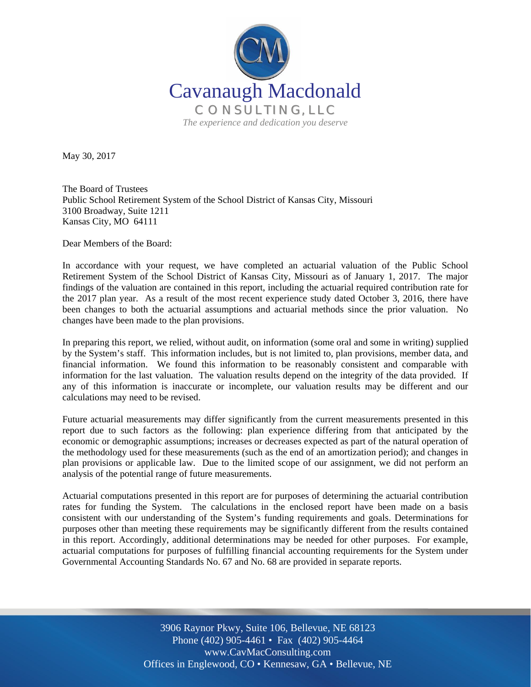

May 30, 2017

The Board of Trustees Public School Retirement System of the School District of Kansas City, Missouri 3100 Broadway, Suite 1211 Kansas City, MO 64111

Dear Members of the Board:

In accordance with your request, we have completed an actuarial valuation of the Public School Retirement System of the School District of Kansas City, Missouri as of January 1, 2017. The major findings of the valuation are contained in this report, including the actuarial required contribution rate for the 2017 plan year. As a result of the most recent experience study dated October 3, 2016, there have been changes to both the actuarial assumptions and actuarial methods since the prior valuation. No changes have been made to the plan provisions.

In preparing this report, we relied, without audit, on information (some oral and some in writing) supplied by the System's staff. This information includes, but is not limited to, plan provisions, member data, and financial information. We found this information to be reasonably consistent and comparable with information for the last valuation. The valuation results depend on the integrity of the data provided. If any of this information is inaccurate or incomplete, our valuation results may be different and our calculations may need to be revised.

Future actuarial measurements may differ significantly from the current measurements presented in this report due to such factors as the following: plan experience differing from that anticipated by the economic or demographic assumptions; increases or decreases expected as part of the natural operation of the methodology used for these measurements (such as the end of an amortization period); and changes in plan provisions or applicable law. Due to the limited scope of our assignment, we did not perform an analysis of the potential range of future measurements.

Actuarial computations presented in this report are for purposes of determining the actuarial contribution rates for funding the System. The calculations in the enclosed report have been made on a basis consistent with our understanding of the System's funding requirements and goals. Determinations for purposes other than meeting these requirements may be significantly different from the results contained in this report. Accordingly, additional determinations may be needed for other purposes. For example, actuarial computations for purposes of fulfilling financial accounting requirements for the System under Governmental Accounting Standards No. 67 and No. 68 are provided in separate reports.

> Off Offices in Englewood, CO • Kennesaw, GA • Bellevue, NE 3906 Raynor Pkwy, Suite 106, Bellevue, NE 68123 Phone (402) 905-4461 • Fax (402) 905-4464 www.CavMacConsulting.com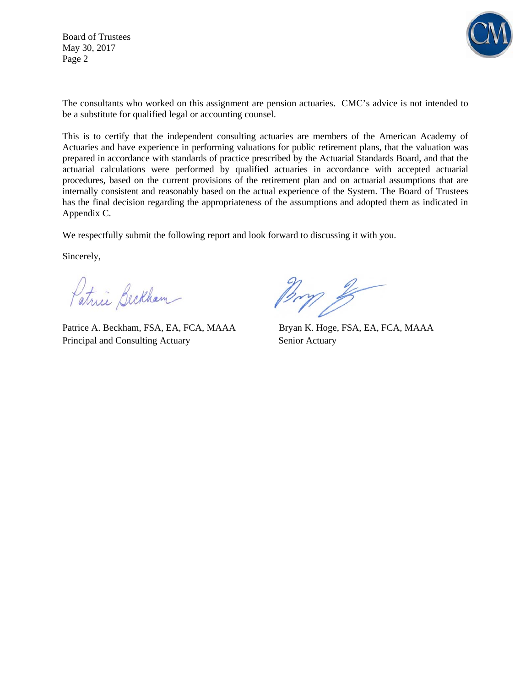Board of Trustees May 30, 2017 Page 2



The consultants who worked on this assignment are pension actuaries. CMC's advice is not intended to be a substitute for qualified legal or accounting counsel.

This is to certify that the independent consulting actuaries are members of the American Academy of Actuaries and have experience in performing valuations for public retirement plans, that the valuation was prepared in accordance with standards of practice prescribed by the Actuarial Standards Board, and that the actuarial calculations were performed by qualified actuaries in accordance with accepted actuarial procedures, based on the current provisions of the retirement plan and on actuarial assumptions that are internally consistent and reasonably based on the actual experience of the System. The Board of Trustees has the final decision regarding the appropriateness of the assumptions and adopted them as indicated in Appendix C.

We respectfully submit the following report and look forward to discussing it with you.

Sincerely,

Patrice Beckham

Patrice A. Beckham, FSA, EA, FCA, MAAA Bryan K. Hoge, FSA, EA, FCA, MAAA Principal and Consulting Actuary Senior Actuary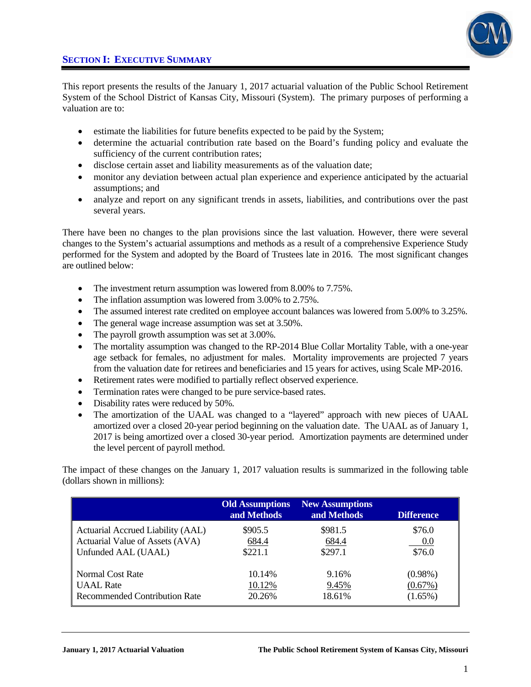



This report presents the results of the January 1, 2017 actuarial valuation of the Public School Retirement System of the School District of Kansas City, Missouri (System). The primary purposes of performing a valuation are to:

- estimate the liabilities for future benefits expected to be paid by the System;
- determine the actuarial contribution rate based on the Board's funding policy and evaluate the sufficiency of the current contribution rates;
- disclose certain asset and liability measurements as of the valuation date;
- monitor any deviation between actual plan experience and experience anticipated by the actuarial assumptions; and
- analyze and report on any significant trends in assets, liabilities, and contributions over the past several years.

There have been no changes to the plan provisions since the last valuation. However, there were several changes to the System's actuarial assumptions and methods as a result of a comprehensive Experience Study performed for the System and adopted by the Board of Trustees late in 2016. The most significant changes are outlined below:

- The investment return assumption was lowered from 8.00% to 7.75%.
- The inflation assumption was lowered from 3.00% to 2.75%.
- The assumed interest rate credited on employee account balances was lowered from 5.00% to 3.25%.
- The general wage increase assumption was set at 3.50%.
- The payroll growth assumption was set at 3.00%.
- The mortality assumption was changed to the RP-2014 Blue Collar Mortality Table, with a one-year age setback for females, no adjustment for males. Mortality improvements are projected 7 years from the valuation date for retirees and beneficiaries and 15 years for actives, using Scale MP-2016.
- Retirement rates were modified to partially reflect observed experience.
- Termination rates were changed to be pure service-based rates.
- Disability rates were reduced by 50%.
- The amortization of the UAAL was changed to a "layered" approach with new pieces of UAAL amortized over a closed 20-year period beginning on the valuation date. The UAAL as of January 1, 2017 is being amortized over a closed 30-year period. Amortization payments are determined under the level percent of payroll method.

The impact of these changes on the January 1, 2017 valuation results is summarized in the following table (dollars shown in millions):

|                                      | <b>Old Assumptions</b><br>and Methods | <b>New Assumptions</b><br>and Methods | <b>Difference</b> |
|--------------------------------------|---------------------------------------|---------------------------------------|-------------------|
| Actuarial Accrued Liability (AAL)    | \$905.5                               | \$981.5                               | \$76.0            |
| Actuarial Value of Assets (AVA)      | 684.4                                 | 684.4                                 | 0.0               |
| Unfunded AAL (UAAL)                  | \$221.1                               | \$297.1                               | \$76.0            |
| Normal Cost Rate                     | 10.14%                                | 9.16%                                 | $(0.98\%)$        |
| <b>UAAL</b> Rate                     | 10.12%                                | 9.45%                                 | $(0.67\%)$        |
| <b>Recommended Contribution Rate</b> | 20.26%                                | 18.61%                                | $(1.65\%)$        |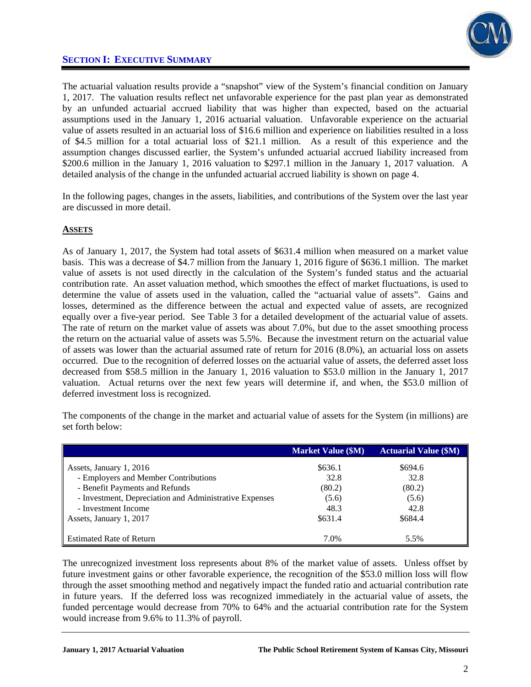

The actuarial valuation results provide a "snapshot" view of the System's financial condition on January 1, 2017. The valuation results reflect net unfavorable experience for the past plan year as demonstrated by an unfunded actuarial accrued liability that was higher than expected, based on the actuarial assumptions used in the January 1, 2016 actuarial valuation. Unfavorable experience on the actuarial value of assets resulted in an actuarial loss of \$16.6 million and experience on liabilities resulted in a loss of \$4.5 million for a total actuarial loss of \$21.1 million. As a result of this experience and the assumption changes discussed earlier, the System's unfunded actuarial accrued liability increased from \$200.6 million in the January 1, 2016 valuation to \$297.1 million in the January 1, 2017 valuation. A detailed analysis of the change in the unfunded actuarial accrued liability is shown on page 4.

In the following pages, changes in the assets, liabilities, and contributions of the System over the last year are discussed in more detail.

#### **ASSETS**

As of January 1, 2017, the System had total assets of \$631.4 million when measured on a market value basis. This was a decrease of \$4.7 million from the January 1, 2016 figure of \$636.1 million. The market value of assets is not used directly in the calculation of the System's funded status and the actuarial contribution rate. An asset valuation method, which smoothes the effect of market fluctuations, is used to determine the value of assets used in the valuation, called the "actuarial value of assets". Gains and losses, determined as the difference between the actual and expected value of assets, are recognized equally over a five-year period. See Table 3 for a detailed development of the actuarial value of assets. The rate of return on the market value of assets was about 7.0%, but due to the asset smoothing process the return on the actuarial value of assets was 5.5%. Because the investment return on the actuarial value of assets was lower than the actuarial assumed rate of return for 2016 (8.0%), an actuarial loss on assets occurred. Due to the recognition of deferred losses on the actuarial value of assets, the deferred asset loss decreased from \$58.5 million in the January 1, 2016 valuation to \$53.0 million in the January 1, 2017 valuation. Actual returns over the next few years will determine if, and when, the \$53.0 million of deferred investment loss is recognized.

The components of the change in the market and actuarial value of assets for the System (in millions) are set forth below:

|                                                        | <b>Market Value (\$M)</b> | <b>Actuarial Value (\$M)</b> |
|--------------------------------------------------------|---------------------------|------------------------------|
| Assets, January 1, 2016                                | \$636.1                   | \$694.6                      |
| - Employers and Member Contributions                   | 32.8                      | 32.8                         |
| - Benefit Payments and Refunds                         | (80.2)                    | (80.2)                       |
| - Investment, Depreciation and Administrative Expenses | (5.6)                     | (5.6)                        |
| - Investment Income                                    | 48.3                      | 42.8                         |
| Assets, January 1, 2017                                | \$631.4                   | \$684.4                      |
|                                                        |                           |                              |
| <b>Estimated Rate of Return</b>                        | 7.0%                      | 5.5%                         |

The unrecognized investment loss represents about 8% of the market value of assets. Unless offset by future investment gains or other favorable experience, the recognition of the \$53.0 million loss will flow through the asset smoothing method and negatively impact the funded ratio and actuarial contribution rate in future years. If the deferred loss was recognized immediately in the actuarial value of assets, the funded percentage would decrease from 70% to 64% and the actuarial contribution rate for the System would increase from 9.6% to 11.3% of payroll.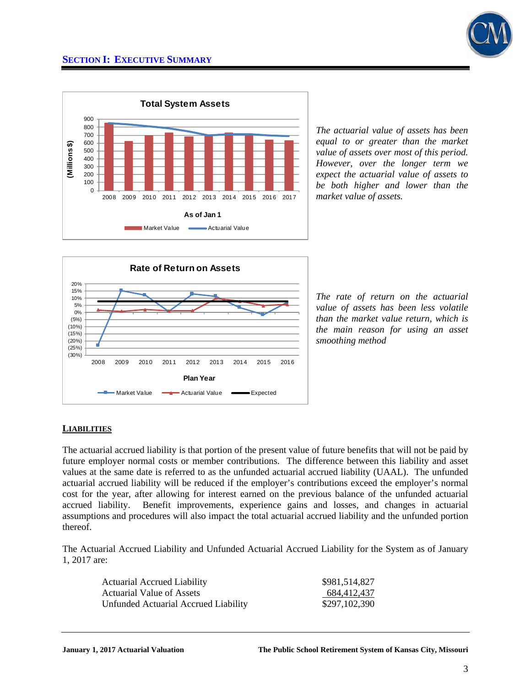



*The actuarial value of assets has been equal to or greater than the market value of assets over most of this period. However, over the longer term we expect the actuarial value of assets to be both higher and lower than the market value of assets.* 



*The rate of return on the actuarial value of assets has been less volatile than the market value return, which is the main reason for using an asset smoothing method*

#### **LIABILITIES**

The actuarial accrued liability is that portion of the present value of future benefits that will not be paid by future employer normal costs or member contributions. The difference between this liability and asset values at the same date is referred to as the unfunded actuarial accrued liability (UAAL). The unfunded actuarial accrued liability will be reduced if the employer's contributions exceed the employer's normal cost for the year, after allowing for interest earned on the previous balance of the unfunded actuarial accrued liability. Benefit improvements, experience gains and losses, and changes in actuarial assumptions and procedures will also impact the total actuarial accrued liability and the unfunded portion thereof.

The Actuarial Accrued Liability and Unfunded Actuarial Accrued Liability for the System as of January 1, 2017 are:

| <b>Actuarial Accrued Liability</b>   | \$981,514,827 |
|--------------------------------------|---------------|
| Actuarial Value of Assets            | 684,412,437   |
| Unfunded Actuarial Accrued Liability | \$297,102,390 |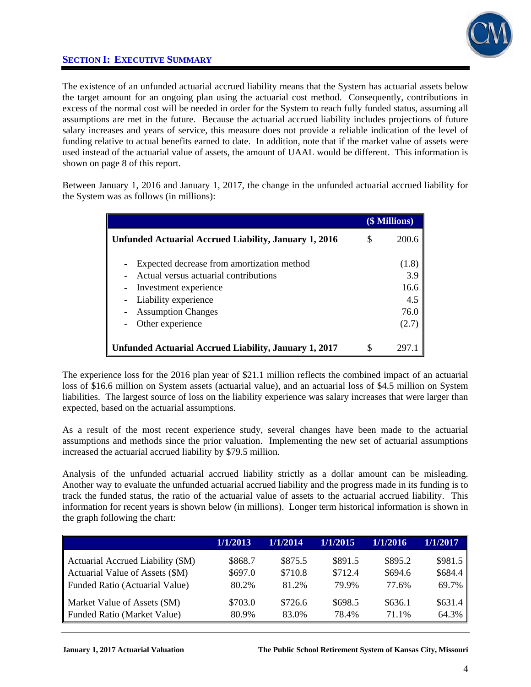

The existence of an unfunded actuarial accrued liability means that the System has actuarial assets below the target amount for an ongoing plan using the actuarial cost method. Consequently, contributions in excess of the normal cost will be needed in order for the System to reach fully funded status, assuming all assumptions are met in the future. Because the actuarial accrued liability includes projections of future salary increases and years of service, this measure does not provide a reliable indication of the level of funding relative to actual benefits earned to date. In addition, note that if the market value of assets were used instead of the actuarial value of assets, the amount of UAAL would be different. This information is shown on page 8 of this report.

Between January 1, 2016 and January 1, 2017, the change in the unfunded actuarial accrued liability for the System was as follows (in millions):

|                                                                                                                                                                                       |   | (\$ Millions)                                |
|---------------------------------------------------------------------------------------------------------------------------------------------------------------------------------------|---|----------------------------------------------|
| Unfunded Actuarial Accrued Liability, January 1, 2016                                                                                                                                 |   | 200.6                                        |
| Expected decrease from amortization method<br>Actual versus actuarial contributions<br>Investment experience<br>Liability experience<br><b>Assumption Changes</b><br>Other experience |   | (1.8)<br>3.9<br>16.6<br>4.5<br>76.0<br>(2.7) |
| <b>Unfunded Actuarial Accrued Liability, January 1, 2017</b>                                                                                                                          | S |                                              |

The experience loss for the 2016 plan year of \$21.1 million reflects the combined impact of an actuarial loss of \$16.6 million on System assets (actuarial value), and an actuarial loss of \$4.5 million on System liabilities. The largest source of loss on the liability experience was salary increases that were larger than expected, based on the actuarial assumptions.

As a result of the most recent experience study, several changes have been made to the actuarial assumptions and methods since the prior valuation. Implementing the new set of actuarial assumptions increased the actuarial accrued liability by \$79.5 million.

Analysis of the unfunded actuarial accrued liability strictly as a dollar amount can be misleading. Another way to evaluate the unfunded actuarial accrued liability and the progress made in its funding is to track the funded status, the ratio of the actuarial value of assets to the actuarial accrued liability. This information for recent years is shown below (in millions). Longer term historical information is shown in the graph following the chart:

|                                       | 1/1/2013 | 1/1/2014 | 1/1/2015 | 1/1/2016 | 1/1/2017 |
|---------------------------------------|----------|----------|----------|----------|----------|
| Actuarial Accrued Liability (\$M)     | \$868.7  | \$875.5  | \$891.5  | \$895.2  | \$981.5  |
| Actuarial Value of Assets (\$M)       | \$697.0  | \$710.8  | \$712.4  | \$694.6  | \$684.4  |
| <b>Funded Ratio (Actuarial Value)</b> | 80.2%    | 81.2%    | 79.9%    | 77.6%    | 69.7%    |
| Market Value of Assets (\$M)          | \$703.0  | \$726.6  | \$698.5  | \$636.1  | \$631.4  |
| <b>Funded Ratio (Market Value)</b>    | 80.9%    | 83.0%    | 78.4%    | 71.1%    | 64.3%    |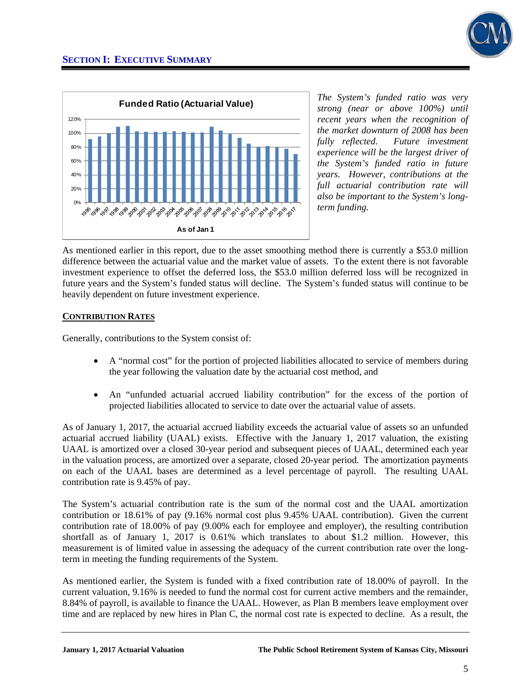

*The System's funded ratio was very strong (near or above 100%) until recent years when the recognition of the market downturn of 2008 has been fully reflected. Future investment experience will be the largest driver of the System's funded ratio in future years. However, contributions at the full actuarial contribution rate will also be important to the System's longterm funding.* 

As mentioned earlier in this report, due to the asset smoothing method there is currently a \$53.0 million difference between the actuarial value and the market value of assets. To the extent there is not favorable investment experience to offset the deferred loss, the \$53.0 million deferred loss will be recognized in future years and the System's funded status will decline. The System's funded status will continue to be heavily dependent on future investment experience.

#### **CONTRIBUTION RATES**

Generally, contributions to the System consist of:

- A "normal cost" for the portion of projected liabilities allocated to service of members during the year following the valuation date by the actuarial cost method, and
- An "unfunded actuarial accrued liability contribution" for the excess of the portion of projected liabilities allocated to service to date over the actuarial value of assets.

As of January 1, 2017, the actuarial accrued liability exceeds the actuarial value of assets so an unfunded actuarial accrued liability (UAAL) exists. Effective with the January 1, 2017 valuation, the existing UAAL is amortized over a closed 30-year period and subsequent pieces of UAAL, determined each year in the valuation process, are amortized over a separate, closed 20-year period. The amortization payments on each of the UAAL bases are determined as a level percentage of payroll. The resulting UAAL contribution rate is 9.45% of pay.

The System's actuarial contribution rate is the sum of the normal cost and the UAAL amortization contribution or 18.61% of pay (9.16% normal cost plus 9.45% UAAL contribution). Given the current contribution rate of 18.00% of pay (9.00% each for employee and employer), the resulting contribution shortfall as of January 1, 2017 is 0.61% which translates to about \$1.2 million. However, this measurement is of limited value in assessing the adequacy of the current contribution rate over the longterm in meeting the funding requirements of the System.

As mentioned earlier, the System is funded with a fixed contribution rate of 18.00% of payroll. In the current valuation, 9.16% is needed to fund the normal cost for current active members and the remainder, 8.84% of payroll, is available to finance the UAAL. However, as Plan B members leave employment over time and are replaced by new hires in Plan C, the normal cost rate is expected to decline. As a result, the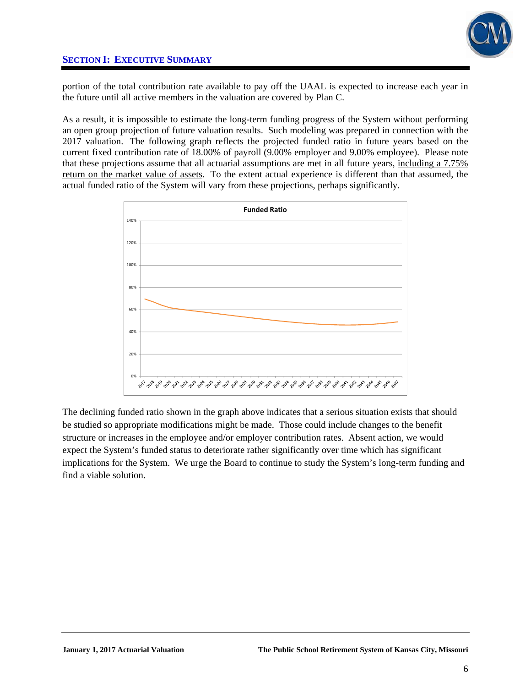

portion of the total contribution rate available to pay off the UAAL is expected to increase each year in the future until all active members in the valuation are covered by Plan C.

As a result, it is impossible to estimate the long-term funding progress of the System without performing an open group projection of future valuation results. Such modeling was prepared in connection with the 2017 valuation. The following graph reflects the projected funded ratio in future years based on the current fixed contribution rate of 18.00% of payroll (9.00% employer and 9.00% employee). Please note that these projections assume that all actuarial assumptions are met in all future years, including a 7.75% return on the market value of assets. To the extent actual experience is different than that assumed, the actual funded ratio of the System will vary from these projections, perhaps significantly.



The declining funded ratio shown in the graph above indicates that a serious situation exists that should be studied so appropriate modifications might be made. Those could include changes to the benefit structure or increases in the employee and/or employer contribution rates. Absent action, we would expect the System's funded status to deteriorate rather significantly over time which has significant implications for the System. We urge the Board to continue to study the System's long-term funding and find a viable solution.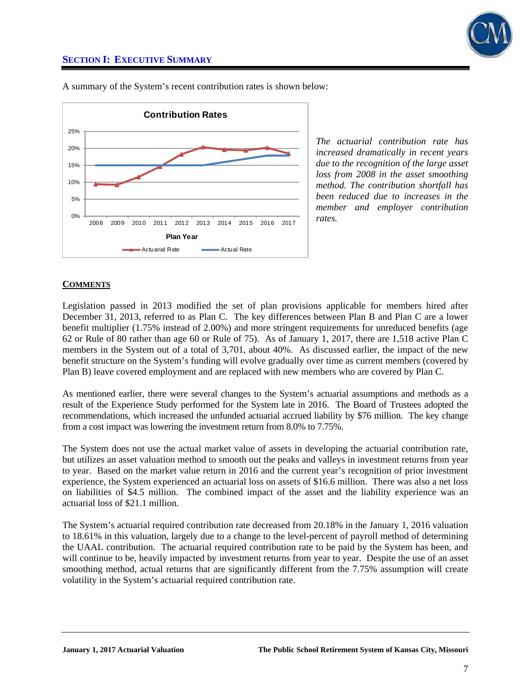



A summary of the System's recent contribution rates is shown below:

*The actuarial contribution rate has increased dramatically in recent years due to the recognition of the large asset loss from 2008 in the asset smoothing method. The contribution shortfall has been reduced due to increases in the member and employer contribution rates.* 

#### **COMMENTS**

Legislation passed in 2013 modified the set of plan provisions applicable for members hired after December 31, 2013, referred to as Plan C. The key differences between Plan B and Plan C are a lower benefit multiplier (1.75% instead of 2.00%) and more stringent requirements for unreduced benefits (age 62 or Rule of 80 rather than age 60 or Rule of 75). As of January 1, 2017, there are 1,518 active Plan C members in the System out of a total of 3,701, about 40%. As discussed earlier, the impact of the new benefit structure on the System's funding will evolve gradually over time as current members (covered by Plan B) leave covered employment and are replaced with new members who are covered by Plan C.

As mentioned earlier, there were several changes to the System's actuarial assumptions and methods as a result of the Experience Study performed for the System late in 2016. The Board of Trustees adopted the recommendations, which increased the unfunded actuarial accrued liability by \$76 million. The key change from a cost impact was lowering the investment return from 8.0% to 7.75%.

The System does not use the actual market value of assets in developing the actuarial contribution rate, but utilizes an asset valuation method to smooth out the peaks and valleys in investment returns from year to year. Based on the market value return in 2016 and the current year's recognition of prior investment experience, the System experienced an actuarial loss on assets of \$16.6 million. There was also a net loss on liabilities of \$4.5 million. The combined impact of the asset and the liability experience was an actuarial loss of \$21.1 million.

The System's actuarial required contribution rate decreased from 20.18% in the January 1, 2016 valuation to 18.61% in this valuation, largely due to a change to the level-percent of payroll method of determining the UAAL contribution. The actuarial required contribution rate to be paid by the System has been, and will continue to be, heavily impacted by investment returns from year to year. Despite the use of an asset smoothing method, actual returns that are significantly different from the 7.75% assumption will create volatility in the System's actuarial required contribution rate.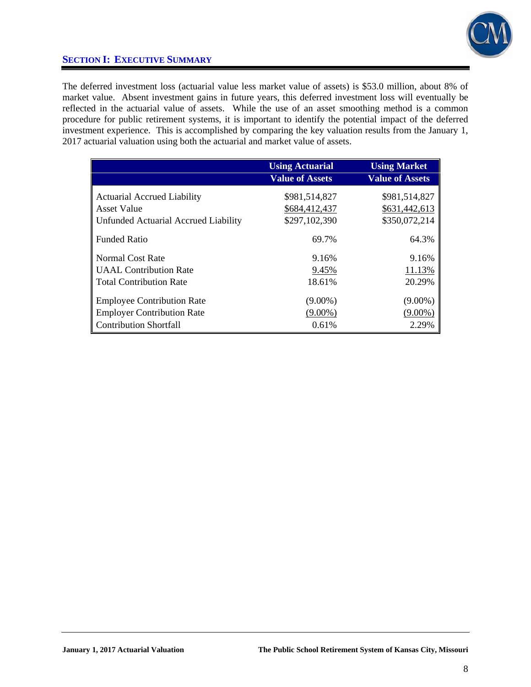

The deferred investment loss (actuarial value less market value of assets) is \$53.0 million, about 8% of market value. Absent investment gains in future years, this deferred investment loss will eventually be reflected in the actuarial value of assets. While the use of an asset smoothing method is a common procedure for public retirement systems, it is important to identify the potential impact of the deferred investment experience. This is accomplished by comparing the key valuation results from the January 1, 2017 actuarial valuation using both the actuarial and market value of assets.

|                                      | <b>Using Actuarial</b><br><b>Value of Assets</b> | <b>Using Market</b><br><b>Value of Assets</b> |
|--------------------------------------|--------------------------------------------------|-----------------------------------------------|
| <b>Actuarial Accrued Liability</b>   | \$981,514,827                                    | \$981,514,827                                 |
| <b>Asset Value</b>                   | \$684,412,437                                    | \$631,442,613                                 |
| Unfunded Actuarial Accrued Liability | \$297,102,390                                    | \$350,072,214                                 |
| <b>Funded Ratio</b>                  | 69.7%                                            | 64.3%                                         |
| Normal Cost Rate                     | 9.16%                                            | 9.16%                                         |
| <b>UAAL</b> Contribution Rate        | 9.45%                                            | 11.13%                                        |
| <b>Total Contribution Rate</b>       | 18.61%                                           | 20.29%                                        |
| <b>Employee Contribution Rate</b>    | $(9.00\%)$                                       | $(9.00\%)$                                    |
| <b>Employer Contribution Rate</b>    | $(9.00\%)$                                       | $(9.00\%)$                                    |
| <b>Contribution Shortfall</b>        | 0.61%                                            | 2.29%                                         |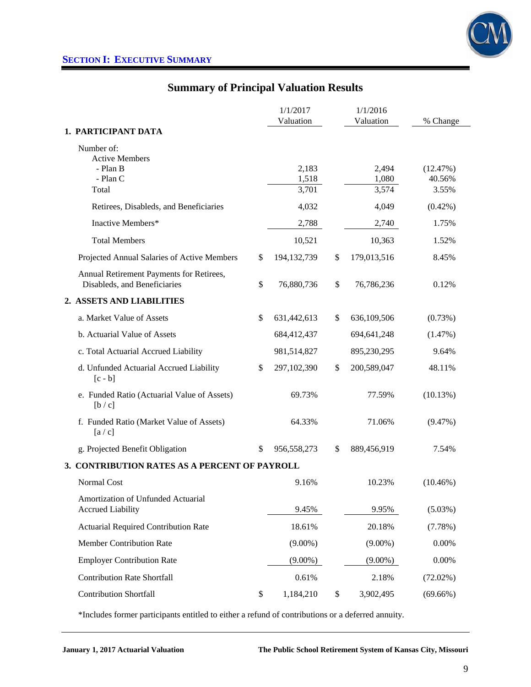

### **Summary of Principal Valuation Results**

|                                                                          | 1/1/2017          | 1/1/2016          |                    |
|--------------------------------------------------------------------------|-------------------|-------------------|--------------------|
|                                                                          | Valuation         | Valuation         | % Change           |
| 1. PARTICIPANT DATA                                                      |                   |                   |                    |
| Number of:                                                               |                   |                   |                    |
| <b>Active Members</b><br>- Plan B                                        |                   |                   |                    |
| - Plan C                                                                 | 2,183<br>1,518    | 2,494<br>1,080    | (12.47%)<br>40.56% |
| Total                                                                    | 3,701             | 3,574             | 3.55%              |
| Retirees, Disableds, and Beneficiaries                                   | 4,032             | 4,049             | $(0.42\%)$         |
| Inactive Members*                                                        | 2,788             | 2,740             | 1.75%              |
| <b>Total Members</b>                                                     | 10,521            | 10,363            | 1.52%              |
| Projected Annual Salaries of Active Members                              | \$<br>194,132,739 | \$<br>179,013,516 | 8.45%              |
| Annual Retirement Payments for Retirees,<br>Disableds, and Beneficiaries | \$<br>76,880,736  | \$<br>76,786,236  | 0.12%              |
| 2. ASSETS AND LIABILITIES                                                |                   |                   |                    |
| a. Market Value of Assets                                                | \$<br>631,442,613 | \$<br>636,109,506 | (0.73%)            |
| b. Actuarial Value of Assets                                             | 684,412,437       | 694,641,248       | (1.47%)            |
| c. Total Actuarial Accrued Liability                                     | 981,514,827       | 895,230,295       | 9.64%              |
| d. Unfunded Actuarial Accrued Liability<br>$[c - b]$                     | \$<br>297,102,390 | \$<br>200,589,047 | 48.11%             |
| e. Funded Ratio (Actuarial Value of Assets)<br>[b/c]                     | 69.73%            | 77.59%            | (10.13%)           |
| f. Funded Ratio (Market Value of Assets)<br>[a/c]                        | 64.33%            | 71.06%            | (9.47%)            |
| g. Projected Benefit Obligation                                          | \$<br>956,558,273 | \$<br>889,456,919 | 7.54%              |
| 3. CONTRIBUTION RATES AS A PERCENT OF PAYROLL                            |                   |                   |                    |
| <b>Normal Cost</b>                                                       | 9.16%             | 10.23%            | $(10.46\%)$        |
| Amortization of Unfunded Actuarial                                       |                   |                   |                    |
| <b>Accrued Liability</b>                                                 | 9.45%             | 9.95%             | $(5.03\%)$         |
| <b>Actuarial Required Contribution Rate</b>                              | 18.61%            | 20.18%            | (7.78%)            |
| Member Contribution Rate                                                 | $(9.00\%)$        | $(9.00\%)$        | 0.00%              |
| <b>Employer Contribution Rate</b>                                        | $(9.00\%)$        | $(9.00\%)$        | 0.00%              |
| <b>Contribution Rate Shortfall</b>                                       | 0.61%             | 2.18%             | $(72.02\%)$        |
| <b>Contribution Shortfall</b>                                            | \$<br>1,184,210   | \$<br>3,902,495   | $(69.66\%)$        |

\*Includes former participants entitled to either a refund of contributions or a deferred annuity.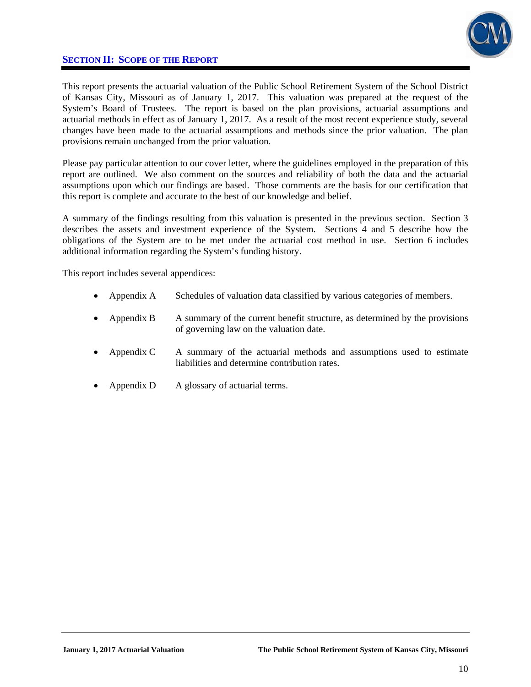

### **SECTION II: SCOPE OF THE REPORT**

This report presents the actuarial valuation of the Public School Retirement System of the School District of Kansas City, Missouri as of January 1, 2017. This valuation was prepared at the request of the System's Board of Trustees. The report is based on the plan provisions, actuarial assumptions and actuarial methods in effect as of January 1, 2017. As a result of the most recent experience study, several changes have been made to the actuarial assumptions and methods since the prior valuation. The plan provisions remain unchanged from the prior valuation.

Please pay particular attention to our cover letter, where the guidelines employed in the preparation of this report are outlined. We also comment on the sources and reliability of both the data and the actuarial assumptions upon which our findings are based. Those comments are the basis for our certification that this report is complete and accurate to the best of our knowledge and belief.

A summary of the findings resulting from this valuation is presented in the previous section. Section 3 describes the assets and investment experience of the System. Sections 4 and 5 describe how the obligations of the System are to be met under the actuarial cost method in use. Section 6 includes additional information regarding the System's funding history.

This report includes several appendices:

- Appendix A Schedules of valuation data classified by various categories of members.
- Appendix B A summary of the current benefit structure, as determined by the provisions of governing law on the valuation date.
- Appendix C A summary of the actuarial methods and assumptions used to estimate liabilities and determine contribution rates.
- Appendix D A glossary of actuarial terms.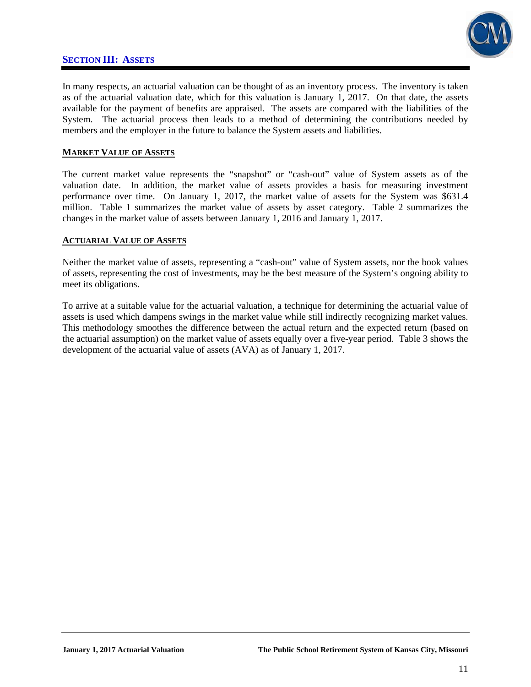### **SECTION III: ASSETS**



In many respects, an actuarial valuation can be thought of as an inventory process. The inventory is taken as of the actuarial valuation date, which for this valuation is January 1, 2017. On that date, the assets available for the payment of benefits are appraised. The assets are compared with the liabilities of the System. The actuarial process then leads to a method of determining the contributions needed by members and the employer in the future to balance the System assets and liabilities.

#### **MARKET VALUE OF ASSETS**

The current market value represents the "snapshot" or "cash-out" value of System assets as of the valuation date. In addition, the market value of assets provides a basis for measuring investment performance over time. On January 1, 2017, the market value of assets for the System was \$631.4 million. Table 1 summarizes the market value of assets by asset category. Table 2 summarizes the changes in the market value of assets between January 1, 2016 and January 1, 2017.

#### **ACTUARIAL VALUE OF ASSETS**

Neither the market value of assets, representing a "cash-out" value of System assets, nor the book values of assets, representing the cost of investments, may be the best measure of the System's ongoing ability to meet its obligations.

To arrive at a suitable value for the actuarial valuation, a technique for determining the actuarial value of assets is used which dampens swings in the market value while still indirectly recognizing market values. This methodology smoothes the difference between the actual return and the expected return (based on the actuarial assumption) on the market value of assets equally over a five-year period. Table 3 shows the development of the actuarial value of assets (AVA) as of January 1, 2017.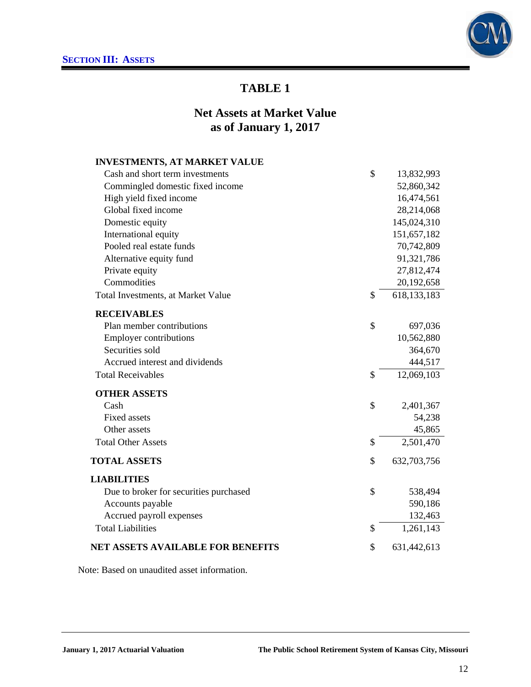

### **Net Assets at Market Value as of January 1, 2017**

| <b>INVESTMENTS, AT MARKET VALUE</b>      |                     |
|------------------------------------------|---------------------|
| Cash and short term investments          | \$<br>13,832,993    |
| Commingled domestic fixed income         | 52,860,342          |
| High yield fixed income                  | 16,474,561          |
| Global fixed income                      | 28,214,068          |
| Domestic equity                          | 145,024,310         |
| International equity                     | 151,657,182         |
| Pooled real estate funds                 | 70,742,809          |
| Alternative equity fund                  | 91,321,786          |
| Private equity                           | 27,812,474          |
| Commodities                              | 20,192,658          |
| Total Investments, at Market Value       | \$<br>618, 133, 183 |
| <b>RECEIVABLES</b>                       |                     |
| Plan member contributions                | \$<br>697,036       |
| <b>Employer contributions</b>            | 10,562,880          |
| Securities sold                          | 364,670             |
| Accrued interest and dividends           | 444,517             |
| <b>Total Receivables</b>                 | \$<br>12,069,103    |
| <b>OTHER ASSETS</b>                      |                     |
| Cash                                     | \$<br>2,401,367     |
| <b>Fixed assets</b>                      | 54,238              |
| Other assets                             | 45,865              |
| <b>Total Other Assets</b>                | \$<br>2,501,470     |
| <b>TOTAL ASSETS</b>                      | \$<br>632,703,756   |
| <b>LIABILITIES</b>                       |                     |
| Due to broker for securities purchased   | \$<br>538,494       |
| Accounts payable                         | 590,186             |
| Accrued payroll expenses                 | 132,463             |
| <b>Total Liabilities</b>                 | \$<br>1,261,143     |
| <b>NET ASSETS AVAILABLE FOR BENEFITS</b> | \$<br>631,442,613   |

Note: Based on unaudited asset information.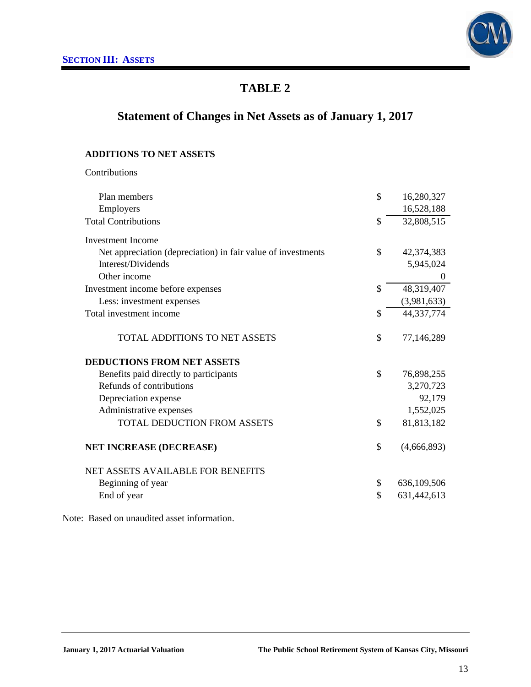

## **Statement of Changes in Net Assets as of January 1, 2017**

### **ADDITIONS TO NET ASSETS**

Contributions

| Plan members                                                 | \$            | 16,280,327     |
|--------------------------------------------------------------|---------------|----------------|
| Employers                                                    |               | 16,528,188     |
| <b>Total Contributions</b>                                   | \$            | 32,808,515     |
| <b>Investment</b> Income                                     |               |                |
| Net appreciation (depreciation) in fair value of investments | \$            | 42,374,383     |
| Interest/Dividends                                           |               | 5,945,024      |
| Other income                                                 |               | $\overline{0}$ |
| Investment income before expenses                            | \$            | 48,319,407     |
| Less: investment expenses                                    |               | (3,981,633)    |
| Total investment income                                      | \$            | 44,337,774     |
| <b>TOTAL ADDITIONS TO NET ASSETS</b>                         | \$            | 77,146,289     |
| <b>DEDUCTIONS FROM NET ASSETS</b>                            |               |                |
| Benefits paid directly to participants                       | $\mathcal{S}$ | 76,898,255     |
| Refunds of contributions                                     |               | 3,270,723      |
| Depreciation expense                                         |               | 92,179         |
| Administrative expenses                                      |               | 1,552,025      |
| TOTAL DEDUCTION FROM ASSETS                                  | \$            | 81,813,182     |
| <b>NET INCREASE (DECREASE)</b>                               | \$            | (4,666,893)    |
| <b>NET ASSETS AVAILABLE FOR BENEFITS</b>                     |               |                |
| Beginning of year                                            | \$            | 636,109,506    |
| End of year                                                  | \$            | 631,442,613    |
|                                                              |               |                |

Note: Based on unaudited asset information.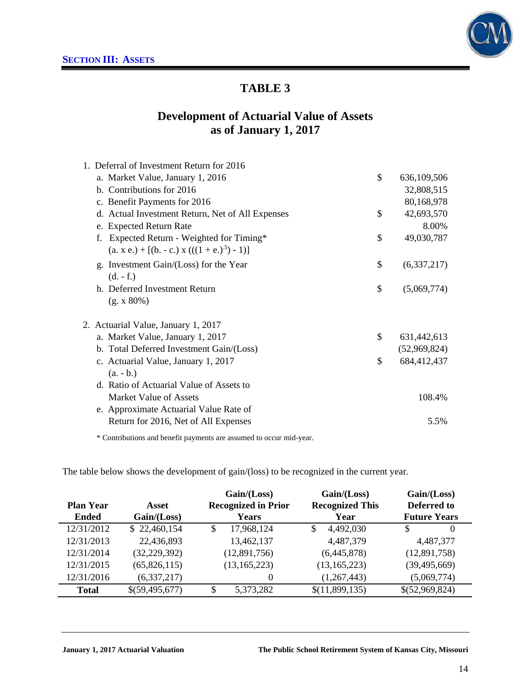

### **Development of Actuarial Value of Assets as of January 1, 2017**

| 1. Deferral of Investment Return for 2016        |                   |
|--------------------------------------------------|-------------------|
| a. Market Value, January 1, 2016                 | \$<br>636,109,506 |
| b. Contributions for 2016                        | 32,808,515        |
| c. Benefit Payments for 2016                     | 80,168,978        |
| d. Actual Investment Return, Net of All Expenses | \$<br>42,693,570  |
| e. Expected Return Rate                          | 8.00%             |
| Expected Return - Weighted for Timing*           | \$<br>49,030,787  |
| $(a. x e.) + [(b. - c.) x (((1 + e.)5) - 1)]$    |                   |
| g. Investment Gain/(Loss) for the Year           | \$<br>(6,337,217) |
| $(d. - f.)$                                      |                   |
| h. Deferred Investment Return                    | \$<br>(5,069,774) |
| (g. x 80%)                                       |                   |
| 2. Actuarial Value, January 1, 2017              |                   |
| a. Market Value, January 1, 2017                 | \$<br>631,442,613 |
| b. Total Deferred Investment Gain/(Loss)         | (52,969,824)      |
| c. Actuarial Value, January 1, 2017              | \$<br>684,412,437 |
| $(a. - b.)$                                      |                   |
| d. Ratio of Actuarial Value of Assets to         |                   |
| Market Value of Assets                           | 108.4%            |
| e. Approximate Actuarial Value Rate of           |                   |
| Return for 2016, Net of All Expenses             | 5.5%              |
|                                                  |                   |

\* Contributions and benefit payments are assumed to occur mid-year.

The table below shows the development of gain/(loss) to be recognized in the current year.

|                  |                |               | Gain / (Loss)              | Gain/(Loss)            | Gain/(Loss)         |
|------------------|----------------|---------------|----------------------------|------------------------|---------------------|
| <b>Plan Year</b> | Asset          |               | <b>Recognized in Prior</b> | <b>Recognized This</b> | Deferred to         |
| <b>Ended</b>     | Gain / (Loss)  |               | Years                      | Year                   | <b>Future Years</b> |
| 12/31/2012       | \$22,460,154   | <sup>\$</sup> | 17,968,124                 | \$<br>4,492,030        | $\Omega$            |
| 12/31/2013       | 22,436,893     |               | 13,462,137                 | 4,487,379              | 4,487,377           |
| 12/31/2014       | (32, 229, 392) |               | (12,891,756)               | (6,445,878)            | (12,891,758)        |
| 12/31/2015       | (65,826,115)   |               | (13, 165, 223)             | (13, 165, 223)         | (39, 495, 669)      |
| 12/31/2016       | (6, 337, 217)  |               | $\Omega$                   | (1,267,443)            | (5,069,774)         |
| <b>Total</b>     | \$(59,495,677) | \$            | 5,373,282                  | \$(11,899,135)         | \$(52,969,824)      |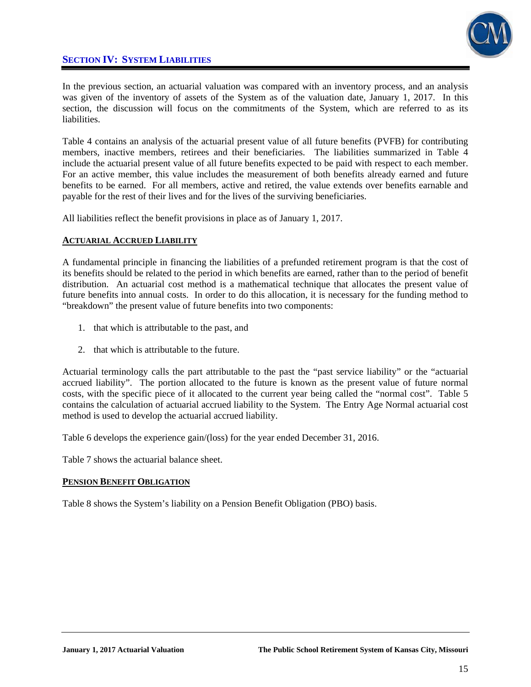### **SECTION IV: SYSTEM LIABILITIES**



In the previous section, an actuarial valuation was compared with an inventory process, and an analysis was given of the inventory of assets of the System as of the valuation date, January 1, 2017. In this section, the discussion will focus on the commitments of the System, which are referred to as its liabilities.

Table 4 contains an analysis of the actuarial present value of all future benefits (PVFB) for contributing members, inactive members, retirees and their beneficiaries. The liabilities summarized in Table 4 include the actuarial present value of all future benefits expected to be paid with respect to each member. For an active member, this value includes the measurement of both benefits already earned and future benefits to be earned. For all members, active and retired, the value extends over benefits earnable and payable for the rest of their lives and for the lives of the surviving beneficiaries.

All liabilities reflect the benefit provisions in place as of January 1, 2017.

#### **ACTUARIAL ACCRUED LIABILITY**

A fundamental principle in financing the liabilities of a prefunded retirement program is that the cost of its benefits should be related to the period in which benefits are earned, rather than to the period of benefit distribution. An actuarial cost method is a mathematical technique that allocates the present value of future benefits into annual costs. In order to do this allocation, it is necessary for the funding method to "breakdown" the present value of future benefits into two components:

- 1. that which is attributable to the past, and
- 2. that which is attributable to the future.

Actuarial terminology calls the part attributable to the past the "past service liability" or the "actuarial accrued liability". The portion allocated to the future is known as the present value of future normal costs, with the specific piece of it allocated to the current year being called the "normal cost". Table 5 contains the calculation of actuarial accrued liability to the System. The Entry Age Normal actuarial cost method is used to develop the actuarial accrued liability.

Table 6 develops the experience gain/(loss) for the year ended December 31, 2016.

Table 7 shows the actuarial balance sheet.

#### **PENSION BENEFIT OBLIGATION**

Table 8 shows the System's liability on a Pension Benefit Obligation (PBO) basis.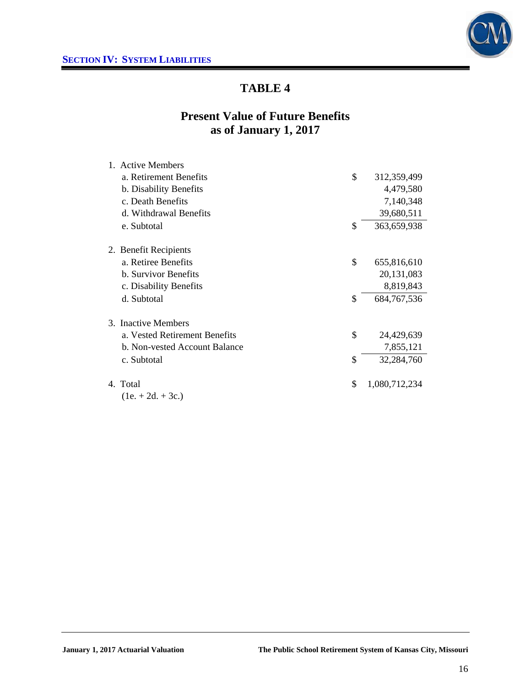

### **Present Value of Future Benefits as of January 1, 2017**

| 1. Active Members             |                     |
|-------------------------------|---------------------|
| a. Retirement Benefits        | \$<br>312,359,499   |
| b. Disability Benefits        | 4,479,580           |
| c. Death Benefits             | 7,140,348           |
| d. Withdrawal Benefits        | 39,680,511          |
| e. Subtotal                   | \$<br>363,659,938   |
| 2. Benefit Recipients         |                     |
| a. Retiree Benefits           | \$<br>655,816,610   |
| <b>b.</b> Survivor Benefits   | 20,131,083          |
| c. Disability Benefits        | 8,819,843           |
| d. Subtotal                   | \$<br>684, 767, 536 |
| 3. Inactive Members           |                     |
| a. Vested Retirement Benefits | \$<br>24,429,639    |
| b. Non-vested Account Balance | 7,855,121           |
| c. Subtotal                   | \$<br>32,284,760    |
| 4. Total                      | \$<br>1,080,712,234 |
| $(1e. + 2d. + 3c.)$           |                     |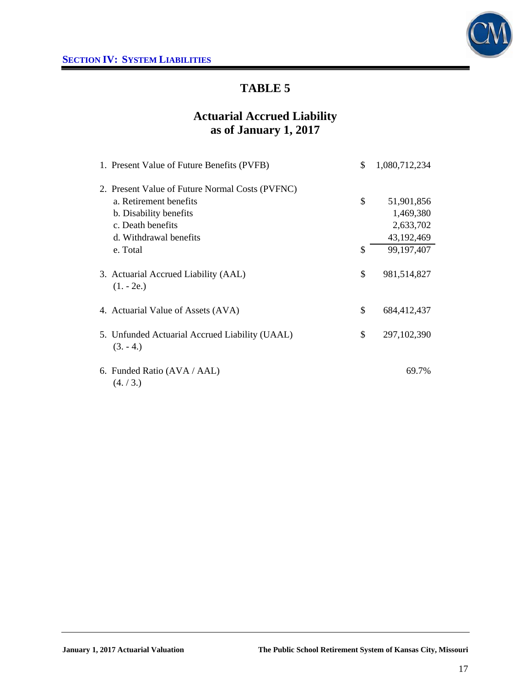

## **Actuarial Accrued Liability as of January 1, 2017**

| 1. Present Value of Future Benefits (PVFB)                   | \$<br>1,080,712,234 |
|--------------------------------------------------------------|---------------------|
| 2. Present Value of Future Normal Costs (PVFNC)              |                     |
| a. Retirement benefits                                       | \$<br>51,901,856    |
| b. Disability benefits                                       | 1,469,380           |
| c. Death benefits                                            | 2,633,702           |
| d. Withdrawal benefits                                       | 43,192,469          |
| e. Total                                                     | \$<br>99,197,407    |
| 3. Actuarial Accrued Liability (AAL)<br>$(1.-2e.)$           | \$<br>981,514,827   |
| 4. Actuarial Value of Assets (AVA)                           | \$<br>684,412,437   |
| 5. Unfunded Actuarial Accrued Liability (UAAL)<br>$(3. -4.)$ | \$<br>297, 102, 390 |
| 6. Funded Ratio (AVA / AAL)<br>(4./3.)                       | 69.7%               |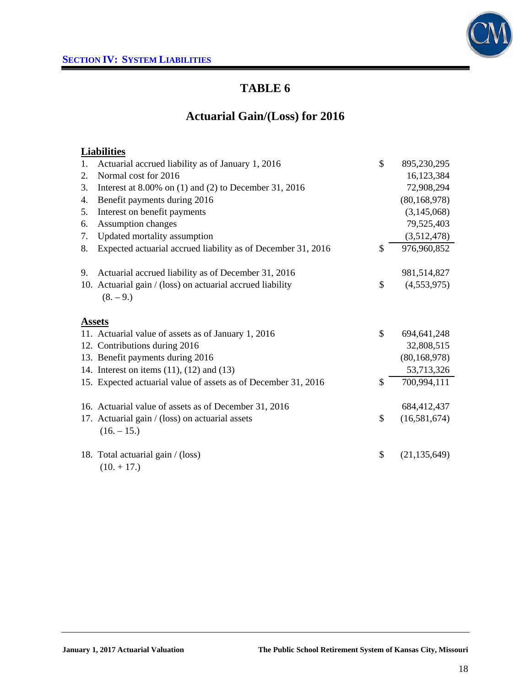

## **Actuarial Gain/(Loss) for 2016**

### **Liabilities**

| 1. | Actuarial accrued liability as of January 1, 2016              | \$<br>895,230,295    |
|----|----------------------------------------------------------------|----------------------|
| 2. | Normal cost for 2016                                           | 16,123,384           |
| 3. | Interest at $8.00\%$ on (1) and (2) to December 31, 2016       | 72,908,294           |
| 4. | Benefit payments during 2016                                   | (80, 168, 978)       |
| 5. | Interest on benefit payments                                   | (3,145,068)          |
| 6. | Assumption changes                                             | 79,525,403           |
| 7. | Updated mortality assumption                                   | (3,512,478)          |
| 8. | Expected actuarial accrued liability as of December 31, 2016   | \$<br>976,960,852    |
| 9. | Actuarial accrued liability as of December 31, 2016            | 981,514,827          |
|    | 10. Actuarial gain / (loss) on actuarial accrued liability     | \$<br>(4,553,975)    |
|    | $(8. - 9.)$                                                    |                      |
|    | <b>Assets</b>                                                  |                      |
|    | 11. Actuarial value of assets as of January 1, 2016            | \$<br>694, 641, 248  |
|    | 12. Contributions during 2016                                  | 32,808,515           |
|    | 13. Benefit payments during 2016                               | (80, 168, 978)       |
|    | 14. Interest on items $(11)$ , $(12)$ and $(13)$               | 53,713,326           |
|    | 15. Expected actuarial value of assets as of December 31, 2016 | \$<br>700,994,111    |
|    | 16. Actuarial value of assets as of December 31, 2016          | 684,412,437          |
|    | 17. Actuarial gain / (loss) on actuarial assets                | \$<br>(16,581,674)   |
|    | $(16. - 15.)$                                                  |                      |
|    | 18. Total actuarial gain / (loss)                              | \$<br>(21, 135, 649) |
|    | $(10. + 17.)$                                                  |                      |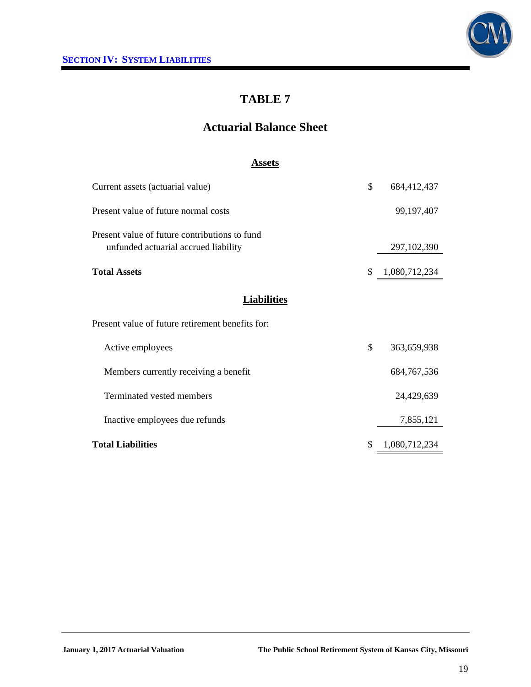

## **Actuarial Balance Sheet**

#### **Assets**

| Current assets (actuarial value)                                                      | \$ | 684,412,437   |
|---------------------------------------------------------------------------------------|----|---------------|
| Present value of future normal costs                                                  |    | 99, 197, 407  |
| Present value of future contributions to fund<br>unfunded actuarial accrued liability |    | 297, 102, 390 |
| <b>Total Assets</b>                                                                   | \$ | 1,080,712,234 |
| <b>Liabilities</b>                                                                    |    |               |
| Present value of future retirement benefits for:                                      |    |               |
| Active employees                                                                      | \$ | 363,659,938   |
| Members currently receiving a benefit                                                 |    | 684, 767, 536 |
| Terminated vested members                                                             |    | 24,429,639    |
| Inactive employees due refunds                                                        |    | 7,855,121     |
| <b>Total Liabilities</b>                                                              | S  | 1,080,712,234 |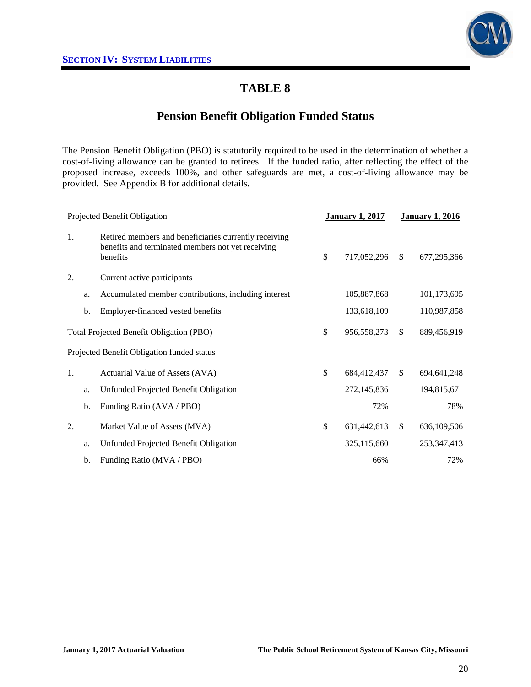

### **Pension Benefit Obligation Funded Status**

The Pension Benefit Obligation (PBO) is statutorily required to be used in the determination of whether a cost-of-living allowance can be granted to retirees. If the funded ratio, after reflecting the effect of the proposed increase, exceeds 100%, and other safeguards are met, a cost-of-living allowance may be provided. See Appendix B for additional details.

| Projected Benefit Obligation |    | <b>January 1, 2017</b>                                                                                                 |                   | <b>January 1, 2016</b> |               |
|------------------------------|----|------------------------------------------------------------------------------------------------------------------------|-------------------|------------------------|---------------|
| 1.                           |    | Retired members and beneficiaries currently receiving<br>benefits and terminated members not yet receiving<br>benefits | \$<br>717,052,296 | $\mathbb{S}$           | 677,295,366   |
| 2.                           |    | Current active participants                                                                                            |                   |                        |               |
|                              | a. | Accumulated member contributions, including interest                                                                   | 105,887,868       |                        | 101,173,695   |
|                              | b. | Employer-financed vested benefits                                                                                      | 133,618,109       |                        | 110,987,858   |
|                              |    | Total Projected Benefit Obligation (PBO)                                                                               | \$<br>956,558,273 | $\mathbb{S}$           | 889,456,919   |
|                              |    | Projected Benefit Obligation funded status                                                                             |                   |                        |               |
| 1.                           |    | Actuarial Value of Assets (AVA)                                                                                        | \$<br>684,412,437 | $\mathbb{S}$           | 694, 641, 248 |
|                              | a. | Unfunded Projected Benefit Obligation                                                                                  | 272,145,836       |                        | 194,815,671   |
|                              | b. | Funding Ratio (AVA / PBO)                                                                                              | 72%               |                        | 78%           |
| 2.                           |    | Market Value of Assets (MVA)                                                                                           | \$<br>631,442,613 | $\mathbb{S}$           | 636,109,506   |
|                              | a. | Unfunded Projected Benefit Obligation                                                                                  | 325,115,660       |                        | 253, 347, 413 |
|                              | b. | Funding Ratio (MVA / PBO)                                                                                              | 66%               |                        | 72%           |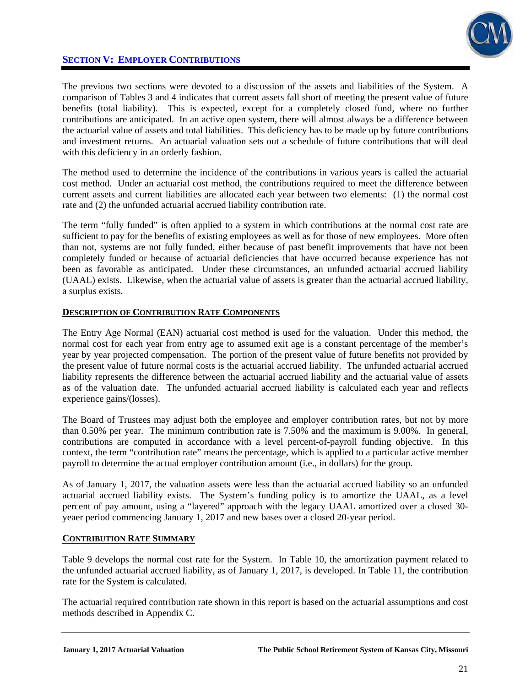

### **SECTION V: EMPLOYER CONTRIBUTIONS**

The previous two sections were devoted to a discussion of the assets and liabilities of the System. A comparison of Tables 3 and 4 indicates that current assets fall short of meeting the present value of future benefits (total liability). This is expected, except for a completely closed fund, where no further contributions are anticipated. In an active open system, there will almost always be a difference between the actuarial value of assets and total liabilities. This deficiency has to be made up by future contributions and investment returns. An actuarial valuation sets out a schedule of future contributions that will deal with this deficiency in an orderly fashion.

The method used to determine the incidence of the contributions in various years is called the actuarial cost method. Under an actuarial cost method, the contributions required to meet the difference between current assets and current liabilities are allocated each year between two elements: (1) the normal cost rate and (2) the unfunded actuarial accrued liability contribution rate.

The term "fully funded" is often applied to a system in which contributions at the normal cost rate are sufficient to pay for the benefits of existing employees as well as for those of new employees. More often than not, systems are not fully funded, either because of past benefit improvements that have not been completely funded or because of actuarial deficiencies that have occurred because experience has not been as favorable as anticipated. Under these circumstances, an unfunded actuarial accrued liability (UAAL) exists. Likewise, when the actuarial value of assets is greater than the actuarial accrued liability, a surplus exists.

#### **DESCRIPTION OF CONTRIBUTION RATE COMPONENTS**

The Entry Age Normal (EAN) actuarial cost method is used for the valuation. Under this method, the normal cost for each year from entry age to assumed exit age is a constant percentage of the member's year by year projected compensation. The portion of the present value of future benefits not provided by the present value of future normal costs is the actuarial accrued liability. The unfunded actuarial accrued liability represents the difference between the actuarial accrued liability and the actuarial value of assets as of the valuation date. The unfunded actuarial accrued liability is calculated each year and reflects experience gains/(losses).

The Board of Trustees may adjust both the employee and employer contribution rates, but not by more than 0.50% per year. The minimum contribution rate is 7.50% and the maximum is 9.00%. In general, contributions are computed in accordance with a level percent-of-payroll funding objective. In this context, the term "contribution rate" means the percentage, which is applied to a particular active member payroll to determine the actual employer contribution amount (i.e., in dollars) for the group.

As of January 1, 2017, the valuation assets were less than the actuarial accrued liability so an unfunded actuarial accrued liability exists. The System's funding policy is to amortize the UAAL, as a level percent of pay amount, using a "layered" approach with the legacy UAAL amortized over a closed 30 yeaer period commencing January 1, 2017 and new bases over a closed 20-year period.

#### **CONTRIBUTION RATE SUMMARY**

Table 9 develops the normal cost rate for the System. In Table 10, the amortization payment related to the unfunded actuarial accrued liability, as of January 1, 2017, is developed. In Table 11, the contribution rate for the System is calculated.

The actuarial required contribution rate shown in this report is based on the actuarial assumptions and cost methods described in Appendix C.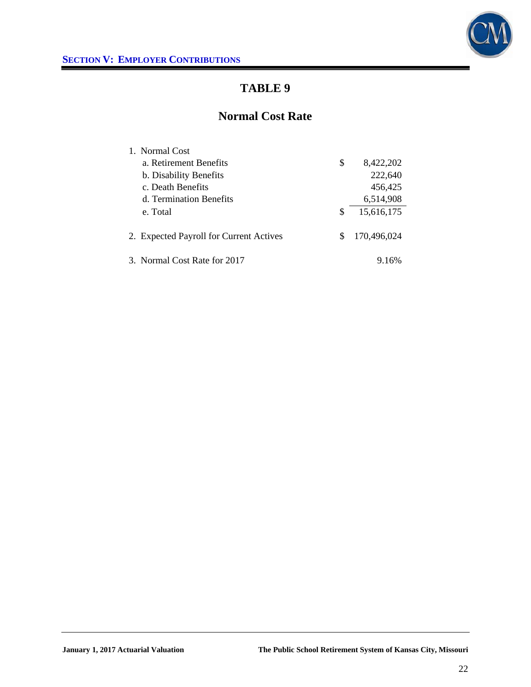

### **Normal Cost Rate**

| 1. Normal Cost                          |    |             |
|-----------------------------------------|----|-------------|
| a. Retirement Benefits                  | \$ | 8,422,202   |
| b. Disability Benefits                  |    | 222,640     |
| c. Death Benefits                       |    | 456,425     |
| d. Termination Benefits                 |    | 6,514,908   |
| e. Total                                | S  | 15,616,175  |
| 2. Expected Payroll for Current Actives | æ. | 170,496,024 |
| 3. Normal Cost Rate for 2017            |    | 9.16%       |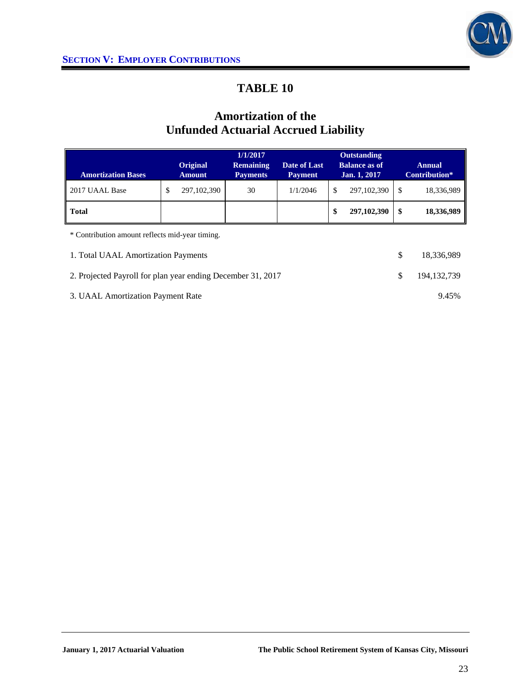

### **Amortization of the Unfunded Actuarial Accrued Liability**

|                                                   |   |                           | 1/1/2017                            |                                |    | <b>Outstanding</b>                   |    |                                |
|---------------------------------------------------|---|---------------------------|-------------------------------------|--------------------------------|----|--------------------------------------|----|--------------------------------|
| <b>Amortization Bases</b>                         |   | Original<br><b>Amount</b> | <b>Remaining</b><br><b>Payments</b> | Date of Last<br><b>Payment</b> |    | <b>Balance as of</b><br>Jan. 1, 2017 |    | <b>Annual</b><br>Contribution* |
| 2017 UAAL Base                                    | D | 297, 102, 390             | 30                                  | 1/1/2046                       | \$ | 297, 102, 390                        | \$ | 18,336,989                     |
| <b>Total</b>                                      |   |                           |                                     |                                | \$ | 297,102,390                          | \$ | 18,336,989                     |
| * Contribution amount reflects mid-year timing.   |   |                           |                                     |                                |    |                                      |    |                                |
| 1. Total UAAL Amortization Payments<br>18,336,989 |   |                           |                                     |                                |    |                                      |    |                                |

| 2. Projected Payroll for plan year ending December 31, 2017 | $\frac{\$}{194.132.739}$ |
|-------------------------------------------------------------|--------------------------|
|                                                             |                          |

3. UAAL Amortization Payment Rate 9.45%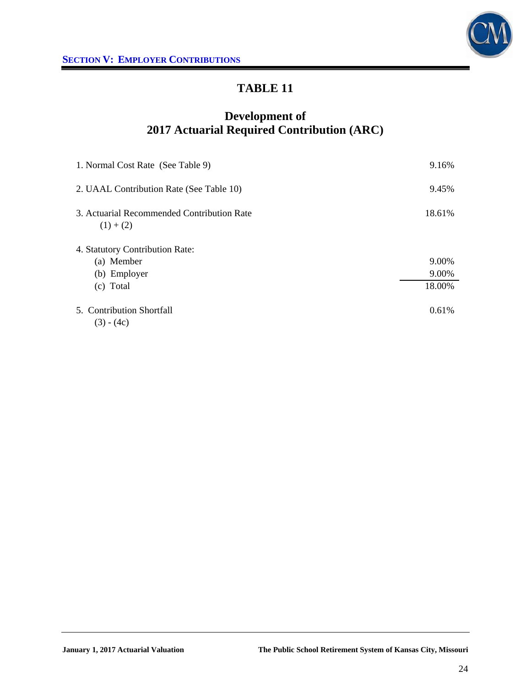



## **Development of 2017 Actuarial Required Contribution (ARC)**

| 1. Normal Cost Rate (See Table 9)                         | 9.16%  |
|-----------------------------------------------------------|--------|
| 2. UAAL Contribution Rate (See Table 10)                  | 9.45%  |
| 3. Actuarial Recommended Contribution Rate<br>$(1) + (2)$ | 18.61% |
| 4. Statutory Contribution Rate:                           |        |
| (a) Member                                                | 9.00%  |
| (b) Employer                                              | 9.00%  |
| (c) Total                                                 | 18.00% |
| 5. Contribution Shortfall<br>$(3) - (4c)$                 | 0.61%  |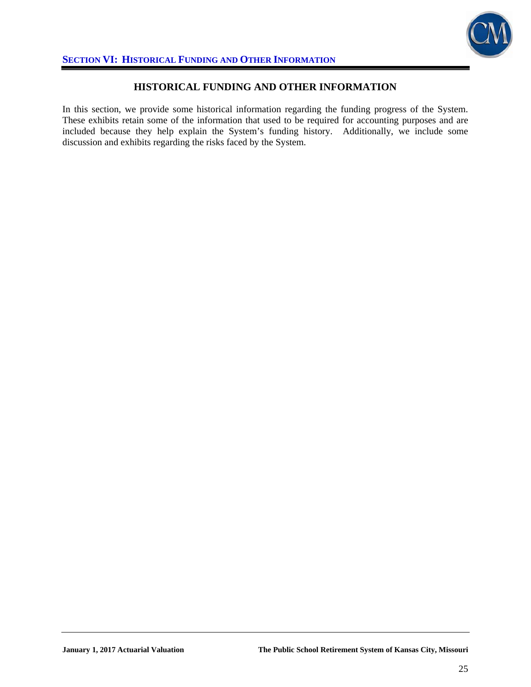

### **HISTORICAL FUNDING AND OTHER INFORMATION**

In this section, we provide some historical information regarding the funding progress of the System. These exhibits retain some of the information that used to be required for accounting purposes and are included because they help explain the System's funding history. Additionally, we include some discussion and exhibits regarding the risks faced by the System.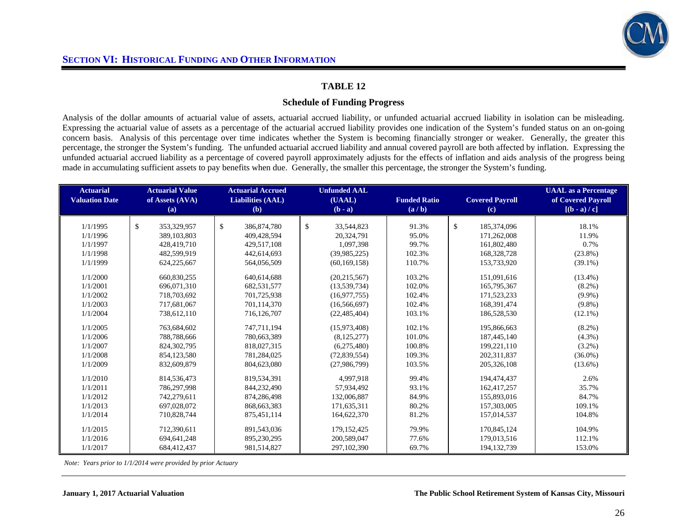

#### **Schedule of Funding Progress**

Analysis of the dollar amounts of actuarial value of assets, actuarial accrued liability, or unfunded actuarial accrued liability in isolation can be misleading. Expressing the actuarial value of assets as a percentage of the actuarial accrued liability provides one indication of the System's funded status on an on-going concern basis. Analysis of this percentage over time indicates whether the System is becoming financially stronger or weaker. Generally, the greater this percentage, the stronger the System's funding. The unfunded actuarial accrued liability and annual covered payroll are both affected by inflation. Expressing the unfunded actuarial accrued liability as a percentage of covered payroll approximately adjusts for the effects of inflation and aids analysis of the progress being made in accumulating sufficient assets to pay benefits when due. Generally, the smaller this percentage, the stronger the System's funding.

| <b>Actuarial</b><br><b>Valuation Date</b> | <b>Actuarial Value</b><br>of Assets (AVA)<br>(a) | <b>Actuarial Accrued</b><br><b>Liabilities (AAL)</b><br>(b) | <b>Unfunded AAL</b><br>(UAAL)<br>$(b - a)$ | <b>Funded Ratio</b><br>(a/b) | <b>Covered Payroll</b><br>(c) | <b>UAAL</b> as a Percentage<br>of Covered Payroll<br>$[(b - a)/c]$ |
|-------------------------------------------|--------------------------------------------------|-------------------------------------------------------------|--------------------------------------------|------------------------------|-------------------------------|--------------------------------------------------------------------|
| 1/1/1995                                  | $\mathbb{S}$<br>353,329,957                      | $\mathbb{S}$<br>386, 874, 780                               | $\mathbb{S}$<br>33,544,823                 | 91.3%                        | \$<br>185,374,096             | 18.1%                                                              |
| 1/1/1996                                  | 389,103,803                                      | 409,428,594                                                 | 20,324,791                                 | 95.0%                        | 171,262,008                   | 11.9%                                                              |
| 1/1/1997                                  | 428,419,710                                      | 429,517,108                                                 | 1,097,398                                  | 99.7%                        | 161,802,480                   | 0.7%                                                               |
| 1/1/1998                                  | 482,599,919                                      | 442,614,693                                                 | (39,985,225)                               | 102.3%                       | 168,328,728                   | $(23.8\%)$                                                         |
| 1/1/1999                                  | 624,225,667                                      | 564,056,509                                                 | (60, 169, 158)                             | 110.7%                       | 153,733,920                   | $(39.1\%)$                                                         |
|                                           |                                                  |                                                             |                                            |                              |                               |                                                                    |
| 1/1/2000                                  | 660,830,255                                      | 640,614,688                                                 | (20, 215, 567)                             | 103.2%                       | 151,091,616                   | $(13.4\%)$                                                         |
| 1/1/2001                                  | 696,071,310                                      | 682,531,577                                                 | (13, 539, 734)                             | 102.0%                       | 165,795,367                   | $(8.2\%)$                                                          |
| 1/1/2002                                  | 718,703,692                                      | 701,725,938                                                 | (16, 977, 755)                             | 102.4%                       | 171,523,233                   | $(9.9\%)$                                                          |
| 1/1/2003                                  | 717,681,067                                      | 701,114,370                                                 | (16, 566, 697)                             | 102.4%                       | 168,391,474                   | $(9.8\%)$                                                          |
| 1/1/2004                                  | 738,612,110                                      | 716,126,707                                                 | (22, 485, 404)                             | 103.1%                       | 186,528,530                   | $(12.1\%)$                                                         |
| 1/1/2005                                  | 763,684,602                                      | 747,711,194                                                 | (15,973,408)                               | 102.1%                       | 195,866,663                   | $(8.2\%)$                                                          |
| 1/1/2006                                  | 788,788,666                                      | 780,663,389                                                 | (8, 125, 277)                              | 101.0%                       | 187,445,140                   | $(4.3\%)$                                                          |
| 1/1/2007                                  | 824.302.795                                      | 818,027,315                                                 | (6,275,480)                                | 100.8%                       | 199,221,110                   | $(3.2\%)$                                                          |
| 1/1/2008                                  | 854,123,580                                      | 781,284,025                                                 | (72,839,554)                               | 109.3%                       | 202, 311, 837                 | $(36.0\%)$                                                         |
| 1/1/2009                                  | 832,609,879                                      | 804,623,080                                                 | (27,986,799)                               | 103.5%                       | 205, 326, 108                 | $(13.6\%)$                                                         |
| 1/1/2010                                  | 814,536,473                                      | 819,534,391                                                 | 4.997.918                                  | 99.4%                        | 194,474,437                   | 2.6%                                                               |
| 1/1/2011                                  | 786,297,998                                      | 844,232,490                                                 | 57,934,492                                 | 93.1%                        | 162,417,257                   | 35.7%                                                              |
| 1/1/2012                                  | 742,279,611                                      | 874,286,498                                                 | 132,006,887                                | 84.9%                        | 155,893,016                   | 84.7%                                                              |
| 1/1/2013                                  | 697,028,072                                      | 868,663,383                                                 | 171,635,311                                | 80.2%                        | 157,303,005                   | 109.1%                                                             |
| 1/1/2014                                  | 710,828,744                                      | 875,451,114                                                 | 164,622,370                                | 81.2%                        | 157,014,537                   | 104.8%                                                             |
|                                           |                                                  |                                                             |                                            |                              |                               |                                                                    |
| 1/1/2015                                  | 712,390,611                                      | 891,543,036                                                 | 179, 152, 425                              | 79.9%                        | 170,845,124                   | 104.9%                                                             |
| 1/1/2016                                  | 694,641,248                                      | 895,230,295                                                 | 200,589,047                                | 77.6%                        | 179,013,516                   | 112.1%                                                             |
| 1/1/2017                                  | 684,412,437                                      | 981,514,827                                                 | 297,102,390                                | 69.7%                        | 194, 132, 739                 | 153.0%                                                             |

 *Note: Years prior to 1/1/2014 were provided by prior Actuary*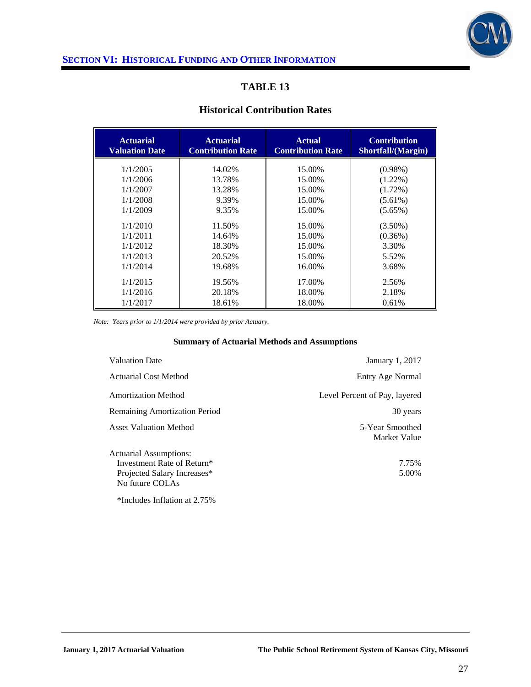

#### **Historical Contribution Rates**

| <b>Actuarial</b><br><b>Valuation Date</b> | <b>Actuarial</b><br><b>Contribution Rate</b> | <b>Actual</b><br><b>Contribution Rate</b> | <b>Contribution</b><br>Shortfall/(Margin) |
|-------------------------------------------|----------------------------------------------|-------------------------------------------|-------------------------------------------|
| 1/1/2005                                  | 14.02%                                       | 15.00%                                    | $(0.98\%)$                                |
| 1/1/2006                                  | 13.78%                                       | 15.00%                                    | $(1.22\%)$                                |
| 1/1/2007                                  | 13.28%                                       | 15.00%                                    | $(1.72\%)$                                |
| 1/1/2008                                  | 9.39%                                        | 15.00%                                    | $(5.61\%)$                                |
| 1/1/2009                                  | 9.35%                                        | 15.00%                                    | $(5.65\%)$                                |
| 1/1/2010                                  | 11.50%                                       | 15.00%                                    | $(3.50\%)$                                |
| 1/1/2011                                  | 14.64%                                       | 15.00%                                    | $(0.36\%)$                                |
| 1/1/2012                                  | 18.30%                                       | 15.00%                                    | 3.30%                                     |
| 1/1/2013                                  | 20.52%                                       | 15.00%                                    | 5.52%                                     |
| 1/1/2014                                  | 19.68%                                       | 16.00%                                    | 3.68%                                     |
| 1/1/2015                                  | 19.56%                                       | 17.00%                                    | 2.56%                                     |
| 1/1/2016                                  | 20.18%                                       | 18.00%                                    | 2.18%                                     |
| 1/1/2017                                  | 18.61%                                       | 18.00%                                    | 0.61%                                     |

*Note: Years prior to 1/1/2014 were provided by prior Actuary.* 

#### **Summary of Actuarial Methods and Assumptions**

| January 1, 2017                 |
|---------------------------------|
| Entry Age Normal                |
| Level Percent of Pay, layered   |
| 30 years                        |
| 5-Year Smoothed<br>Market Value |
|                                 |
| 7.75%                           |
| 5.00%                           |
|                                 |

\*Includes Inflation at 2.75%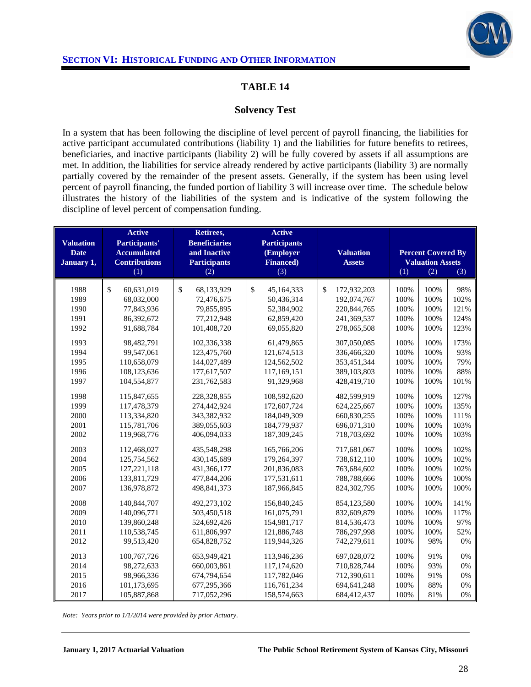

### **Solvency Test**

In a system that has been following the discipline of level percent of payroll financing, the liabilities for active participant accumulated contributions (liability 1) and the liabilities for future benefits to retirees, beneficiaries, and inactive participants (liability 2) will be fully covered by assets if all assumptions are met. In addition, the liabilities for service already rendered by active participants (liability 3) are normally partially covered by the remainder of the present assets. Generally, if the system has been using level percent of payroll financing, the funded portion of liability 3 will increase over time. The schedule below illustrates the history of the liabilities of the system and is indicative of the system following the discipline of level percent of compensation funding.

| <b>Valuation</b><br><b>Date</b><br>January 1, | <b>Active</b><br>Participants'<br><b>Accumulated</b><br><b>Contributions</b><br>(1) | Retirees,<br><b>Beneficiaries</b><br>and Inactive<br><b>Participants</b><br>(2) | <b>Active</b><br><b>Participants</b><br>(Employer<br><b>Financed</b> )<br>(3) | <b>Valuation</b><br><b>Assets</b> | (1)  | <b>Percent Covered By</b><br><b>Valuation Assets</b><br>(2) | (3)  |
|-----------------------------------------------|-------------------------------------------------------------------------------------|---------------------------------------------------------------------------------|-------------------------------------------------------------------------------|-----------------------------------|------|-------------------------------------------------------------|------|
|                                               |                                                                                     |                                                                                 |                                                                               |                                   |      |                                                             |      |
| 1988                                          | \$<br>60,631,019                                                                    | \$<br>68,133,929                                                                | \$<br>45,164,333                                                              | \$<br>172,932,203                 | 100% | 100%                                                        | 98%  |
| 1989                                          | 68,032,000                                                                          | 72,476,675                                                                      | 50,436,314                                                                    | 192,074,767                       | 100% | 100%                                                        | 102% |
| 1990                                          | 77,843,936                                                                          | 79,855,895                                                                      | 52,384,902                                                                    | 220,844,765                       | 100% | 100%                                                        | 121% |
| 1991                                          | 86,392,672                                                                          | 77,212,948                                                                      | 62,859,420                                                                    | 241,369,537                       | 100% | 100%                                                        | 124% |
| 1992                                          | 91,688,784                                                                          | 101,408,720                                                                     | 69,055,820                                                                    | 278,065,508                       | 100% | 100%                                                        | 123% |
| 1993                                          | 98,482,791                                                                          | 102,336,338                                                                     | 61,479,865                                                                    | 307,050,085                       | 100% | 100%                                                        | 173% |
| 1994                                          | 99,547,061                                                                          | 123,475,760                                                                     | 121,674,513                                                                   | 336,466,320                       | 100% | 100%                                                        | 93%  |
| 1995                                          | 110,658,079                                                                         | 144,027,489                                                                     | 124,562,502                                                                   | 353,451,344                       | 100% | 100%                                                        | 79%  |
| 1996                                          | 108,123,636                                                                         | 177,617,507                                                                     | 117,169,151                                                                   | 389,103,803                       | 100% | 100%                                                        | 88%  |
| 1997                                          | 104,554,877                                                                         | 231,762,583                                                                     | 91,329,968                                                                    | 428,419,710                       | 100% | 100%                                                        | 101% |
| 1998                                          | 115,847,655                                                                         | 228,328,855                                                                     | 108,592,620                                                                   | 482.599.919                       | 100% | 100%                                                        | 127% |
| 1999                                          | 117,478,379                                                                         | 274,442,924                                                                     | 172,607,724                                                                   | 624,225,667                       | 100% | 100%                                                        | 135% |
| 2000                                          | 113,334,820                                                                         | 343,382,932                                                                     | 184,049,309                                                                   | 660,830,255                       | 100% | 100%                                                        | 111% |
| 2001                                          | 115,781,706                                                                         | 389,055,603                                                                     | 184,779,937                                                                   | 696,071,310                       | 100% | 100%                                                        | 103% |
| 2002                                          | 119,968,776                                                                         | 406,094,033                                                                     | 187,309,245                                                                   | 718,703,692                       | 100% | 100%                                                        | 103% |
| 2003                                          | 112,468,027                                                                         | 435,548,298                                                                     | 165,766,206                                                                   | 717,681,067                       | 100% | 100%                                                        | 102% |
| 2004                                          | 125,754,562                                                                         | 430,145,689                                                                     | 179,264,397                                                                   | 738,612,110                       | 100% | 100%                                                        | 102% |
| 2005                                          | 127,221,118                                                                         | 431,366,177                                                                     | 201,836,083                                                                   | 763,684,602                       | 100% | 100%                                                        | 102% |
| 2006                                          | 133,811,729                                                                         | 477,844,206                                                                     | 177,531,611                                                                   | 788,788,666                       | 100% | 100%                                                        | 100% |
| 2007                                          | 136,978,872                                                                         | 498, 841, 373                                                                   | 187,966,845                                                                   | 824,302,795                       | 100% | 100%                                                        | 100% |
| 2008                                          | 140,844,707                                                                         | 492,273,102                                                                     | 156,840,245                                                                   | 854,123,580                       | 100% | 100%                                                        | 141% |
| 2009                                          | 140,096,771                                                                         | 503,450,518                                                                     | 161,075,791                                                                   | 832,609,879                       | 100% | 100%                                                        | 117% |
| 2010                                          | 139,860,248                                                                         | 524,692,426                                                                     | 154,981,717                                                                   | 814,536,473                       | 100% | 100%                                                        | 97%  |
| 2011                                          | 110,538,745                                                                         | 611,806,997                                                                     | 121,886,748                                                                   | 786,297,998                       | 100% | 100%                                                        | 52%  |
| 2012                                          | 99,513,420                                                                          | 654,828,752                                                                     | 119,944,326                                                                   | 742,279,611                       | 100% | 98%                                                         | 0%   |
| 2013                                          | 100,767,726                                                                         | 653,949,421                                                                     | 113,946,236                                                                   | 697,028,072                       | 100% | 91%                                                         | 0%   |
| 2014                                          | 98,272,633                                                                          | 660,003,861                                                                     | 117,174,620                                                                   | 710,828,744                       | 100% | 93%                                                         | 0%   |
| 2015                                          | 98,966,336                                                                          | 674,794,654                                                                     | 117,782,046                                                                   | 712,390,611                       | 100% | 91%                                                         | 0%   |
| 2016                                          | 101,173,695                                                                         | 677,295,366                                                                     | 116,761,234                                                                   | 694, 641, 248                     | 100% | 88%                                                         | 0%   |
| 2017                                          | 105,887,868                                                                         | 717,052,296                                                                     | 158,574,663                                                                   | 684,412,437                       | 100% | 81%                                                         | 0%   |

*Note: Years prior to 1/1/2014 were provided by prior Actuary*.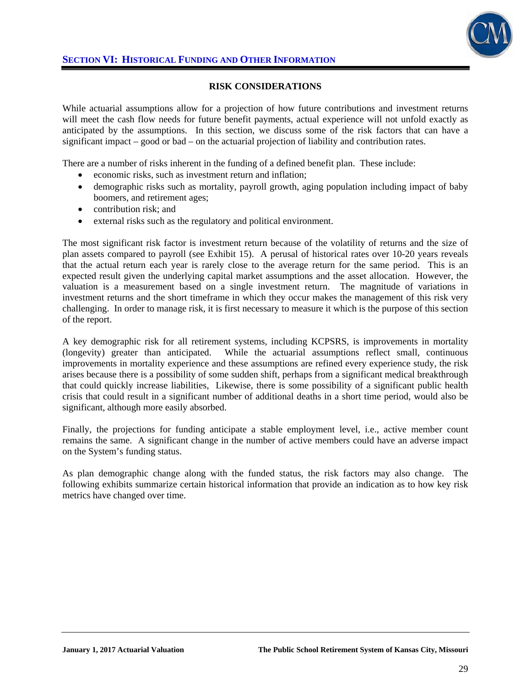

#### **RISK CONSIDERATIONS**

While actuarial assumptions allow for a projection of how future contributions and investment returns will meet the cash flow needs for future benefit payments, actual experience will not unfold exactly as anticipated by the assumptions. In this section, we discuss some of the risk factors that can have a significant impact – good or bad – on the actuarial projection of liability and contribution rates.

There are a number of risks inherent in the funding of a defined benefit plan. These include:

- economic risks, such as investment return and inflation;
- demographic risks such as mortality, payroll growth, aging population including impact of baby boomers, and retirement ages;
- contribution risk; and
- external risks such as the regulatory and political environment.

The most significant risk factor is investment return because of the volatility of returns and the size of plan assets compared to payroll (see Exhibit 15). A perusal of historical rates over 10-20 years reveals that the actual return each year is rarely close to the average return for the same period. This is an expected result given the underlying capital market assumptions and the asset allocation. However, the valuation is a measurement based on a single investment return. The magnitude of variations in investment returns and the short timeframe in which they occur makes the management of this risk very challenging. In order to manage risk, it is first necessary to measure it which is the purpose of this section of the report.

A key demographic risk for all retirement systems, including KCPSRS, is improvements in mortality (longevity) greater than anticipated. While the actuarial assumptions reflect small, continuous improvements in mortality experience and these assumptions are refined every experience study, the risk arises because there is a possibility of some sudden shift, perhaps from a significant medical breakthrough that could quickly increase liabilities, Likewise, there is some possibility of a significant public health crisis that could result in a significant number of additional deaths in a short time period, would also be significant, although more easily absorbed.

Finally, the projections for funding anticipate a stable employment level, i.e., active member count remains the same. A significant change in the number of active members could have an adverse impact on the System's funding status.

As plan demographic change along with the funded status, the risk factors may also change. The following exhibits summarize certain historical information that provide an indication as to how key risk metrics have changed over time.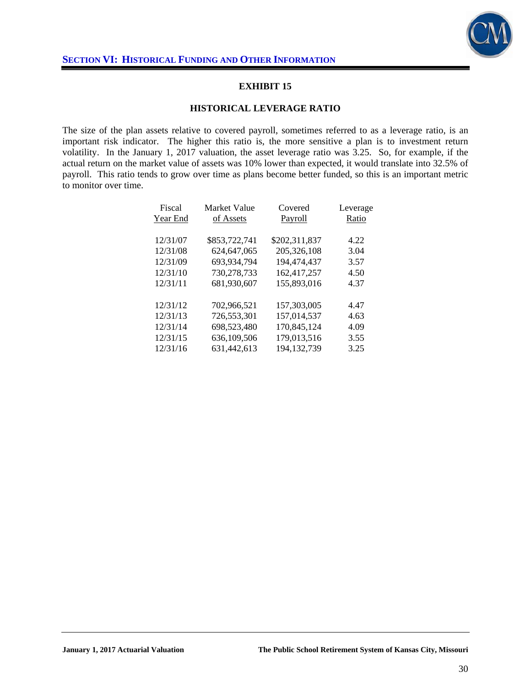

#### **EXHIBIT 15**

#### **HISTORICAL LEVERAGE RATIO**

The size of the plan assets relative to covered payroll, sometimes referred to as a leverage ratio, is an important risk indicator. The higher this ratio is, the more sensitive a plan is to investment return volatility. In the January 1, 2017 valuation, the asset leverage ratio was 3.25. So, for example, if the actual return on the market value of assets was 10% lower than expected, it would translate into 32.5% of payroll. This ratio tends to grow over time as plans become better funded, so this is an important metric to monitor over time.

| Fiscal   | <b>Market Value</b> | Covered       | Leverage |
|----------|---------------------|---------------|----------|
| Year End | of Assets           | Payroll       | Ratio    |
|          |                     |               |          |
| 12/31/07 | \$853,722,741       | \$202,311,837 | 4.22     |
| 12/31/08 | 624.647.065         | 205, 326, 108 | 3.04     |
| 12/31/09 | 693,934,794         | 194.474.437   | 3.57     |
| 12/31/10 | 730,278,733         | 162,417,257   | 4.50     |
| 12/31/11 | 681.930.607         | 155,893,016   | 4.37     |
|          |                     |               |          |
| 12/31/12 | 702.966.521         | 157,303,005   | 4.47     |
| 12/31/13 | 726.553.301         | 157.014.537   | 4.63     |
| 12/31/14 | 698,523,480         | 170,845,124   | 4.09     |
| 12/31/15 | 636,109,506         | 179,013,516   | 3.55     |
| 12/31/16 | 631.442.613         | 194.132.739   | 3.25     |
|          |                     |               |          |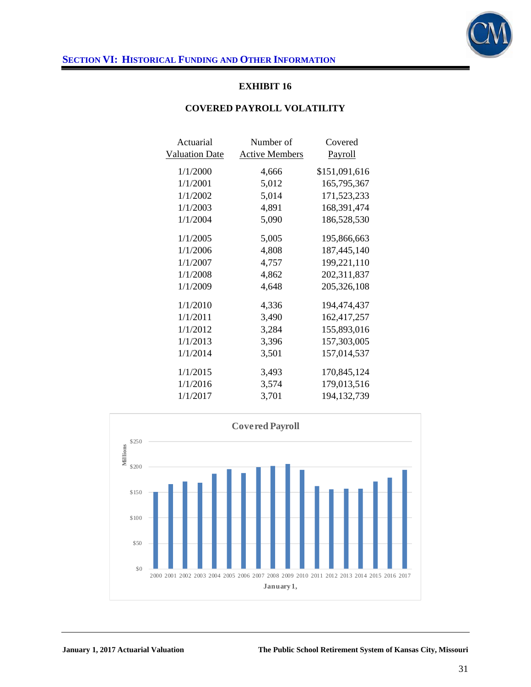

### **EXHIBIT 16**

#### **COVERED PAYROLL VOLATILITY**

| Actuarial             | Number of             | Covered        |
|-----------------------|-----------------------|----------------|
| <b>Valuation Date</b> | <b>Active Members</b> | <u>Payroll</u> |
| 1/1/2000              | 4,666                 | \$151,091,616  |
| 1/1/2001              | 5,012                 | 165,795,367    |
| 1/1/2002              | 5,014                 | 171,523,233    |
| 1/1/2003              | 4,891                 | 168,391,474    |
| 1/1/2004              | 5,090                 | 186,528,530    |
| 1/1/2005              | 5,005                 | 195,866,663    |
| 1/1/2006              | 4,808                 | 187,445,140    |
| 1/1/2007              | 4,757                 | 199,221,110    |
| 1/1/2008              | 4,862                 | 202,311,837    |
| 1/1/2009              | 4,648                 | 205,326,108    |
| 1/1/2010              | 4,336                 | 194,474,437    |
| 1/1/2011              | 3,490                 | 162,417,257    |
| 1/1/2012              | 3,284                 | 155,893,016    |
| 1/1/2013              | 3,396                 | 157,303,005    |
| 1/1/2014              | 3,501                 | 157,014,537    |
| 1/1/2015              | 3,493                 | 170,845,124    |
| 1/1/2016              | 3,574                 | 179,013,516    |
| 1/1/2017              | 3,701                 | 194, 132, 739  |

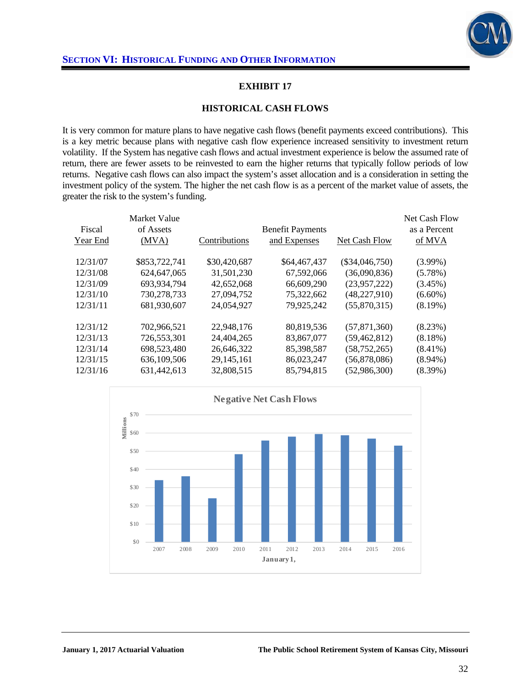

#### **EXHIBIT 17**

#### **HISTORICAL CASH FLOWS**

It is very common for mature plans to have negative cash flows (benefit payments exceed contributions). This is a key metric because plans with negative cash flow experience increased sensitivity to investment return volatility. If the System has negative cash flows and actual investment experience is below the assumed rate of return, there are fewer assets to be reinvested to earn the higher returns that typically follow periods of low returns. Negative cash flows can also impact the system's asset allocation and is a consideration in setting the investment policy of the system. The higher the net cash flow is as a percent of the market value of assets, the greater the risk to the system's funding.

| Fiscal<br>Year End | Market Value<br>of Assets<br>(MVA) | Contributions | <b>Benefit Payments</b><br>and Expenses | Net Cash Flow    | Net Cash Flow<br>as a Percent<br>of MVA |
|--------------------|------------------------------------|---------------|-----------------------------------------|------------------|-----------------------------------------|
| 12/31/07           | \$853,722,741                      | \$30,420,687  | \$64,467,437                            | $(\$34,046,750)$ | $(3.99\%)$                              |
| 12/31/08           | 624, 647, 065                      | 31,501,230    | 67,592,066                              | (36,090,836)     | $(5.78\%)$                              |
| 12/31/09           | 693,934,794                        | 42,652,068    | 66,609,290                              | (23,957,222)     | $(3.45\%)$                              |
| 12/31/10           | 730,278,733                        | 27,094,752    | 75,322,662                              | (48, 227, 910)   | $(6.60\%)$                              |
| 12/31/11           | 681,930,607                        | 24,054,927    | 79,925,242                              | (55,870,315)     | $(8.19\%)$                              |
| 12/31/12           | 702,966,521                        | 22,948,176    | 80.819.536                              | (57, 871, 360)   | $(8.23\%)$                              |
| 12/31/13           | 726,553,301                        | 24,404,265    | 83,867,077                              | (59, 462, 812)   | $(8.18\%)$                              |
| 12/31/14           | 698,523,480                        | 26,646,322    | 85,398,587                              | (58, 752, 265)   | $(8.41\%)$                              |
| 12/31/15           | 636,109,506                        | 29,145,161    | 86,023,247                              | (56,878,086)     | $(8.94\%)$                              |
| 12/31/16           | 631,442,613                        | 32,808,515    | 85,794,815                              | (52,986,300)     | $(8.39\%)$                              |

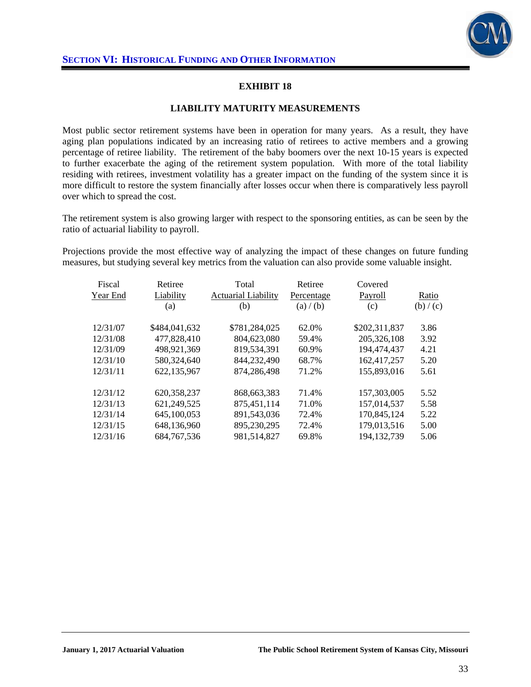

## **EXHIBIT 18**

#### **LIABILITY MATURITY MEASUREMENTS**

Most public sector retirement systems have been in operation for many years. As a result, they have aging plan populations indicated by an increasing ratio of retirees to active members and a growing percentage of retiree liability. The retirement of the baby boomers over the next 10-15 years is expected to further exacerbate the aging of the retirement system population. With more of the total liability residing with retirees, investment volatility has a greater impact on the funding of the system since it is more difficult to restore the system financially after losses occur when there is comparatively less payroll over which to spread the cost.

The retirement system is also growing larger with respect to the sponsoring entities, as can be seen by the ratio of actuarial liability to payroll.

Projections provide the most effective way of analyzing the impact of these changes on future funding measures, but studying several key metrics from the valuation can also provide some valuable insight.

| Fiscal<br>Year End | Retiree<br>Liability<br>(a) | Total<br><b>Actuarial Liability</b><br>(b) | Retiree<br>Percentage<br>(a) / (b) | Covered<br>Payroll<br>(c) | Ratio<br>(b) / (c) |
|--------------------|-----------------------------|--------------------------------------------|------------------------------------|---------------------------|--------------------|
| 12/31/07           | \$484,041,632               | \$781,284,025                              | 62.0%                              | \$202,311,837             | 3.86               |
| 12/31/08           | 477,828,410                 | 804.623.080                                | 59.4%                              | 205,326,108               | 3.92               |
| 12/31/09           | 498,921,369                 | 819,534,391                                | 60.9%                              | 194,474,437               | 4.21               |
| 12/31/10           | 580,324,640                 | 844,232,490                                | 68.7%                              | 162,417,257               | 5.20               |
| 12/31/11           | 622,135,967                 | 874,286,498                                | 71.2%                              | 155,893,016               | 5.61               |
| 12/31/12           | 620, 358, 237               | 868, 663, 383                              | 71.4%                              | 157,303,005               | 5.52               |
| 12/31/13           | 621,249,525                 | 875,451,114                                | 71.0%                              | 157,014,537               | 5.58               |
| 12/31/14           | 645,100,053                 | 891,543,036                                | 72.4%                              | 170,845,124               | 5.22               |
| 12/31/15           | 648,136,960                 | 895,230,295                                | 72.4%                              | 179,013,516               | 5.00               |
| 12/31/16           | 684, 767, 536               | 981,514,827                                | 69.8%                              | 194, 132, 739             | 5.06               |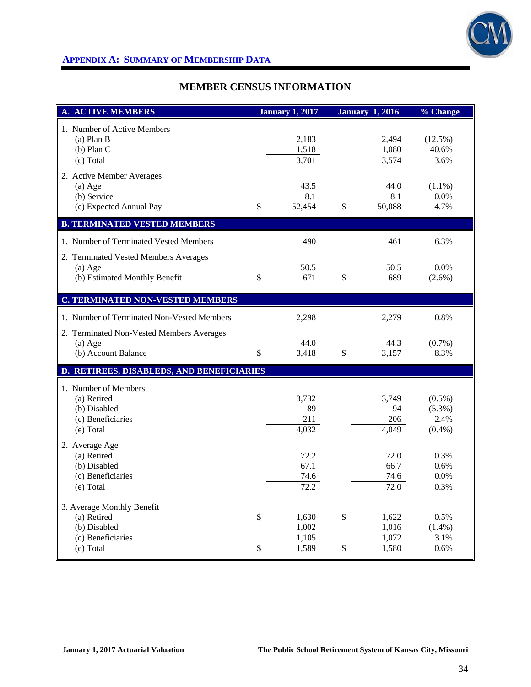

# **APPENDIX A: SUMMARY OF MEMBERSHIP DATA**

# **MEMBER CENSUS INFORMATION**

| <b>A. ACTIVE MEMBERS</b>                                                                    |                      | <b>January 1, 2017</b>           |              | <b>January 1, 2016</b>           | % Change                                    |
|---------------------------------------------------------------------------------------------|----------------------|----------------------------------|--------------|----------------------------------|---------------------------------------------|
| 1. Number of Active Members<br>$(a)$ Plan B<br>$(b)$ Plan C<br>(c) Total                    |                      | 2,183<br>1,518<br>3,701          |              | 2,494<br>1,080<br>3,574          | (12.5%)<br>40.6%<br>3.6%                    |
| 2. Active Member Averages<br>$(a)$ Age<br>(b) Service<br>(c) Expected Annual Pay            | \$                   | 43.5<br>8.1<br>52,454            | \$           | 44.0<br>8.1<br>50,088            | $(1.1\%)$<br>0.0%<br>4.7%                   |
| <b>B. TERMINATED VESTED MEMBERS</b>                                                         |                      |                                  |              |                                  |                                             |
| 1. Number of Terminated Vested Members                                                      |                      | 490                              |              | 461                              | 6.3%                                        |
| 2. Terminated Vested Members Averages<br>$(a)$ Age<br>(b) Estimated Monthly Benefit         | \$                   | 50.5<br>671                      | \$           | 50.5<br>689                      | $0.0\%$<br>$(2.6\%)$                        |
| <b>C. TERMINATED NON-VESTED MEMBERS</b>                                                     |                      |                                  |              |                                  |                                             |
| 1. Number of Terminated Non-Vested Members                                                  |                      | 2,298                            |              | 2,279                            | 0.8%                                        |
| 2. Terminated Non-Vested Members Averages<br>$(a)$ Age<br>(b) Account Balance               | \$                   | 44.0<br>3,418                    | $\mathbb{S}$ | 44.3<br>3,157                    | $(0.7\%)$<br>8.3%                           |
| D. RETIREES, DISABLEDS, AND BENEFICIARIES                                                   |                      |                                  |              |                                  |                                             |
| 1. Number of Members<br>(a) Retired<br>(b) Disabled<br>(c) Beneficiaries<br>(e) Total       |                      | 3,732<br>89<br>211<br>4,032      |              | 3,749<br>94<br>206<br>4,049      | $(0.5\%)$<br>$(5.3\%)$<br>2.4%<br>$(0.4\%)$ |
| 2. Average Age<br>(a) Retired<br>(b) Disabled<br>(c) Beneficiaries<br>(e) Total             |                      | 72.2<br>67.1<br>74.6<br>72.2     |              | 72.0<br>66.7<br>74.6<br>72.0     | 0.3%<br>0.6%<br>0.0%<br>0.3%                |
| 3. Average Monthly Benefit<br>(a) Retired<br>(b) Disabled<br>(c) Beneficiaries<br>(e) Total | $\mathbb{S}$<br>$\$$ | 1,630<br>1,002<br>1,105<br>1,589 | $\$$<br>\$   | 1,622<br>1,016<br>1,072<br>1,580 | 0.5%<br>$(1.4\%)$<br>3.1%<br>0.6%           |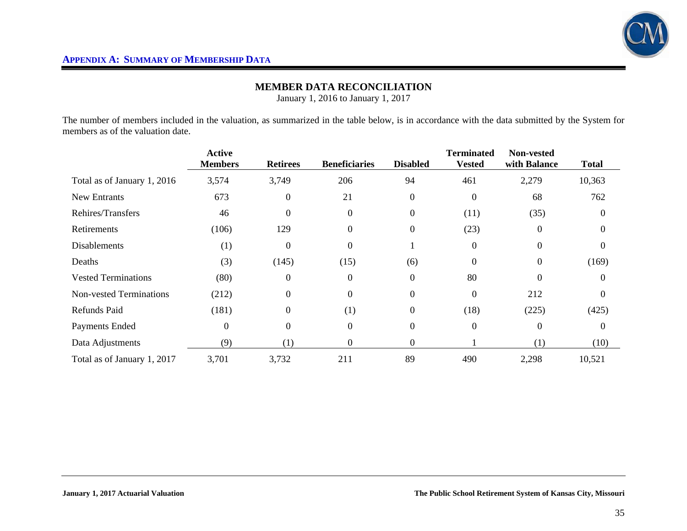

# **MEMBER DATA RECONCILIATION**

January 1, 2016 to January 1, 2017

The number of members included in the valuation, as summarized in the table below, is in accordance with the data submitted by the System for members as of the valuation date.

|                                | <b>Active</b><br><b>Members</b> | <b>Retirees</b> | <b>Beneficiaries</b> | <b>Disabled</b>  | <b>Terminated</b><br><b>Vested</b> | Non-vested<br>with Balance | <b>Total</b> |
|--------------------------------|---------------------------------|-----------------|----------------------|------------------|------------------------------------|----------------------------|--------------|
| Total as of January 1, 2016    | 3,574                           | 3,749           | 206                  | 94               | 461                                | 2,279                      | 10,363       |
| New Entrants                   | 673                             | $\theta$        | 21                   | $\boldsymbol{0}$ | $\boldsymbol{0}$                   | 68                         | 762          |
| Rehires/Transfers              | 46                              | $\Omega$        | $\Omega$             | $\boldsymbol{0}$ | (11)                               | (35)                       |              |
| Retirements                    | (106)                           | 129             | $\Omega$             | $\boldsymbol{0}$ | (23)                               | $\Omega$                   | 0            |
| <b>Disablements</b>            | (1)                             | $\overline{0}$  | $\boldsymbol{0}$     | -1               | $\boldsymbol{0}$                   | $\Omega$                   | $\Omega$     |
| Deaths                         | (3)                             | (145)           | (15)                 | (6)              | $\overline{0}$                     | $\Omega$                   | (169)        |
| <b>Vested Terminations</b>     | (80)                            | $\overline{0}$  | $\Omega$             | $\boldsymbol{0}$ | 80                                 | $\Omega$                   | $\Omega$     |
| <b>Non-vested Terminations</b> | (212)                           | $\theta$        | $\Omega$             | $\boldsymbol{0}$ | $\Omega$                           | 212                        | $\Omega$     |
| Refunds Paid                   | (181)                           | $\overline{0}$  | (1)                  | $\overline{0}$   | (18)                               | (225)                      | (425)        |
| Payments Ended                 | $\Omega$                        | $\theta$        | $\Omega$             | $\overline{0}$   | $\boldsymbol{0}$                   | $\Omega$                   | $\Omega$     |
| Data Adjustments               | (9)                             | (1)             | 0                    | $\boldsymbol{0}$ |                                    | (1)                        | (10)         |
| Total as of January 1, 2017    | 3,701                           | 3,732           | 211                  | 89               | 490                                | 2,298                      | 10,521       |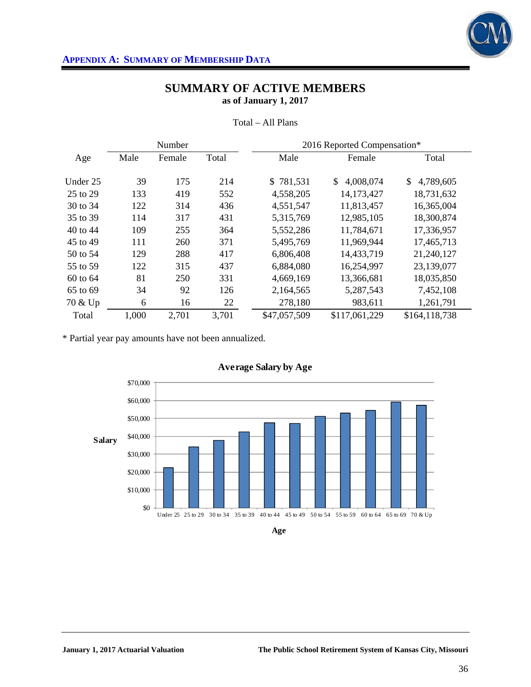

|          |       | Number |       | 2016 Reported Compensation* |                 |                 |
|----------|-------|--------|-------|-----------------------------|-----------------|-----------------|
| Age      | Male  | Female | Total | Male                        | Female          | Total           |
|          |       |        |       |                             |                 |                 |
| Under 25 | 39    | 175    | 214   | \$781,531                   | 4,008,074<br>\$ | 4,789,605<br>\$ |
| 25 to 29 | 133   | 419    | 552   | 4,558,205                   | 14,173,427      | 18,731,632      |
| 30 to 34 | 122   | 314    | 436   | 4,551,547                   | 11,813,457      | 16,365,004      |
| 35 to 39 | 114   | 317    | 431   | 5,315,769                   | 12,985,105      | 18,300,874      |
| 40 to 44 | 109   | 255    | 364   | 5,552,286                   | 11,784,671      | 17,336,957      |
| 45 to 49 | 111   | 260    | 371   | 5,495,769                   | 11,969,944      | 17,465,713      |
| 50 to 54 | 129   | 288    | 417   | 6,806,408                   | 14,433,719      | 21,240,127      |
| 55 to 59 | 122   | 315    | 437   | 6,884,080                   | 16,254,997      | 23,139,077      |
| 60 to 64 | 81    | 250    | 331   | 4,669,169                   | 13,366,681      | 18,035,850      |
| 65 to 69 | 34    | 92     | 126   | 2,164,565                   | 5,287,543       | 7,452,108       |
| 70 & Up  | 6     | 16     | 22    | 278,180                     | 983,611         | 1,261,791       |
| Total    | 1,000 | 2,701  | 3,701 | \$47,057,509                | \$117,061,229   | \$164,118,738   |

Total – All Plans

\* Partial year pay amounts have not been annualized.



**Age**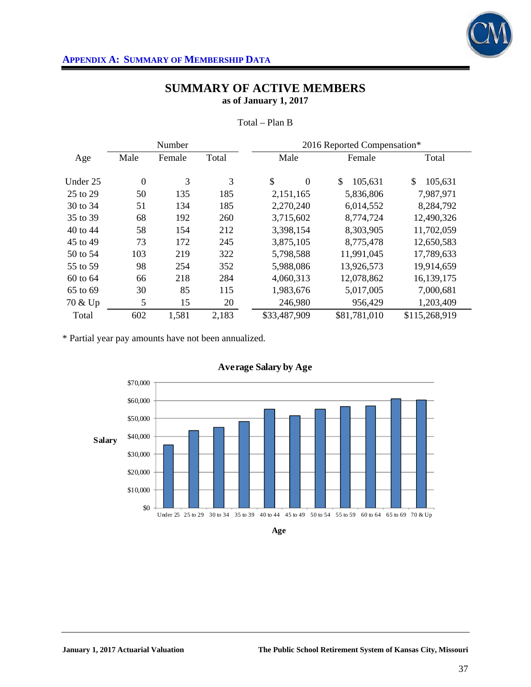

|          | 2016 Reported Compensation*<br>Number |        |       |                      |               |               |
|----------|---------------------------------------|--------|-------|----------------------|---------------|---------------|
| Age      | Male                                  | Female | Total | Male                 | Female        | Total         |
| Under 25 | $\overline{0}$                        | 3      | 3     | \$<br>$\overline{0}$ | \$<br>105,631 | \$<br>105,631 |
|          |                                       |        |       |                      |               |               |
| 25 to 29 | 50                                    | 135    | 185   | 2,151,165            | 5,836,806     | 7,987,971     |
| 30 to 34 | 51                                    | 134    | 185   | 2,270,240            | 6,014,552     | 8,284,792     |
| 35 to 39 | 68                                    | 192    | 260   | 3,715,602            | 8,774,724     | 12,490,326    |
| 40 to 44 | 58                                    | 154    | 212   | 3,398,154            | 8,303,905     | 11,702,059    |
| 45 to 49 | 73                                    | 172    | 245   | 3,875,105            | 8,775,478     | 12,650,583    |
| 50 to 54 | 103                                   | 219    | 322   | 5,798,588            | 11,991,045    | 17,789,633    |
| 55 to 59 | 98                                    | 254    | 352   | 5,988,086            | 13,926,573    | 19,914,659    |
| 60 to 64 | 66                                    | 218    | 284   | 4,060,313            | 12,078,862    | 16,139,175    |
| 65 to 69 | 30                                    | 85     | 115   | 1,983,676            | 5,017,005     | 7,000,681     |
| 70 & Up  | 5                                     | 15     | 20    | 246,980              | 956,429       | 1,203,409     |
| Total    | 602                                   | 1,581  | 2,183 | \$33,487,909         | \$81,781,010  | \$115,268,919 |

Total – Plan B

\* Partial year pay amounts have not been annualized.



**Age**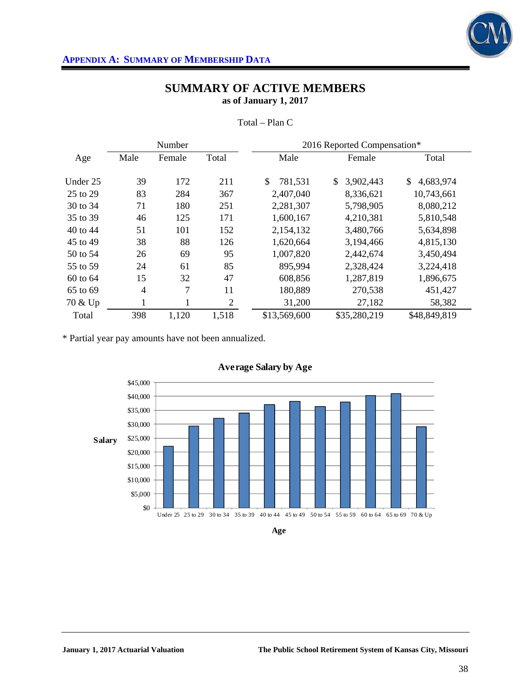

|          |                | Number<br>2016 Reported Compensation* |                |               |                 |                 |
|----------|----------------|---------------------------------------|----------------|---------------|-----------------|-----------------|
| Age      | Male           | Female                                | Total          | Male          | Female          | Total           |
|          |                |                                       |                |               |                 |                 |
| Under 25 | 39             | 172                                   | 211            | \$<br>781,531 | \$<br>3,902,443 | 4,683,974<br>\$ |
| 25 to 29 | 83             | 284                                   | 367            | 2,407,040     | 8,336,621       | 10,743,661      |
| 30 to 34 | 71             | 180                                   | 251            | 2,281,307     | 5,798,905       | 8,080,212       |
| 35 to 39 | 46             | 125                                   | 171            | 1,600,167     | 4,210,381       | 5,810,548       |
| 40 to 44 | 51             | 101                                   | 152            | 2,154,132     | 3,480,766       | 5,634,898       |
| 45 to 49 | 38             | 88                                    | 126            | 1,620,664     | 3,194,466       | 4,815,130       |
| 50 to 54 | 26             | 69                                    | 95             | 1,007,820     | 2,442,674       | 3,450,494       |
| 55 to 59 | 24             | 61                                    | 85             | 895,994       | 2,328,424       | 3,224,418       |
| 60 to 64 | 15             | 32                                    | 47             | 608,856       | 1,287,819       | 1,896,675       |
| 65 to 69 | $\overline{4}$ | 7                                     | 11             | 180,889       | 270,538         | 451,427         |
| 70 & Up  | $\mathbf{1}$   |                                       | $\mathfrak{2}$ | 31,200        | 27,182          | 58,382          |
| Total    | 398            | 1,120                                 | 1,518          | \$13,569,600  | \$35,280,219    | \$48,849,819    |

Total – Plan C

\* Partial year pay amounts have not been annualized.



**Age**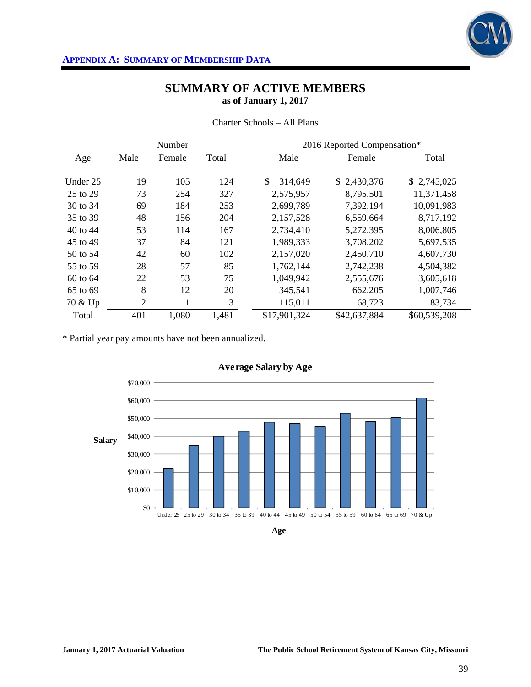

| Number       |                |        |       | 2016 Reported Compensation* |             |             |  |
|--------------|----------------|--------|-------|-----------------------------|-------------|-------------|--|
| Age          | Male           | Female | Total | Male                        | Female      | Total       |  |
| Under 25     | 19             | 105    | 124   | \$<br>314,649               | \$2,430,376 | \$2,745,025 |  |
| 25 to 29     | 73             | 254    | 327   | 2,575,957                   | 8,795,501   | 11,371,458  |  |
| 30 to 34     | 69             | 184    | 253   | 2,699,789                   | 7,392,194   | 10,091,983  |  |
| 35 to 39     | 48             | 156    | 204   | 2,157,528                   | 6,559,664   | 8,717,192   |  |
| 40 to 44     | 53             | 114    | 167   | 2,734,410                   | 5,272,395   | 8,006,805   |  |
| 45 to 49     | 37             | 84     | 121   | 1,989,333                   | 3,708,202   | 5,697,535   |  |
| 50 to 54     | 42             | 60     | 102   | 2,157,020                   | 2,450,710   | 4,607,730   |  |
| 55 to 59     | 28             | 57     | 85    | 1,762,144                   | 2,742,238   | 4,504,382   |  |
| $60$ to $64$ | 22             | 53     | 75    | 1,049,942                   | 2,555,676   | 3,605,618   |  |
| 65 to 69     | 8              | 12     | 20    | 345,541                     | 662,205     | 1,007,746   |  |
| 70 & Up      | $\overline{2}$ |        | 3     | 115,011                     | 68,723      | 183,734     |  |

Charter Schools – All Plans

\* Partial year pay amounts have not been annualized.



## **Average Salary by Age**

Total 401 1,080 1,481 \$17,901,324 \$42,637,884 \$60,539,208

**Age**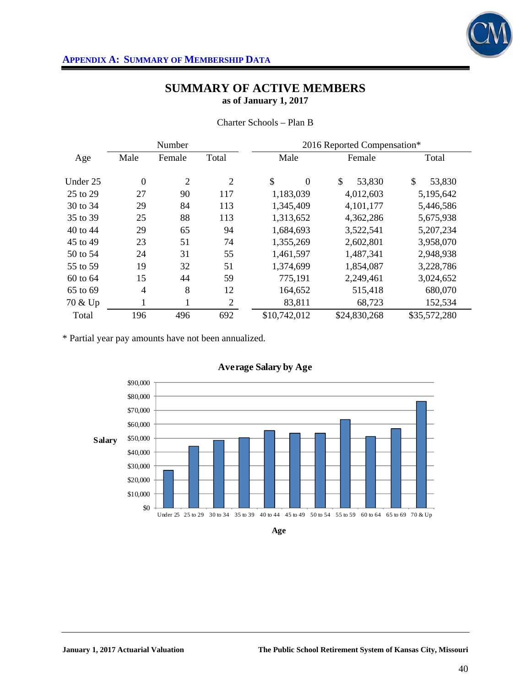

|          |                | Number         |                | 2016 Reported Compensation* |              |              |  |
|----------|----------------|----------------|----------------|-----------------------------|--------------|--------------|--|
| Age      | Male           | Female         | Total          | Male                        | Female       | Total        |  |
| Under 25 | $\overline{0}$ | $\overline{2}$ | $\overline{2}$ | \$<br>$\overline{0}$        | \$<br>53,830 | \$<br>53,830 |  |
| 25 to 29 | 27             | 90             | 117            | 1,183,039                   | 4,012,603    | 5,195,642    |  |
| 30 to 34 | 29             | 84             | 113            | 1,345,409                   | 4,101,177    | 5,446,586    |  |
| 35 to 39 | 25             | 88             | 113            | 1,313,652                   | 4,362,286    | 5,675,938    |  |
| 40 to 44 | 29             | 65             | 94             | 1,684,693                   | 3,522,541    | 5,207,234    |  |
| 45 to 49 | 23             | 51             | 74             | 1,355,269                   | 2,602,801    | 3,958,070    |  |
| 50 to 54 | 24             | 31             | 55             | 1,461,597                   | 1,487,341    | 2,948,938    |  |
| 55 to 59 | 19             | 32             | 51             | 1,374,699                   | 1,854,087    | 3,228,786    |  |
| 60 to 64 | 15             | 44             | 59             | 775,191                     | 2,249,461    | 3,024,652    |  |
| 65 to 69 | $\overline{4}$ | 8              | 12             | 164,652                     | 515,418      | 680,070      |  |
| 70 & Up  | $\mathbf{1}$   | 1              | $\mathfrak{2}$ | 83,811                      | 68,723       | 152,534      |  |
| Total    | 196            | 496            | 692            | \$10,742,012                | \$24,830,268 | \$35,572,280 |  |

Charter Schools – Plan B

\* Partial year pay amounts have not been annualized.



**Age**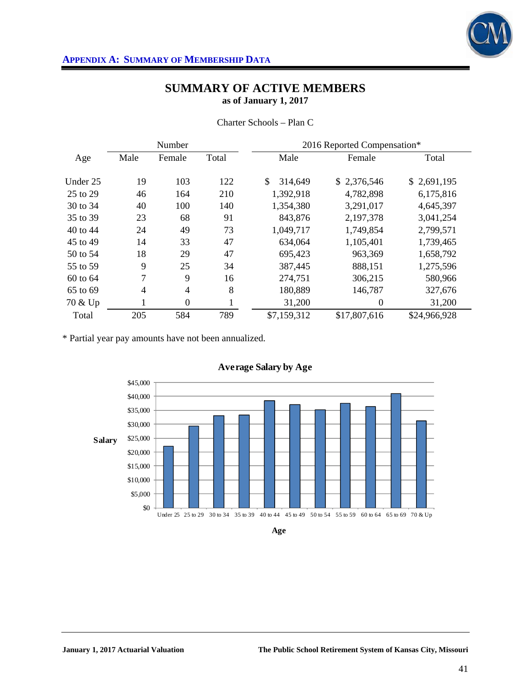

|          |                | Number       |       | 2016 Reported Compensation* |                |              |  |
|----------|----------------|--------------|-------|-----------------------------|----------------|--------------|--|
| Age      | Male           | Female       | Total | Male                        | Female         | Total        |  |
|          |                |              |       |                             |                |              |  |
| Under 25 | 19             | 103          | 122   | 314,649                     | \$2,376,546    | \$2,691,195  |  |
| 25 to 29 | 46             | 164          | 210   | 1,392,918                   | 4,782,898      | 6,175,816    |  |
| 30 to 34 | 40             | 100          | 140   | 1,354,380                   | 3,291,017      | 4,645,397    |  |
| 35 to 39 | 23             | 68           | 91    | 843,876                     | 2,197,378      | 3,041,254    |  |
| 40 to 44 | 24             | 49           | 73    | 1,049,717                   | 1,749,854      | 2,799,571    |  |
| 45 to 49 | 14             | 33           | 47    | 634,064                     | 1,105,401      | 1,739,465    |  |
| 50 to 54 | 18             | 29           | 47    | 695,423                     | 963,369        | 1,658,792    |  |
| 55 to 59 | 9              | 25           | 34    | 387,445                     | 888,151        | 1,275,596    |  |
| 60 to 64 | 7              | 9            | 16    | 274,751                     | 306,215        | 580,966      |  |
| 65 to 69 | $\overline{4}$ | 4            | 8     | 180,889                     | 146,787        | 327,676      |  |
| 70 & Up  | 1              | $\mathbf{0}$ | ı     | 31,200                      | $\overline{0}$ | 31,200       |  |
| Total    | 205            | 584          | 789   | \$7,159,312                 | \$17,807,616   | \$24,966,928 |  |

Charter Schools – Plan C

\* Partial year pay amounts have not been annualized.



**Age**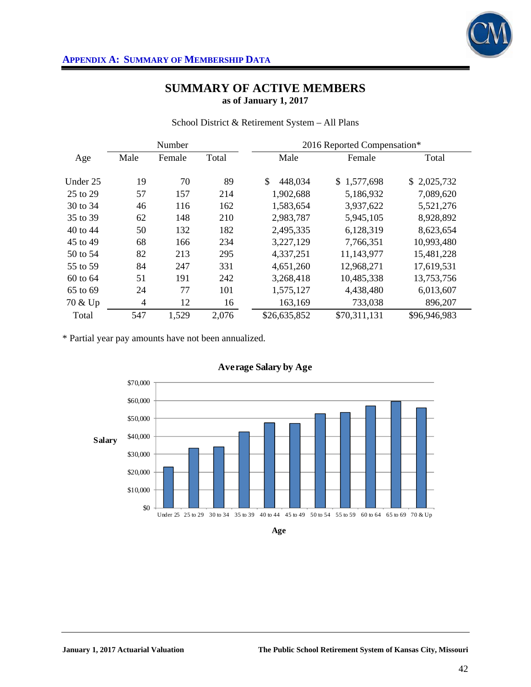

School District & Retirement System – All Plans

|          |                | Number |       | 2016 Reported Compensation* |              |              |  |
|----------|----------------|--------|-------|-----------------------------|--------------|--------------|--|
| Age      | Male           | Female | Total | Male                        | Female       | Total        |  |
| Under 25 | 19             | 70     | 89    | \$<br>448,034               | \$1,577,698  | \$2,025,732  |  |
| 25 to 29 | 57             | 157    | 214   | 1,902,688                   | 5,186,932    | 7,089,620    |  |
| 30 to 34 | 46             | 116    | 162   | 1,583,654                   | 3,937,622    | 5,521,276    |  |
| 35 to 39 | 62             | 148    | 210   | 2,983,787                   | 5,945,105    | 8,928,892    |  |
| 40 to 44 | 50             | 132    | 182   | 2,495,335                   | 6,128,319    | 8,623,654    |  |
| 45 to 49 | 68             | 166    | 234   | 3,227,129                   | 7,766,351    | 10,993,480   |  |
| 50 to 54 | 82             | 213    | 295   | 4,337,251                   | 11,143,977   | 15,481,228   |  |
| 55 to 59 | 84             | 247    | 331   | 4,651,260                   | 12,968,271   | 17,619,531   |  |
| 60 to 64 | 51             | 191    | 242   | 3,268,418                   | 10,485,338   | 13,753,756   |  |
| 65 to 69 | 24             | 77     | 101   | 1,575,127                   | 4,438,480    | 6,013,607    |  |
| 70 & Up  | $\overline{4}$ | 12     | 16    | 163,169                     | 733,038      | 896,207      |  |
| Total    | 547            | 1,529  | 2,076 | \$26,635,852                | \$70,311,131 | \$96,946,983 |  |

\* Partial year pay amounts have not been annualized.



**Age**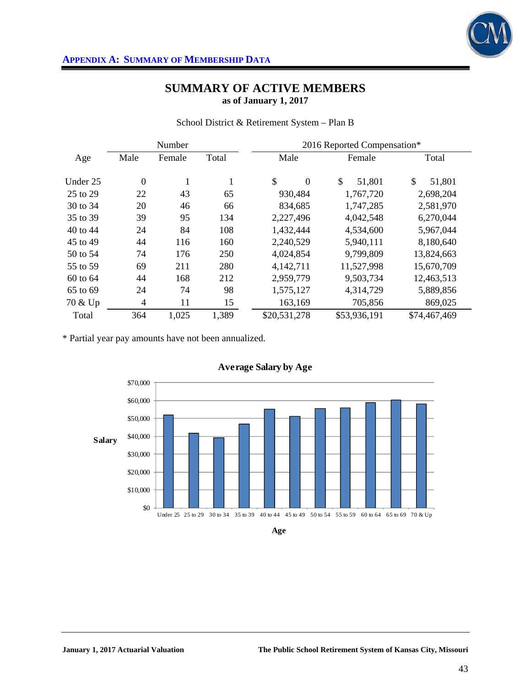

School District & Retirement System – Plan B

|          | 2016 Reported Compensation*<br>Number |        |              |                      |              |              |
|----------|---------------------------------------|--------|--------------|----------------------|--------------|--------------|
| Age      | Male                                  | Female | Total        | Male                 | Female       | Total        |
| Under 25 | $\boldsymbol{0}$                      | 1      | $\mathbf{1}$ | \$<br>$\overline{0}$ | \$<br>51,801 | \$<br>51,801 |
| 25 to 29 | 22                                    | 43     | 65           | 930,484              | 1,767,720    | 2,698,204    |
| 30 to 34 | 20                                    | 46     | 66           | 834,685              | 1,747,285    | 2,581,970    |
| 35 to 39 | 39                                    | 95     | 134          | 2,227,496            | 4,042,548    | 6,270,044    |
| 40 to 44 | 24                                    | 84     | 108          | 1,432,444            | 4,534,600    | 5,967,044    |
| 45 to 49 | 44                                    | 116    | 160          | 2,240,529            | 5,940,111    | 8,180,640    |
| 50 to 54 | 74                                    | 176    | 250          | 4,024,854            | 9,799,809    | 13,824,663   |
| 55 to 59 | 69                                    | 211    | 280          | 4,142,711            | 11,527,998   | 15,670,709   |
| 60 to 64 | 44                                    | 168    | 212          | 2,959,779            | 9,503,734    | 12,463,513   |
| 65 to 69 | 24                                    | 74     | 98           | 1,575,127            | 4,314,729    | 5,889,856    |
| 70 & Up  | $\overline{4}$                        | 11     | 15           | 163,169              | 705,856      | 869,025      |
| Total    | 364                                   | 1,025  | 1,389        | \$20,531,278         | \$53,936,191 | \$74,467,469 |

\* Partial year pay amounts have not been annualized.





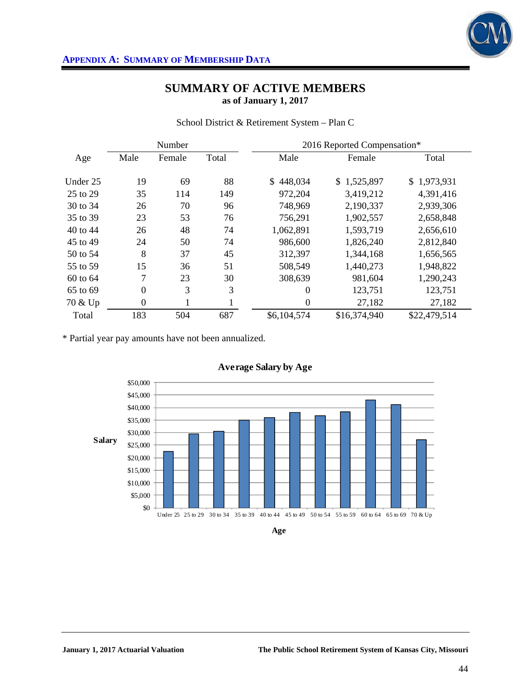

|  | School District & Retirement System – Plan C |  |
|--|----------------------------------------------|--|
|  |                                              |  |

|          |                  | Number |       |                | 2016 Reported Compensation* |              |
|----------|------------------|--------|-------|----------------|-----------------------------|--------------|
| Age      | Male             | Female | Total | Male           | Female                      | Total        |
| Under 25 | 19               | 69     | 88    | \$448,034      | \$1,525,897                 | \$1,973,931  |
| 25 to 29 | 35               | 114    | 149   | 972,204        | 3,419,212                   | 4,391,416    |
| 30 to 34 | 26               | 70     | 96    | 748,969        | 2,190,337                   | 2,939,306    |
| 35 to 39 | 23               | 53     | 76    | 756,291        | 1,902,557                   | 2,658,848    |
| 40 to 44 | 26               | 48     | 74    | 1,062,891      | 1,593,719                   | 2,656,610    |
| 45 to 49 | 24               | 50     | 74    | 986,600        | 1,826,240                   | 2,812,840    |
| 50 to 54 | 8                | 37     | 45    | 312,397        | 1,344,168                   | 1,656,565    |
| 55 to 59 | 15               | 36     | 51    | 508,549        | 1,440,273                   | 1,948,822    |
| 60 to 64 | 7                | 23     | 30    | 308,639        | 981,604                     | 1,290,243    |
| 65 to 69 | $\boldsymbol{0}$ | 3      | 3     | $\theta$       | 123,751                     | 123,751      |
| 70 & Up  | $\boldsymbol{0}$ |        |       | $\overline{0}$ | 27,182                      | 27,182       |
| Total    | 183              | 504    | 687   | \$6,104,574    | \$16,374,940                | \$22,479,514 |

\* Partial year pay amounts have not been annualized.



**Age**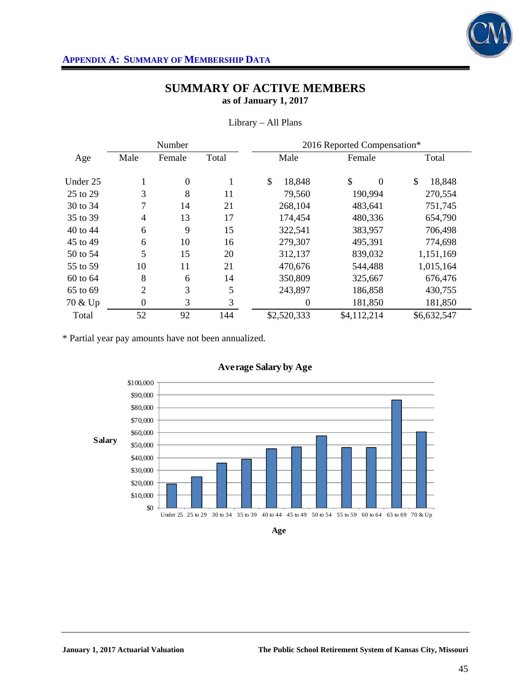

|          |                  | Number           |       | 2016 Reported Compensation* |                |              |  |  |  |  |
|----------|------------------|------------------|-------|-----------------------------|----------------|--------------|--|--|--|--|
| Age      | Male             | Female           | Total | Male                        | Female         | Total        |  |  |  |  |
| Under 25 |                  | $\boldsymbol{0}$ |       | \$<br>18,848                | \$<br>$\theta$ | \$<br>18,848 |  |  |  |  |
| 25 to 29 | 3                | 8                | 11    | 79,560                      | 190,994        | 270,554      |  |  |  |  |
| 30 to 34 | 7                | 14               | 21    | 268,104                     | 483,641        | 751,745      |  |  |  |  |
| 35 to 39 | $\overline{4}$   | 13               | 17    | 174,454                     | 480,336        | 654,790      |  |  |  |  |
| 40 to 44 | 6                | 9                | 15    | 322,541                     | 383,957        | 706,498      |  |  |  |  |
| 45 to 49 | 6                | 10               | 16    | 279,307                     | 495,391        | 774,698      |  |  |  |  |
| 50 to 54 | 5                | 15               | 20    | 312,137                     | 839,032        | 1,151,169    |  |  |  |  |
| 55 to 59 | 10               | 11               | 21    | 470,676                     | 544,488        | 1,015,164    |  |  |  |  |
| 60 to 64 | 8                | 6                | 14    | 350,809                     | 325,667        | 676,476      |  |  |  |  |
| 65 to 69 | $\overline{2}$   | 3                | 5     | 243,897                     | 186,858        | 430,755      |  |  |  |  |
| 70 & Up  | $\boldsymbol{0}$ | 3                | 3     | $\theta$                    | 181,850        | 181,850      |  |  |  |  |
| Total    | 52               | 92               | 144   | \$2,520,333                 | \$4,112,214    | \$6,632,547  |  |  |  |  |

## Library – All Plans

\* Partial year pay amounts have not been annualized.



**Age**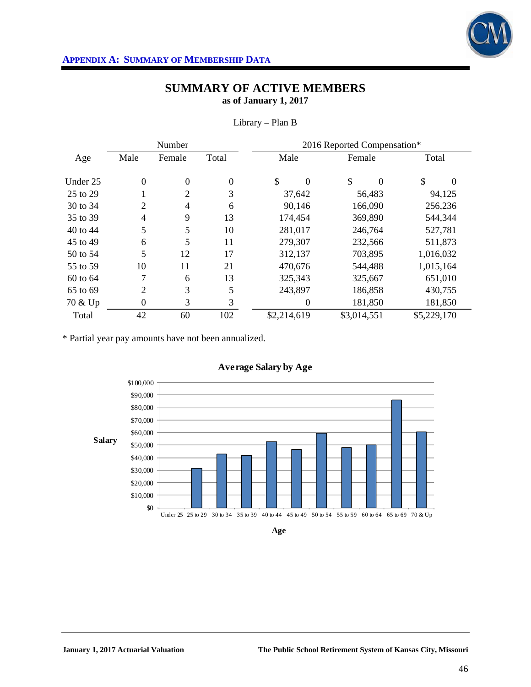

|          |                  | Number         |                  |                | 2016 Reported Compensation* |                |  |  |  |  |  |
|----------|------------------|----------------|------------------|----------------|-----------------------------|----------------|--|--|--|--|--|
| Age      | Male             | Female         | Total            | Male           | Female                      | Total          |  |  |  |  |  |
| Under 25 | $\overline{0}$   | $\mathbf{0}$   | $\boldsymbol{0}$ | \$<br>$\theta$ | \$<br>$\Omega$              | \$<br>$\Omega$ |  |  |  |  |  |
| 25 to 29 |                  | $\overline{2}$ | 3                | 37,642         | 56,483                      | 94,125         |  |  |  |  |  |
| 30 to 34 | $\overline{2}$   | $\overline{4}$ | 6                | 90,146         | 166,090                     | 256,236        |  |  |  |  |  |
| 35 to 39 | 4                | 9              | 13               | 174,454        | 369,890                     | 544,344        |  |  |  |  |  |
| 40 to 44 | 5                | 5              | 10               | 281,017        | 246,764                     | 527,781        |  |  |  |  |  |
| 45 to 49 | 6                | 5              | 11               | 279,307        | 232,566                     |                |  |  |  |  |  |
| 50 to 54 | 5                | 12             | 17               | 312,137        | 703,895                     | 1,016,032      |  |  |  |  |  |
| 55 to 59 | 10               | 11             | 21               | 470,676        | 544,488                     | 1,015,164      |  |  |  |  |  |
| 60 to 64 | 7                | 6              | 13               | 325,343        | 325,667                     | 651,010        |  |  |  |  |  |
| 65 to 69 | 2                | 3              | 5                | 243,897        | 186,858                     | 430,755        |  |  |  |  |  |
| 70 & Up  | $\boldsymbol{0}$ | 3              | 3                | $\theta$       | 181,850                     | 181,850        |  |  |  |  |  |
| Total    | 42               | 60             | 102              | \$2,214,619    | \$3,014,551                 | \$5,229,170    |  |  |  |  |  |

Library – Plan B

\* Partial year pay amounts have not been annualized.



**Age**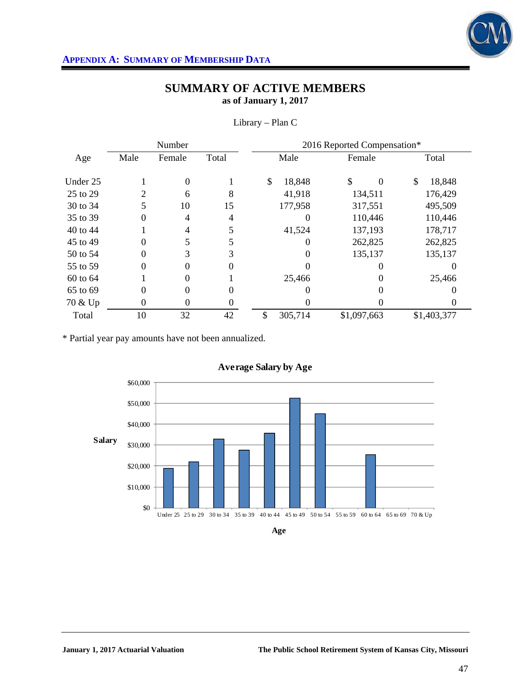

|          |          | Number   |        | 2016 Reported Compensation* |                |              |  |  |  |  |
|----------|----------|----------|--------|-----------------------------|----------------|--------------|--|--|--|--|
| Age      | Male     | Female   | Total  | Male                        | Female         | Total        |  |  |  |  |
| Under 25 |          | $\theta$ |        | \$<br>18,848                | \$<br>$\Omega$ | \$<br>18,848 |  |  |  |  |
| 25 to 29 | 2        | 6        | 8      | 41,918                      | 134,511        | 176,429      |  |  |  |  |
| 30 to 34 | 5        | 10       | 15     | 177,958                     | 317,551        | 495,509      |  |  |  |  |
| 35 to 39 | 0        | 4        | 4      | $\Omega$                    | 110,446        | 110,446      |  |  |  |  |
| 40 to 44 |          | 4        | 5      | 41,524                      | 137,193        | 178,717      |  |  |  |  |
| 45 to 49 | 0        | 5        | 5      | $\Omega$                    | 262,825        | 262,825      |  |  |  |  |
| 50 to 54 | $\theta$ | 3        | 3      |                             | 135,137        | 135,137      |  |  |  |  |
| 55 to 59 | $\theta$ | 0        | 0      |                             | 0              |              |  |  |  |  |
| 60 to 64 |          | $\theta$ |        | 25,466                      |                | 25,466       |  |  |  |  |
| 65 to 69 | $\theta$ | $\theta$ | $_{0}$ |                             |                |              |  |  |  |  |
| 70 & Up  | 0        | $\theta$ | 0      |                             |                |              |  |  |  |  |
| Total    | 10       | 32       | 42     | \$<br>305,714               | \$1,097,663    | \$1,403,377  |  |  |  |  |

Library – Plan C

\* Partial year pay amounts have not been annualized.

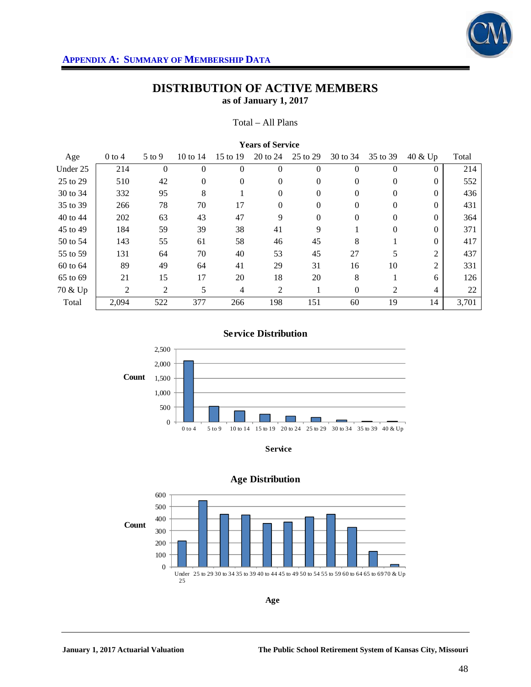

#### Total – All Plans

| <b>Years of Service</b> |          |          |                |                |                |                  |          |                |                |       |  |
|-------------------------|----------|----------|----------------|----------------|----------------|------------------|----------|----------------|----------------|-------|--|
| Age                     | $0$ to 4 | $5$ to 9 | 10 to 14       | 15 to 19       | 20 to 24       | 25 to 29         | 30 to 34 | 35 to 39       | 40 & Up        | Total |  |
| Under 25                | 214      | $\theta$ | $\theta$       | $\overline{0}$ | $\Omega$       | $\boldsymbol{0}$ | $\Omega$ | $\overline{0}$ | $\Omega$       | 214   |  |
| 25 to 29                | 510      | 42       | $\overline{0}$ | $\Omega$       | $\Omega$       | $\overline{0}$   | $\Omega$ | $\Omega$       | $\Omega$       | 552   |  |
| 30 to 34                | 332      | 95       | 8              |                | $\Omega$       | 0                | $\Omega$ | $\mathbf{0}$   | $\Omega$       | 436   |  |
| 35 to 39                | 266      | 78       | 70             | 17             | $\Omega$       | 0                | $\Omega$ | $\Omega$       | $\Omega$       | 431   |  |
| 40 to 44                | 202      | 63       | 43             | 47             | 9              | $\overline{0}$   | $\Omega$ | $\Omega$       | $\Omega$       | 364   |  |
| 45 to 49                | 184      | 59       | 39             | 38             | 41             | 9                |          | $\mathbf{0}$   | $\Omega$       | 371   |  |
| 50 to 54                | 143      | 55       | 61             | 58             | 46             | 45               | 8        |                | $\Omega$       | 417   |  |
| 55 to 59                | 131      | 64       | 70             | 40             | 53             | 45               | 27       | 5              | 2              | 437   |  |
| 60 to 64                | 89       | 49       | 64             | 41             | 29             | 31               | 16       | 10             | $\overline{2}$ | 331   |  |
| 65 to 69                | 21       | 15       | 17             | 20             | 18             | 20               | 8        |                | 6              | 126   |  |
| 70 & Up                 | 2        | 2        | 5              | $\overline{4}$ | $\overline{2}$ | 1                | $\Omega$ | 2              | 4              | 22    |  |
| Total                   | 2,094    | 522      | 377            | 266            | 198            | 151              | 60       | 19             | 14             | 3,701 |  |

## **Service Distribution**



**Service**



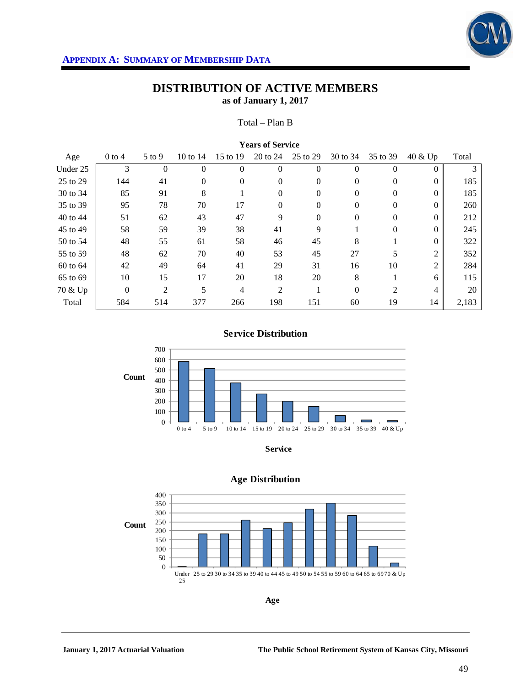

#### Total – Plan B

| <b>Years of Service</b> |                |                |                |          |                |                |          |                |                |       |  |
|-------------------------|----------------|----------------|----------------|----------|----------------|----------------|----------|----------------|----------------|-------|--|
| Age                     | $0$ to 4       | $5$ to 9       | 10 to $14$     | 15 to 19 | 20 to 24       | 25 to 29       | 30 to 34 | 35 to 39       | $40 \& Up$     | Total |  |
| Under 25                | 3              | $\overline{0}$ | $\overline{0}$ | $\Omega$ | $\theta$       | $\overline{0}$ | $\Omega$ | $\mathbf{0}$   | $\Omega$       |       |  |
| 25 to 29                | 144            | 41             | $\overline{0}$ | $\Omega$ | $\Omega$       | $\overline{0}$ | $\Omega$ | $\Omega$       | $\Omega$       | 185   |  |
| 30 to 34                | 85             | 91             | 8              |          | $\Omega$       | $\overline{0}$ | $\Omega$ | $\overline{0}$ | $\Omega$       | 185   |  |
| 35 to 39                | 95             | 78             | 70             | 17       | $\Omega$       | $\mathbf{0}$   | 0        | $\Omega$       | $\Omega$       | 260   |  |
| 40 to 44                | 51             | 62             | 43             | 47       | 9              | $\mathbf{0}$   | $\Omega$ | $\Omega$       | $\Omega$       | 212   |  |
| 45 to 49                | 58             | 59             | 39             | 38       | 41             | 9              |          | $\overline{0}$ | $\Omega$       | 245   |  |
| 50 to 54                | 48             | 55             | 61             | 58       | 46             | 45             | 8        |                | $\Omega$       | 322   |  |
| 55 to 59                | 48             | 62             | 70             | 40       | 53             | 45             | 27       | 5              | 2              | 352   |  |
| 60 to 64                | 42             | 49             | 64             | 41       | 29             | 31             | 16       | 10             | $\overline{2}$ | 284   |  |
| 65 to 69                | 10             | 15             | 17             | 20       | 18             | 20             | 8        |                | 6              | 115   |  |
| 70 & Up                 | $\overline{0}$ | 2              | 5              | 4        | $\overline{c}$ | 1              | $\Omega$ | 2              | 4              | 20    |  |
| Total                   | 584            | 514            | 377            | 266      | 198            | 151            | 60       | 19             | 14             | 2,183 |  |

### **Service Distribution**



**Service**



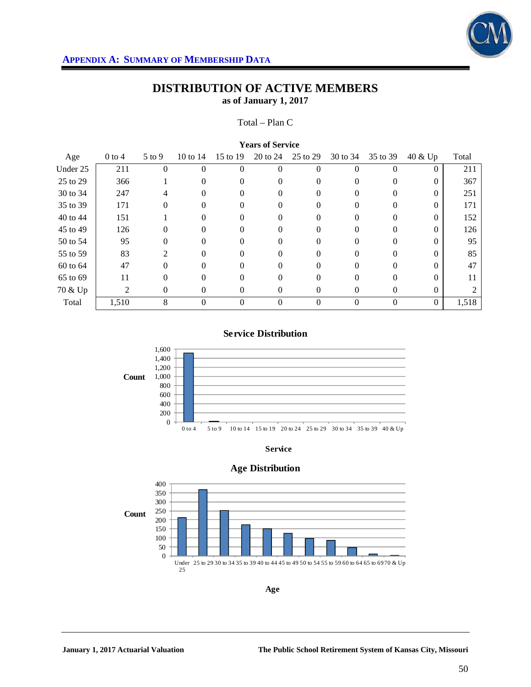

#### Total – Plan C

| <b>Years of Service</b> |          |                   |            |                |          |          |          |          |            |       |
|-------------------------|----------|-------------------|------------|----------------|----------|----------|----------|----------|------------|-------|
| Age                     | $0$ to 4 | $5 \text{ to } 9$ | 10 to $14$ | 15 to 19       | 20 to 24 | 25 to 29 | 30 to 34 | 35 to 39 | $40 \& Up$ | Total |
| Under 25                | 211      | 0                 | $\theta$   | $\theta$       | $\Omega$ | 0        | $\Omega$ | $\theta$ | $\theta$   | 211   |
| 25 to 29                | 366      |                   | 0          | $\Omega$       | $\Omega$ | 0        | 0        | $\Omega$ | $\Omega$   | 367   |
| 30 to 34                | 247      | 4                 | $\Omega$   | $\Omega$       | $\Omega$ | 0        | $\Omega$ | $\Omega$ | $\Omega$   | 251   |
| 35 to 39                | 171      | 0                 | 0          |                | 0        | 0        |          | 0        | 0          | 171   |
| 40 to 44                | 151      |                   | $\Omega$   | $\Omega$       | 0        | 0        | $\Omega$ | $\Omega$ | $\Omega$   | 152   |
| 45 to 49                | 126      | 0                 | 0          | 0              | 0        | 0        | 0        | $\Omega$ | 0          | 126   |
| 50 to 54                | 95       | $\Omega$          | 0          | 0              | $\Omega$ | 0        |          | $\Omega$ | 0          | 95    |
| 55 to 59                | 83       | 2                 | $\Omega$   | $\Omega$       | 0        | 0        | $\Omega$ | $\Omega$ | $\Omega$   | 85    |
| 60 to 64                | 47       | $\Omega$          | 0          | 0              | 0        | 0        |          | $\Omega$ | 0          | 47    |
| 65 to 69                | 11       | $\Omega$          | 0          | $\Omega$       | $\Omega$ | 0        | 0        | $\Omega$ | $\Omega$   | 11    |
| 70 & Up                 | 2        | $\Omega$          | $\Omega$   | $\Omega$       | $\Omega$ | 0        | $\Omega$ | $\theta$ | $\Omega$   |       |
| Total                   | 1,510    | 8                 | 0          | $\overline{0}$ | $\theta$ | 0        | $\Omega$ | $\Omega$ | $\Omega$   | 1,518 |

### **Service Distribution**



**Service**



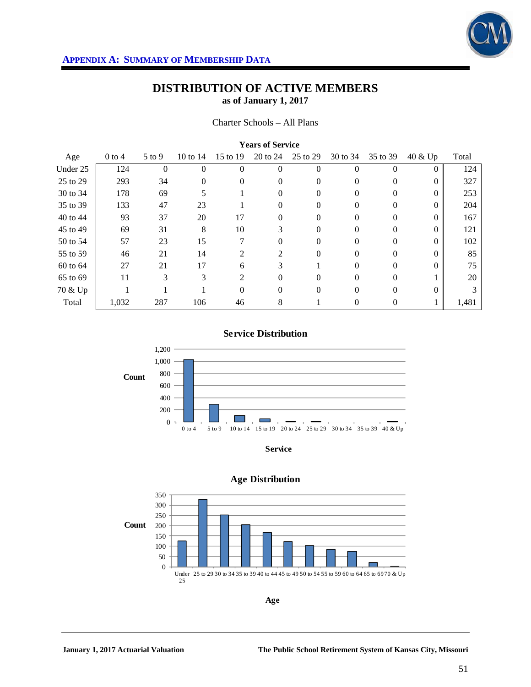

#### Charter Schools – All Plans

| <b>Years of Service</b> |          |                |          |                |          |          |          |          |          |       |
|-------------------------|----------|----------------|----------|----------------|----------|----------|----------|----------|----------|-------|
| Age                     | $0$ to 4 | $5$ to 9       | 10 to 14 | 15 to 19       | 20 to 24 | 25 to 29 | 30 to 34 | 35 to 39 | 40 & Up  | Total |
| Under 25                | 124      | $\overline{0}$ | $\theta$ | $\overline{0}$ | $\theta$ | 0        | $\Omega$ | $\theta$ | $\Omega$ | 124   |
| 25 to 29                | 293      | 34             | $\Omega$ | $\Omega$       | $\Omega$ | 0        | $\Omega$ | $\Omega$ | $\Omega$ | 327   |
| 30 to 34                | 178      | 69             | 5        |                | $\Omega$ | 0        | $\Omega$ | $\Omega$ | $\Omega$ | 253   |
| 35 to 39                | 133      | 47             | 23       |                | $\Omega$ | 0        | 0        | $\Omega$ | $\Omega$ | 204   |
| 40 to 44                | 93       | 37             | 20       | 17             | $\Omega$ | $\theta$ | $\Omega$ | $\Omega$ | $\Omega$ | 167   |
| 45 to 49                | 69       | 31             | 8        | 10             | 3        | 0        | 0        | $\Omega$ | $\Omega$ | 121   |
| 50 to 54                | 57       | 23             | 15       | 7              | $\Omega$ | 0        | 0        | $\Omega$ | $\Omega$ | 102   |
| 55 to 59                | 46       | 21             | 14       | 2              | 2        | $\theta$ | $\Omega$ | $\Omega$ | $\Omega$ | 85    |
| 60 to 64                | 27       | 21             | 17       | 6              | 3        |          |          | $\Omega$ | $\Omega$ | 75    |
| 65 to 69                | 11       | 3              | 3        | 2              | $\Omega$ | 0        | $\Omega$ | $\Omega$ |          | 20    |
| 70 & Up                 | 1        |                |          | $\Omega$       | $\Omega$ | 0        | $\Omega$ | $\Omega$ | $\Omega$ | 3     |
| Total                   | 1,032    | 287            | 106      | 46             | 8        |          | $\Omega$ | $\Omega$ |          | 1,481 |

#### **Service Distribution**



**Service**



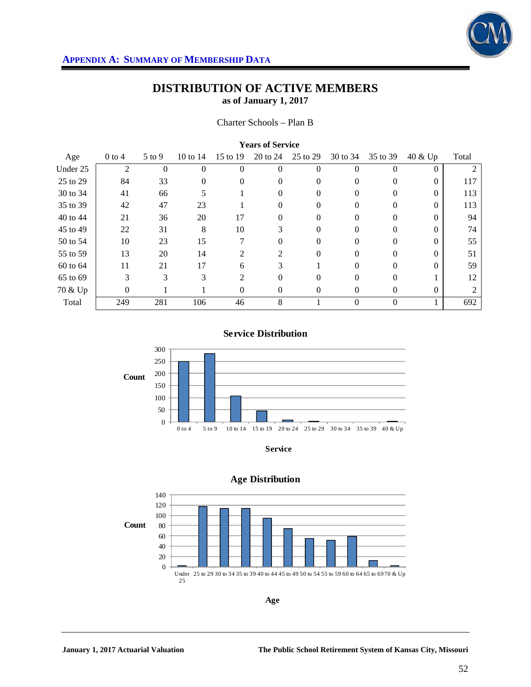

#### Charter Schools – Plan B

|          | <b>TEGIS OF DELVICE</b> |            |          |                             |          |          |          |          |          |       |  |
|----------|-------------------------|------------|----------|-----------------------------|----------|----------|----------|----------|----------|-------|--|
| Age      | $0$ to 4                | $5$ to $9$ | 10 to 14 | 15 to 19                    | 20 to 24 | 25 to 29 | 30 to 34 | 35 to 39 | 40 & Up  | Total |  |
| Under 25 | $\overline{2}$          | $\theta$   | $\Omega$ | $\Omega$                    | $\Omega$ | 0        | 0        | $\Omega$ | $\Omega$ |       |  |
| 25 to 29 | 84                      | 33         | 0        | $\Omega$                    | $\theta$ | $\Omega$ | $\theta$ | $\Omega$ | $\theta$ | 117   |  |
| 30 to 34 | 41                      | 66         | 5        |                             | $\theta$ |          |          | 0        | 0        | 113   |  |
| 35 to 39 | 42                      | 47         | 23       |                             |          | 0        |          | 0        | 0        | 113   |  |
| 40 to 44 | 21                      | 36         | 20       | 17                          | 0        | $\Omega$ | $\Omega$ | $\Omega$ | 0        | 94    |  |
| 45 to 49 | 22                      | 31         | 8        | 10                          | 3        | 0        | $\Omega$ | $\Omega$ | 0        | 74    |  |
| 50 to 54 | 10                      | 23         | 15       |                             |          |          |          | 0        | $\theta$ | 55    |  |
| 55 to 59 | 13                      | 20         | 14       | $\mathcal{D}_{\mathcal{L}}$ | 2        | 0        |          | $\Omega$ |          | 51    |  |
| 60 to 64 | 11                      | 21         | 17       | 6                           | 3        |          | $\Omega$ | $\Omega$ | 0        | 59    |  |
| 65 to 69 | 3                       | 3          | 3        | 2                           | $\theta$ |          | $\Omega$ | $\Omega$ |          | 12    |  |
| 70 & Up  | 0                       |            |          | 0                           | 0        | 0        |          |          | $\theta$ |       |  |
| Total    | 249                     | 281        | 106      | 46                          | 8        |          | $\Omega$ | $\Omega$ |          | 692   |  |

### **Years of Service**

### **Service Distribution**



**Service**



### **Age Distribution**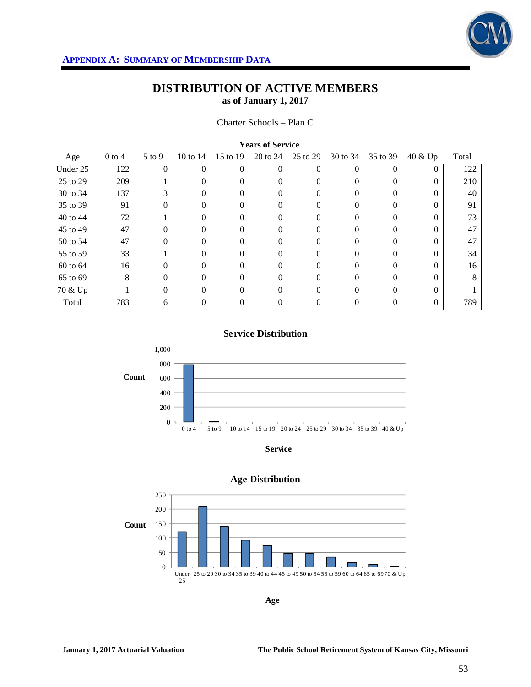

| <b>Years of Service</b> |          |          |            |          |          |          |          |          |          |       |
|-------------------------|----------|----------|------------|----------|----------|----------|----------|----------|----------|-------|
| Age                     | $0$ to 4 | $5$ to 9 | 10 to $14$ | 15 to 19 | 20 to 24 | 25 to 29 | 30 to 34 | 35 to 39 | 40 & Up  | Total |
| Under 25                | 122      | 0        | 0          | $\Omega$ | 0        | 0        |          | $\Omega$ | $\Omega$ | 122   |
| 25 to 29                | 209      |          | $\Omega$   | 0        | 0        | 0        | $\Omega$ | $\Omega$ | $\Omega$ | 210   |
| 30 to 34                | 137      | 3        | 0          |          | $\theta$ |          |          | 0        | 0        | 140   |
| 35 to 39                | 91       | 0        | $\Omega$   |          | 0        |          |          | $\Omega$ | 0        | 91    |
| 40 to 44                | 72       |          | 0          | $\Omega$ | 0        | $\Omega$ | $\Omega$ | $\Omega$ | 0        | 73    |
| 45 to 49                | 47       | 0        |            |          | 0        |          |          |          | 0        | 47    |
| 50 to 54                | 47       | $\Omega$ |            |          | 0        |          |          | 0        |          | 47    |
| 55 to 59                | 33       |          | 0          | 0        | 0        | 0        | $\Omega$ | $\Omega$ | 0        | 34    |
| 60 to 64                | 16       |          |            |          | 0        | 0        |          | 0        |          | 16    |
| 65 to 69                | 8        | $\Omega$ | 0          | 0        | $\Omega$ | 0        | 0        | $\Omega$ | 0        | 8     |
| 70 & Up                 |          | 0        | 0          | $\theta$ | 0        | 0        | $\Omega$ | 0        | $\Omega$ |       |
| Total                   | 783      | 6        |            | 0        | $\Omega$ | 0        | $\Omega$ | $\Omega$ | $\Omega$ | 789   |





**Service**



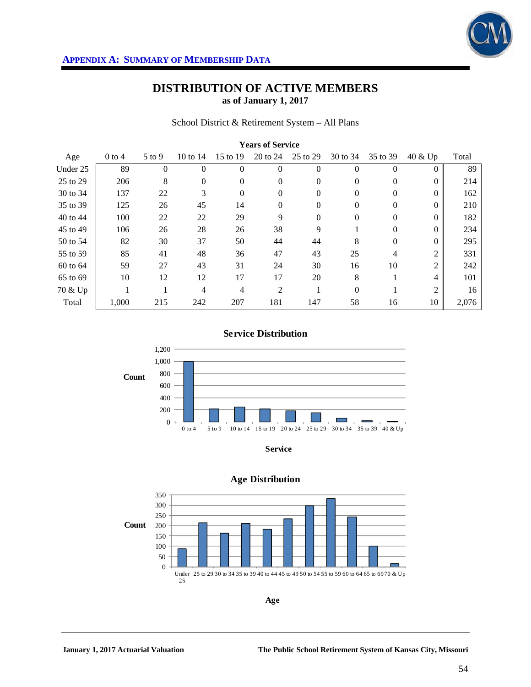

School District & Retirement System – All Plans

| <b>Years of Service</b> |          |              |            |                |              |              |          |                |                |       |  |
|-------------------------|----------|--------------|------------|----------------|--------------|--------------|----------|----------------|----------------|-------|--|
| Age                     | $0$ to 4 | $5$ to 9     | 10 to $14$ | 15 to 19       | 20 to 24     | 25 to 29     | 30 to 34 | 35 to 39       | 40 & Up        | Total |  |
| Under 25                | 89       | $\mathbf{0}$ | $\Omega$   | $\theta$       | $\theta$     | $\theta$     | $\Omega$ | $\theta$       | 0              | 89    |  |
| 25 to 29                | 206      | 8            | $\Omega$   | $\Omega$       | $\Omega$     | $\mathbf{0}$ | $\Omega$ | $\Omega$       | $\Omega$       | 214   |  |
| 30 to 34                | 137      | 22           | 3          | $\mathbf{0}$   | $\mathbf{0}$ | $\mathbf{0}$ | $\Omega$ | $\theta$       | $\Omega$       | 162   |  |
| 35 to 39                | 125      | 26           | 45         | 14             | $\Omega$     | $\theta$     | $\theta$ | $\overline{0}$ | $\Omega$       | 210   |  |
| 40 to 44                | 100      | 22           | 22         | 29             | 9            | $\theta$     | $\Omega$ | $\theta$       | $\Omega$       | 182   |  |
| 45 to 49                | 106      | 26           | 28         | 26             | 38           | 9            |          | $\Omega$       | $\Omega$       | 234   |  |
| 50 to 54                | 82       | 30           | 37         | 50             | 44           | 44           | 8        | $\theta$       | $\Omega$       | 295   |  |
| 55 to 59                | 85       | 41           | 48         | 36             | 47           | 43           | 25       | 4              | 2              | 331   |  |
| 60 to 64                | 59       | 27           | 43         | 31             | 24           | 30           | 16       | 10             | $\overline{2}$ | 242   |  |
| 65 to 69                | 10       | 12           | 12         | 17             | 17           | 20           | 8        |                | 4              | 101   |  |
| 70 & Up                 |          |              | 4          | $\overline{4}$ | 2            | 1            | $\Omega$ |                | $\overline{2}$ | 16    |  |
| Total                   | 1,000    | 215          | 242        | 207            | 181          | 147          | 58       | 16             | 10             | 2,076 |  |

### **Service Distribution**



**Service**



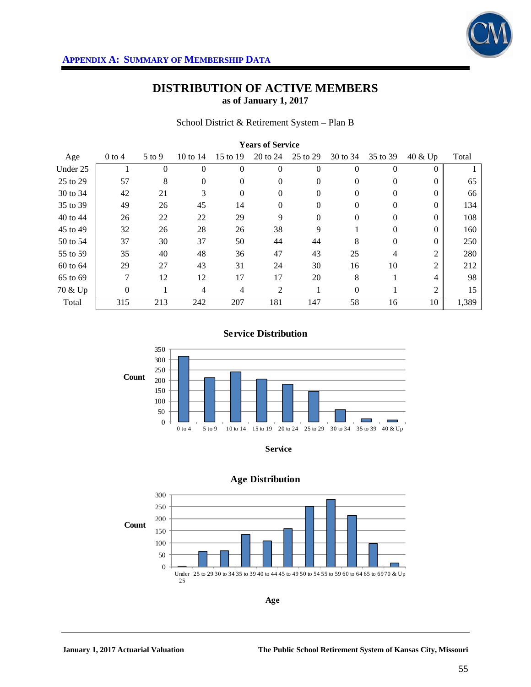

#### School District & Retirement System – Plan B

| <b>Years of Service</b> |                |          |            |                |              |              |          |                |                |       |
|-------------------------|----------------|----------|------------|----------------|--------------|--------------|----------|----------------|----------------|-------|
| Age                     | $0$ to 4       | $5$ to 9 | 10 to $14$ | 15 to 19       | 20 to 24     | 25 to 29     | 30 to 34 | 35 to 39       | 40 & Up        | Total |
| Under 25                |                | $\theta$ | $\theta$   | $\theta$       | $\mathbf{0}$ | $\theta$     | $\theta$ | $\overline{0}$ | 0              |       |
| 25 to 29                | 57             | 8        | $\Omega$   | $\Omega$       | $\Omega$     | $\mathbf{0}$ | $\Omega$ | $\Omega$       | $\Omega$       | 65    |
| 30 to 34                | 42             | 21       | 3          | $\mathbf{0}$   | $\mathbf{0}$ | $\mathbf{0}$ | $\Omega$ | $\theta$       | $\Omega$       | 66    |
| 35 to 39                | 49             | 26       | 45         | 14             | $\Omega$     | $\theta$     | $\theta$ | $\overline{0}$ | $\Omega$       | 134   |
| 40 to 44                | 26             | 22       | 22         | 29             | 9            | $\mathbf{0}$ | $\Omega$ | $\theta$       | $\Omega$       | 108   |
| 45 to 49                | 32             | 26       | 28         | 26             | 38           | 9            |          | $\theta$       | $\Omega$       | 160   |
| 50 to 54                | 37             | 30       | 37         | 50             | 44           | 44           | 8        | $\theta$       | $\Omega$       | 250   |
| 55 to 59                | 35             | 40       | 48         | 36             | 47           | 43           | 25       | 4              | $\overline{2}$ | 280   |
| 60 to 64                | 29             | 27       | 43         | 31             | 24           | 30           | 16       | 10             | $\overline{c}$ | 212   |
| 65 to 69                | 7              | 12       | 12         | 17             | 17           | 20           | 8        |                | 4              | 98    |
| 70 & Up                 | $\overline{0}$ |          | 4          | $\overline{4}$ | 2            | 1            | $\Omega$ |                | 2              | 15    |
| Total                   | 315            | 213      | 242        | 207            | 181          | 147          | 58       | 16             | 10             | 1,389 |

### **Service Distribution**





#### **Age Distribution**



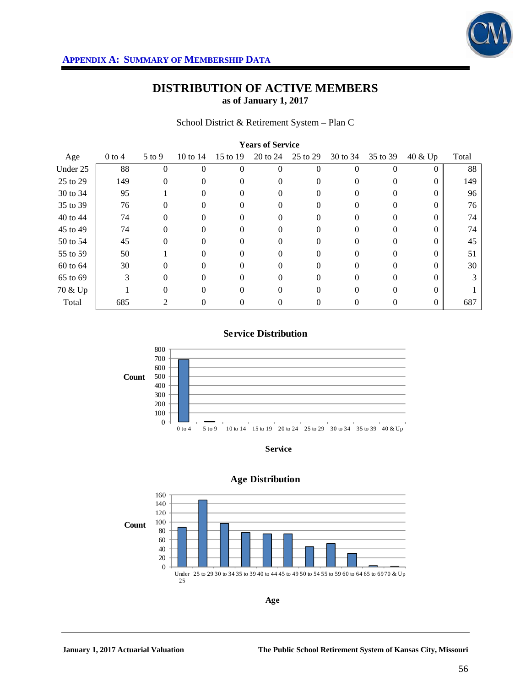

School District & Retirement System – Plan C

| <b>Years of Service</b> |            |            |            |          |          |          |          |          |          |       |
|-------------------------|------------|------------|------------|----------|----------|----------|----------|----------|----------|-------|
| Age                     | $0$ to $4$ | $5$ to $9$ | 10 to $14$ | 15 to 19 | 20 to 24 | 25 to 29 | 30 to 34 | 35 to 39 | 40 & Up  | Total |
| Under 25                | 88         |            | 0          | $\theta$ | $\Omega$ | 0        | $\Omega$ |          | $\Omega$ | 88    |
| 25 to 29                | 149        | 0          | 0          | 0        | 0        | 0        | 0        | 0        | 0        | 149   |
| 30 to 34                | 95         |            | 0          | 0        | 0        | 0        | $\theta$ | 0        | 0        | 96    |
| 35 to 39                | 76         | 0          | 0          |          | 0        | 0        |          |          |          | 76    |
| 40 to 44                | 74         | $\Omega$   | 0          | 0        | 0        | 0        | 0        | $\Omega$ | $\Omega$ | 74    |
| 45 to 49                | 74         | 0          | 0          |          | 0        | 0        |          | 0        | 0        | 74    |
| 50 to 54                | 45         | $\Omega$   |            |          | $\Omega$ |          |          | 0        |          | 45    |
| 55 to 59                | 50         |            | 0          | $\Omega$ | 0        | $\Omega$ | $\Omega$ | $\Omega$ | 0        | 51    |
| 60 to 64                | 30         | 0          | 0          |          | 0        | 0        |          |          |          | 30    |
| 65 to 69                | 3          | 0          | 0          | 0        | $\Omega$ | 0        |          | $\Omega$ | $\Omega$ |       |
| 70 & Up                 |            | 0          | 0          | $\Omega$ | $\Omega$ | 0        | $\theta$ | 0        | $\theta$ |       |
| Total                   | 685        | 2          | 0          | 0        | $\Omega$ | 0        | $\Omega$ | $\Omega$ | $\theta$ | 687   |

### **Service Distribution**



**Service**



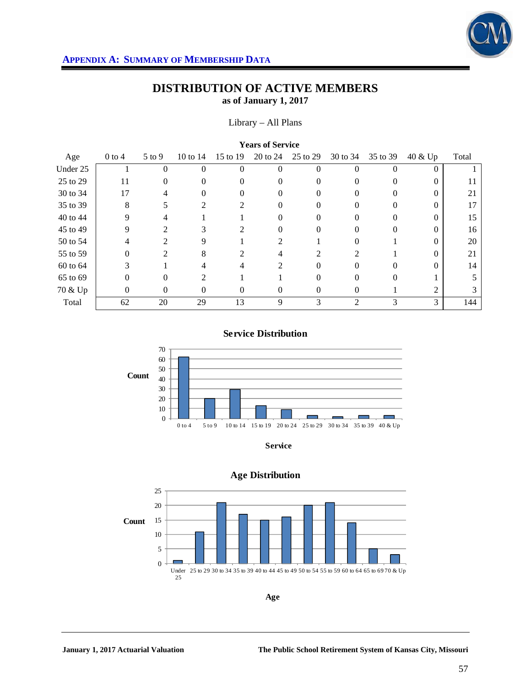

#### Library – All Plans

| <b>Years of Service</b> |          |               |          |                |          |          |                |          |          |       |
|-------------------------|----------|---------------|----------|----------------|----------|----------|----------------|----------|----------|-------|
| Age                     | $0$ to 4 | $5$ to $9$    | 10 to 14 | 15 to 19       | 20 to 24 | 25 to 29 | 30 to 34       | 35 to 39 | 40 & Up  | Total |
| Under 25                |          | 0             | $\Omega$ | $\theta$       | $\Omega$ | 0        | $\Omega$       | $\Omega$ | $\theta$ |       |
| 25 to 29                | 11       | $\theta$      | 0        | 0              | 0        | 0        |                | 0        | 0        |       |
| 30 to 34                | 17       | 4             | 0        | 0              | $\Omega$ | 0        | 0              | $\theta$ | 0        | 21    |
| 35 to 39                | 8        |               | 2        | $\mathfrak{D}$ | 0        | 0        |                | 0        | 0        | 17    |
| 40 to 44                | 9        | 4             |          |                | 0        | 0        | 0              | 0        | 0        | 15    |
| 45 to 49                | 9        |               |          |                | 0        |          |                | $\Omega$ | 0        | 16    |
| 50 to 54                | 4        | $\mathcal{D}$ | 9        |                | っ        |          |                |          |          | 20    |
| 55 to 59                | $\theta$ | 2             | 8        | $\mathcal{L}$  | 4        | 2        | 2              |          | 0        | 21    |
| 60 to 64                | 3        |               |          |                | 2        | 0        |                |          |          | 14    |
| 65 to 69                | $\Omega$ | $\Omega$      | 2        |                |          | 0        | 0              | $\Omega$ |          |       |
| 70 & Up                 | 0        | $\theta$      | 0        | $\Omega$       | 0        | 0        | $\Omega$       |          | 2        | 3     |
| Total                   | 62       | 20            | 29       | 13             | 9        | 3        | $\overline{2}$ | 3        | 3        | 144   |

## **Service Distribution**





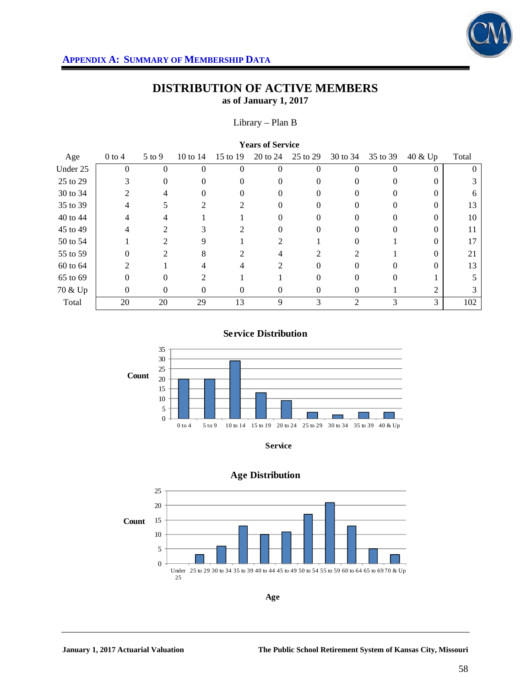

### Library – Plan B

| <b>Years of Service</b> |                |                             |            |                             |          |          |                |          |                |       |
|-------------------------|----------------|-----------------------------|------------|-----------------------------|----------|----------|----------------|----------|----------------|-------|
| Age                     | $0$ to 4       | $5$ to 9                    | 10 to $14$ | 15 to 19                    | 20 to 24 | 25 to 29 | 30 to 34       | 35 to 39 | 40 & Up        | Total |
| Under 25                | $\overline{0}$ | $\theta$                    | $\Omega$   | $\Omega$                    | $\theta$ | 0        | $\Omega$       | $\Omega$ | $\theta$       |       |
| 25 to 29                | 3              | $\Omega$                    | 0          | 0                           | 0        | 0        |                | 0        | 0              |       |
| 30 to 34                | 2              | 4                           | 0          | 0                           | $\Omega$ | 0        | $\theta$       | $\Omega$ | 0              | 6     |
| 35 to 39                | 4              |                             | 2          | $\mathcal{D}_{\mathcal{L}}$ | 0        | 0        |                | 0        | 0              | 13    |
| 40 to 44                | 4              | 4                           |            |                             | 0        | $\Omega$ | 0              | 0        | 0              | 10    |
| 45 to 49                | 4              | 2                           |            |                             | $\theta$ |          |                | $\Omega$ | 0              |       |
| 50 to 54                |                | $\mathcal{D}_{\mathcal{L}}$ | 9          |                             | っ        |          |                |          |                |       |
| 55 to 59                | 0              | 2                           | 8          | $\overline{\mathcal{L}}$    | 4        | 2        | 2              |          | 0              | 21    |
| 60 to 64                | $\mathfrak{D}$ |                             |            |                             | 2        | $\Omega$ |                |          |                | 13    |
| 65 to 69                | $\Omega$       | 0                           | 2          |                             |          | 0        | $\Omega$       | $\Omega$ |                |       |
| 70 & Up                 | 0              | 0                           | 0          | $\Omega$                    | 0        | 0        | $\Omega$       |          | $\mathfrak{D}$ | 3     |
| Total                   | 20             | 20                          | 29         | 13                          | 9        | 3        | $\overline{2}$ | 3        | 3              | 102   |

### **Service Distribution**





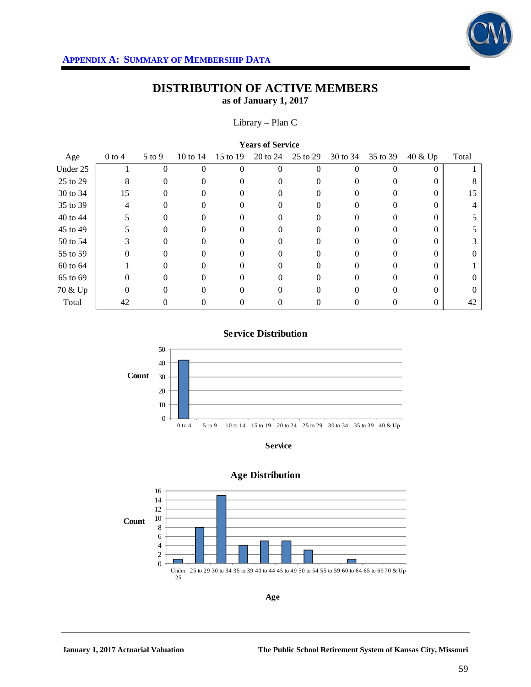

### Library – Plan C

| <b>Years of Service</b> |          |            |            |                |          |          |          |          |          |          |
|-------------------------|----------|------------|------------|----------------|----------|----------|----------|----------|----------|----------|
| Age                     | $0$ to 4 | $5$ to $9$ | 10 to $14$ | 15 to 19       | 20 to 24 | 25 to 29 | 30 to 34 | 35 to 39 | 40 & Up  | Total    |
| Under 25                |          | 0          | 0          | $\Omega$       | $\Omega$ | 0        |          | 0        | $\theta$ |          |
| 25 to 29                | 8        | 0          | 0          |                | 0        | $_{0}$   |          |          | 0        |          |
| 30 to 34                | 15       | 0          | 0          | $\Omega$       | 0        | 0        | $^{(1)}$ | 0        | $\Omega$ | 15       |
| 35 to 39                | 4        |            | 0          |                |          | $_{0}$   |          |          | 0        |          |
| 40 to 44                | 5        | 0          | 0          | 0              | 0        | 0        |          | 0        | $\Omega$ |          |
| 45 to 49                |          | 0          | 0          |                | $\Omega$ | $_{0}$   |          |          | 0        |          |
| 50 to 54                | 3        |            |            |                | 0        |          |          |          |          |          |
| 55 to 59                | 0        | 0          | 0          | $\Omega$       | 0        | 0        | 0        | 0        | $\Omega$ | $\Omega$ |
| 60 to 64                |          |            | 0          |                |          | $_{0}$   |          |          | 0        |          |
| 65 to 69                | 0        | $\Omega$   | 0          | 0              | 0        | 0        |          | 0        | 0        | 0        |
| 70 & Up                 | 0        | $\Omega$   | 0          | $\left($       | 0        | $^{(1)}$ | $^{(1)}$ | $\theta$ | $\Omega$ | $\theta$ |
| Total                   | 42       | 0          | 0          | $\overline{0}$ | $\theta$ | 0        |          | $\theta$ | $\Omega$ | 42       |

## **Service Distribution**



**Service**



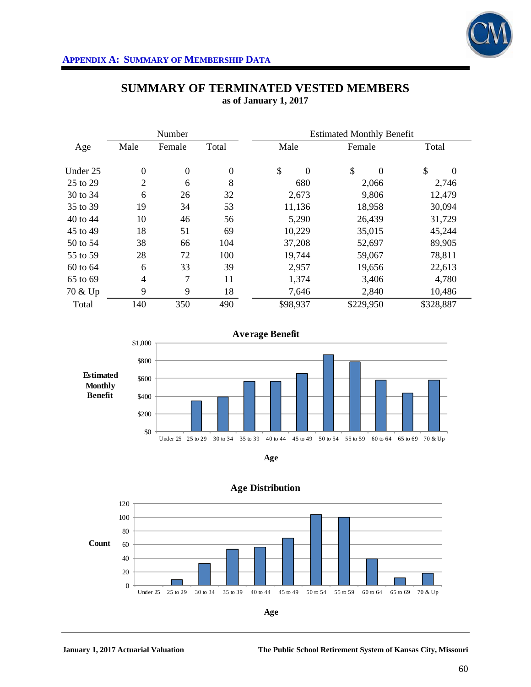

|          |                | Number           |              | <b>Estimated Monthly Benefit</b> |                |                |  |  |
|----------|----------------|------------------|--------------|----------------------------------|----------------|----------------|--|--|
| Age      | Male           | Female           | Total        | Male                             | Female         | Total          |  |  |
| Under 25 | $\overline{0}$ | $\boldsymbol{0}$ | $\mathbf{0}$ | \$<br>$\theta$                   | \$<br>$\theta$ | \$<br>$\Omega$ |  |  |
| 25 to 29 | $\overline{2}$ | 6                | 8            | 680                              | 2,066          | 2,746          |  |  |
| 30 to 34 | 6              | 26               | 32           | 2,673                            | 9,806          | 12,479         |  |  |
| 35 to 39 | 19             | 34               | 53           | 11,136                           | 18,958         | 30,094         |  |  |
| 40 to 44 | 10             | 46               | 56           | 5,290                            | 26,439         | 31,729         |  |  |
| 45 to 49 | 18             | 51               | 69           | 10,229                           | 35,015         | 45,244         |  |  |
| 50 to 54 | 38             | 66               | 104          | 37,208                           | 52,697         | 89,905         |  |  |
| 55 to 59 | 28             | 72               | 100          | 19,744                           | 59,067         | 78,811         |  |  |
| 60 to 64 | 6              | 33               | 39           | 2,957                            | 19,656         | 22,613         |  |  |
| 65 to 69 | 4              | 7                | 11           | 1,374                            | 3,406          | 4,780          |  |  |
| 70 & Up  | 9              | 9                | 18           | 7,646                            | 2,840          | 10,486         |  |  |
| Total    | 140            | 350              | 490          | \$98,937                         | \$229,950      | \$328,887      |  |  |

# **SUMMARY OF TERMINATED VESTED MEMBERS as of January 1, 2017**







### **Age Distribution**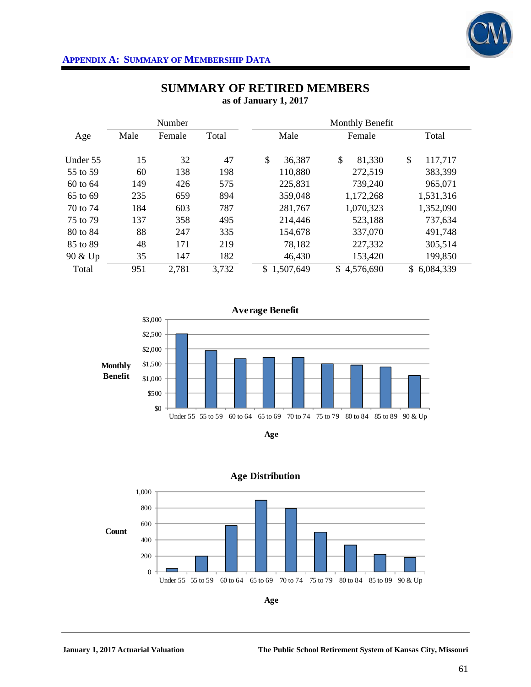

|              |      | Number |       |                 | Monthly Benefit |                 |
|--------------|------|--------|-------|-----------------|-----------------|-----------------|
| Age          | Male | Female | Total | Male            | Female          | Total           |
| Under 55     | 15   | 32     | 47    | \$<br>36,387    | \$<br>81,330    | \$<br>117,717   |
| 55 to 59     | 60   | 138    | 198   | 110,880         | 272,519         | 383,399         |
| $60$ to $64$ | 149  | 426    | 575   | 225,831         | 739,240         | 965,071         |
| 65 to 69     | 235  | 659    | 894   | 359,048         | 1,172,268       | 1,531,316       |
| 70 to 74     | 184  | 603    | 787   | 281,767         | 1,070,323       | 1,352,090       |
| 75 to 79     | 137  | 358    | 495   | 214,446         | 523,188         | 737,634         |
| 80 to 84     | 88   | 247    | 335   | 154,678         | 337,070         | 491,748         |
| 85 to 89     | 48   | 171    | 219   | 78,182          | 227,332         | 305,514         |
| 90 & Up      | 35   | 147    | 182   | 46,430          | 153,420         | 199,850         |
| Total        | 951  | 2,781  | 3,732 | 1,507,649<br>\$ | \$4,576,690     | 6,084,339<br>\$ |







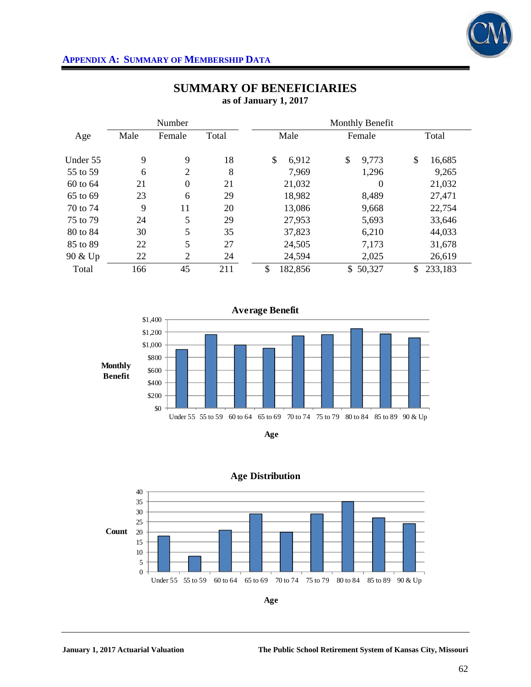

|          |      | Number           |       | Monthly Benefit |                  |               |  |  |
|----------|------|------------------|-------|-----------------|------------------|---------------|--|--|
| Age      | Male | Female           | Total | Male            | Female           | Total         |  |  |
| Under 55 | 9    | 9                | 18    | \$<br>6,912     | \$<br>9,773      | \$<br>16,685  |  |  |
| 55 to 59 | 6    | $\overline{2}$   | 8     | 7,969           | 1,296            | 9,265         |  |  |
| 60 to 64 | 21   | $\boldsymbol{0}$ | 21    | 21,032          | $\boldsymbol{0}$ | 21,032        |  |  |
| 65 to 69 | 23   | 6                | 29    | 18,982          | 8,489            | 27,471        |  |  |
| 70 to 74 | 9    | 11               | 20    | 13,086          | 9,668            | 22,754        |  |  |
| 75 to 79 | 24   | 5                | 29    | 27,953          | 5,693            | 33,646        |  |  |
| 80 to 84 | 30   | 5                | 35    | 37,823          | 6,210            | 44,033        |  |  |
| 85 to 89 | 22   | 5                | 27    | 24,505          | 7,173            | 31,678        |  |  |
| 90 & Up  | 22   | $\overline{2}$   | 24    | 24,594          | 2,025            | 26,619        |  |  |
| Total    | 166  | 45               | 211   | \$<br>182,856   | \$50,327         | 233,183<br>\$ |  |  |

# **SUMMARY OF BENEFICIARIES as of January 1, 2017**





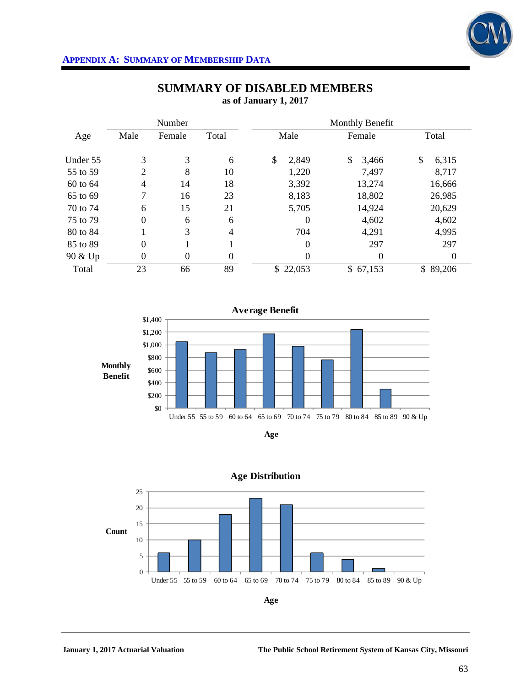

# **APPENDIX A: SUMMARY OF MEMBERSHIP DATA**

|          |                | Number   |                  | Monthly Benefit |             |             |  |  |
|----------|----------------|----------|------------------|-----------------|-------------|-------------|--|--|
| Age      | Male           | Female   | Total            | Male            | Female      | Total       |  |  |
| Under 55 | 3              | 3        | 6                | \$<br>2,849     | \$<br>3,466 | \$<br>6,315 |  |  |
| 55 to 59 | $\overline{2}$ | 8        | 10               | 1,220           | 7,497       | 8,717       |  |  |
| 60 to 64 | $\overline{4}$ | 14       | 18               | 3,392           | 13,274      | 16,666      |  |  |
| 65 to 69 | 7              | 16       | 23               | 8,183           | 18,802      | 26,985      |  |  |
| 70 to 74 | 6              | 15       | 21               | 5,705           | 14,924      | 20,629      |  |  |
| 75 to 79 | $\overline{0}$ | 6        | 6                | $\Omega$        | 4,602       | 4,602       |  |  |
| 80 to 84 |                | 3        | 4                | 704             | 4,291       | 4,995       |  |  |
| 85 to 89 | $\overline{0}$ |          |                  | $\theta$        | 297         | 297         |  |  |
| 90 & Up  | $\theta$       | $\theta$ | $\boldsymbol{0}$ | $\theta$        | $\Omega$    | 0           |  |  |
| Total    | 23             | 66       | 89               | \$22,053        | \$67,153    | \$89,206    |  |  |

# **SUMMARY OF DISABLED MEMBERS as of January 1, 2017**







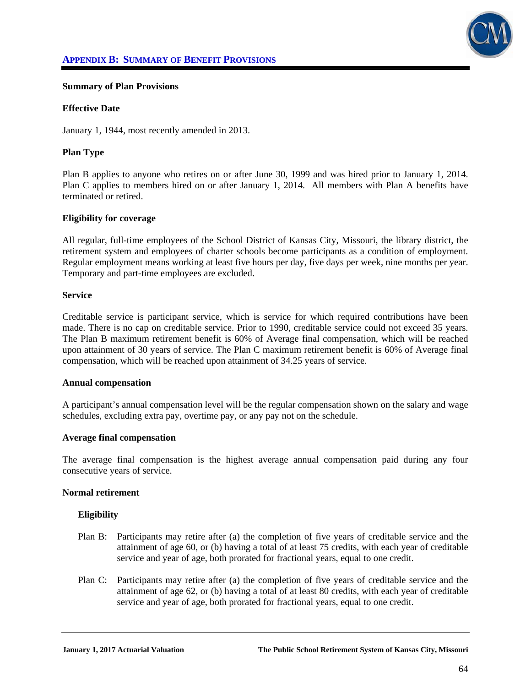

### **Summary of Plan Provisions**

#### **Effective Date**

January 1, 1944, most recently amended in 2013.

### **Plan Type**

Plan B applies to anyone who retires on or after June 30, 1999 and was hired prior to January 1, 2014. Plan C applies to members hired on or after January 1, 2014. All members with Plan A benefits have terminated or retired.

#### **Eligibility for coverage**

All regular, full-time employees of the School District of Kansas City, Missouri, the library district, the retirement system and employees of charter schools become participants as a condition of employment. Regular employment means working at least five hours per day, five days per week, nine months per year. Temporary and part-time employees are excluded.

#### **Service**

Creditable service is participant service, which is service for which required contributions have been made. There is no cap on creditable service. Prior to 1990, creditable service could not exceed 35 years. The Plan B maximum retirement benefit is 60% of Average final compensation, which will be reached upon attainment of 30 years of service. The Plan C maximum retirement benefit is 60% of Average final compensation, which will be reached upon attainment of 34.25 years of service.

#### **Annual compensation**

A participant's annual compensation level will be the regular compensation shown on the salary and wage schedules, excluding extra pay, overtime pay, or any pay not on the schedule.

#### **Average final compensation**

The average final compensation is the highest average annual compensation paid during any four consecutive years of service.

#### **Normal retirement**

### **Eligibility**

- Plan B: Participants may retire after (a) the completion of five years of creditable service and the attainment of age 60, or (b) having a total of at least 75 credits, with each year of creditable service and year of age, both prorated for fractional years, equal to one credit.
- Plan C: Participants may retire after (a) the completion of five years of creditable service and the attainment of age 62, or (b) having a total of at least 80 credits, with each year of creditable service and year of age, both prorated for fractional years, equal to one credit.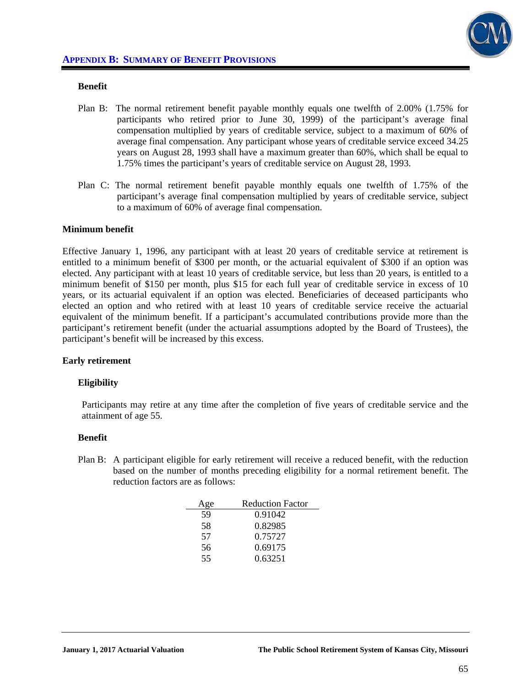

### **Benefit**

- Plan B: The normal retirement benefit payable monthly equals one twelfth of 2.00% (1.75% for participants who retired prior to June 30, 1999) of the participant's average final compensation multiplied by years of creditable service, subject to a maximum of 60% of average final compensation. Any participant whose years of creditable service exceed 34.25 years on August 28, 1993 shall have a maximum greater than 60%, which shall be equal to 1.75% times the participant's years of creditable service on August 28, 1993.
- Plan C: The normal retirement benefit payable monthly equals one twelfth of 1.75% of the participant's average final compensation multiplied by years of creditable service, subject to a maximum of 60% of average final compensation.

#### **Minimum benefit**

Effective January 1, 1996, any participant with at least 20 years of creditable service at retirement is entitled to a minimum benefit of \$300 per month, or the actuarial equivalent of \$300 if an option was elected. Any participant with at least 10 years of creditable service, but less than 20 years, is entitled to a minimum benefit of \$150 per month, plus \$15 for each full year of creditable service in excess of 10 years, or its actuarial equivalent if an option was elected. Beneficiaries of deceased participants who elected an option and who retired with at least 10 years of creditable service receive the actuarial equivalent of the minimum benefit. If a participant's accumulated contributions provide more than the participant's retirement benefit (under the actuarial assumptions adopted by the Board of Trustees), the participant's benefit will be increased by this excess.

### **Early retirement**

#### **Eligibility**

Participants may retire at any time after the completion of five years of creditable service and the attainment of age 55.

#### **Benefit**

Plan B: A participant eligible for early retirement will receive a reduced benefit, with the reduction based on the number of months preceding eligibility for a normal retirement benefit. The reduction factors are as follows:

| Age | <b>Reduction Factor</b> |
|-----|-------------------------|
| 59  | 0.91042                 |
| 58  | 0.82985                 |
| 57  | 0.75727                 |
| 56  | 0.69175                 |
| 55  | 0.63251                 |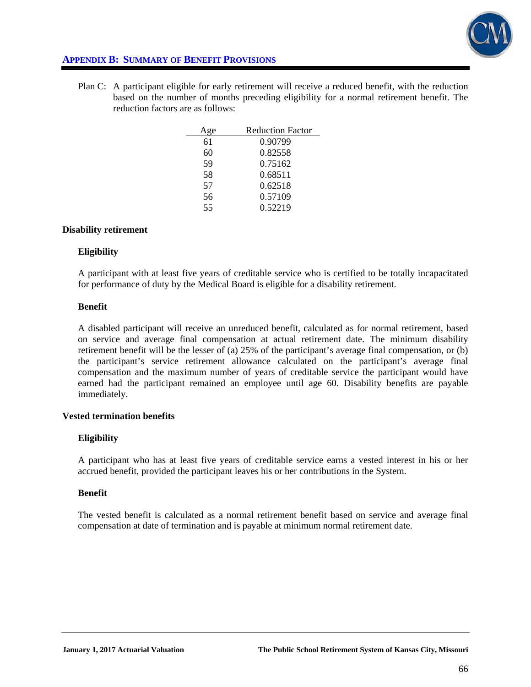

# **APPENDIX B: SUMMARY OF BENEFIT PROVISIONS**

Plan C: A participant eligible for early retirement will receive a reduced benefit, with the reduction based on the number of months preceding eligibility for a normal retirement benefit. The reduction factors are as follows:

| Age | <b>Reduction Factor</b> |
|-----|-------------------------|
| 61  | 0.90799                 |
| 60  | 0.82558                 |
| 59  | 0.75162                 |
| 58  | 0.68511                 |
| 57  | 0.62518                 |
| 56  | 0.57109                 |
| 55  | 0.52219                 |

### **Disability retirement**

#### **Eligibility**

A participant with at least five years of creditable service who is certified to be totally incapacitated for performance of duty by the Medical Board is eligible for a disability retirement.

#### **Benefit**

A disabled participant will receive an unreduced benefit, calculated as for normal retirement, based on service and average final compensation at actual retirement date. The minimum disability retirement benefit will be the lesser of (a) 25% of the participant's average final compensation, or (b) the participant's service retirement allowance calculated on the participant's average final compensation and the maximum number of years of creditable service the participant would have earned had the participant remained an employee until age 60. Disability benefits are payable immediately.

### **Vested termination benefits**

### **Eligibility**

A participant who has at least five years of creditable service earns a vested interest in his or her accrued benefit, provided the participant leaves his or her contributions in the System.

### **Benefit**

The vested benefit is calculated as a normal retirement benefit based on service and average final compensation at date of termination and is payable at minimum normal retirement date.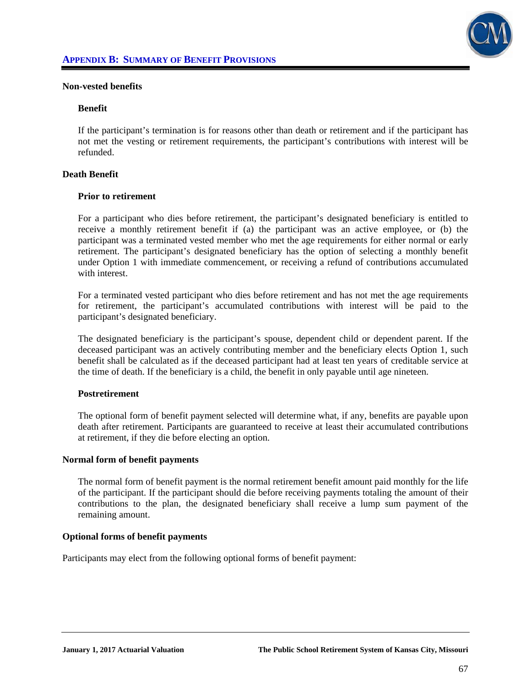

#### **Non-vested benefits**

#### **Benefit**

If the participant's termination is for reasons other than death or retirement and if the participant has not met the vesting or retirement requirements, the participant's contributions with interest will be refunded.

### **Death Benefit**

#### **Prior to retirement**

For a participant who dies before retirement, the participant's designated beneficiary is entitled to receive a monthly retirement benefit if (a) the participant was an active employee, or (b) the participant was a terminated vested member who met the age requirements for either normal or early retirement. The participant's designated beneficiary has the option of selecting a monthly benefit under Option 1 with immediate commencement, or receiving a refund of contributions accumulated with interest.

 For a terminated vested participant who dies before retirement and has not met the age requirements for retirement, the participant's accumulated contributions with interest will be paid to the participant's designated beneficiary.

 The designated beneficiary is the participant's spouse, dependent child or dependent parent. If the deceased participant was an actively contributing member and the beneficiary elects Option 1, such benefit shall be calculated as if the deceased participant had at least ten years of creditable service at the time of death. If the beneficiary is a child, the benefit in only payable until age nineteen.

### **Postretirement**

The optional form of benefit payment selected will determine what, if any, benefits are payable upon death after retirement. Participants are guaranteed to receive at least their accumulated contributions at retirement, if they die before electing an option.

#### **Normal form of benefit payments**

The normal form of benefit payment is the normal retirement benefit amount paid monthly for the life of the participant. If the participant should die before receiving payments totaling the amount of their contributions to the plan, the designated beneficiary shall receive a lump sum payment of the remaining amount.

#### **Optional forms of benefit payments**

Participants may elect from the following optional forms of benefit payment: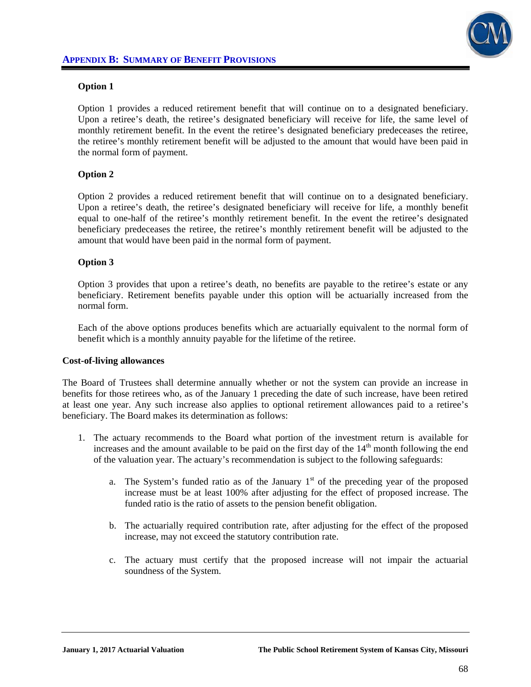

## **Option 1**

Option 1 provides a reduced retirement benefit that will continue on to a designated beneficiary. Upon a retiree's death, the retiree's designated beneficiary will receive for life, the same level of monthly retirement benefit. In the event the retiree's designated beneficiary predeceases the retiree, the retiree's monthly retirement benefit will be adjusted to the amount that would have been paid in the normal form of payment.

### **Option 2**

Option 2 provides a reduced retirement benefit that will continue on to a designated beneficiary. Upon a retiree's death, the retiree's designated beneficiary will receive for life, a monthly benefit equal to one-half of the retiree's monthly retirement benefit. In the event the retiree's designated beneficiary predeceases the retiree, the retiree's monthly retirement benefit will be adjusted to the amount that would have been paid in the normal form of payment.

## **Option 3**

Option 3 provides that upon a retiree's death, no benefits are payable to the retiree's estate or any beneficiary. Retirement benefits payable under this option will be actuarially increased from the normal form.

 Each of the above options produces benefits which are actuarially equivalent to the normal form of benefit which is a monthly annuity payable for the lifetime of the retiree.

### **Cost-of-living allowances**

The Board of Trustees shall determine annually whether or not the system can provide an increase in benefits for those retirees who, as of the January 1 preceding the date of such increase, have been retired at least one year. Any such increase also applies to optional retirement allowances paid to a retiree's beneficiary. The Board makes its determination as follows:

- 1. The actuary recommends to the Board what portion of the investment return is available for increases and the amount available to be paid on the first day of the  $14<sup>th</sup>$  month following the end of the valuation year. The actuary's recommendation is subject to the following safeguards:
	- a. The System's funded ratio as of the January  $1<sup>st</sup>$  of the preceding year of the proposed increase must be at least 100% after adjusting for the effect of proposed increase. The funded ratio is the ratio of assets to the pension benefit obligation.
	- b. The actuarially required contribution rate, after adjusting for the effect of the proposed increase, may not exceed the statutory contribution rate.
	- c. The actuary must certify that the proposed increase will not impair the actuarial soundness of the System.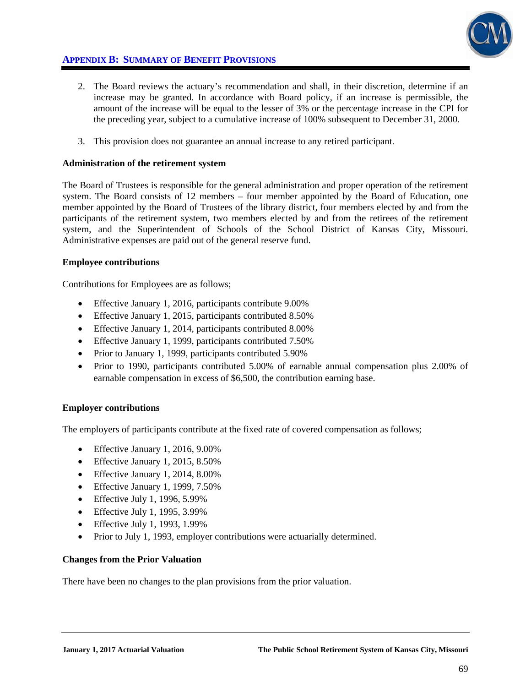

# **APPENDIX B: SUMMARY OF BENEFIT PROVISIONS**

- 2. The Board reviews the actuary's recommendation and shall, in their discretion, determine if an increase may be granted. In accordance with Board policy, if an increase is permissible, the amount of the increase will be equal to the lesser of 3% or the percentage increase in the CPI for the preceding year, subject to a cumulative increase of 100% subsequent to December 31, 2000.
- 3. This provision does not guarantee an annual increase to any retired participant.

### **Administration of the retirement system**

The Board of Trustees is responsible for the general administration and proper operation of the retirement system. The Board consists of 12 members – four member appointed by the Board of Education, one member appointed by the Board of Trustees of the library district, four members elected by and from the participants of the retirement system, two members elected by and from the retirees of the retirement system, and the Superintendent of Schools of the School District of Kansas City, Missouri. Administrative expenses are paid out of the general reserve fund.

### **Employee contributions**

Contributions for Employees are as follows;

- Effective January 1, 2016, participants contribute 9.00%
- Effective January 1, 2015, participants contributed 8.50%
- Effective January 1, 2014, participants contributed 8.00%
- Effective January 1, 1999, participants contributed 7.50%
- Prior to January 1, 1999, participants contributed 5.90%
- Prior to 1990, participants contributed 5.00% of earnable annual compensation plus 2.00% of earnable compensation in excess of \$6,500, the contribution earning base.

## **Employer contributions**

The employers of participants contribute at the fixed rate of covered compensation as follows;

- Effective January 1, 2016, 9.00%
- Effective January 1, 2015, 8.50%
- Effective January 1, 2014, 8.00%
- Effective January 1, 1999, 7.50%
- $\bullet$  Effective July 1, 1996, 5.99%
- $\bullet$  Effective July 1, 1995, 3.99%
- Effective July 1, 1993, 1.99%
- Prior to July 1, 1993, employer contributions were actuarially determined.

## **Changes from the Prior Valuation**

There have been no changes to the plan provisions from the prior valuation.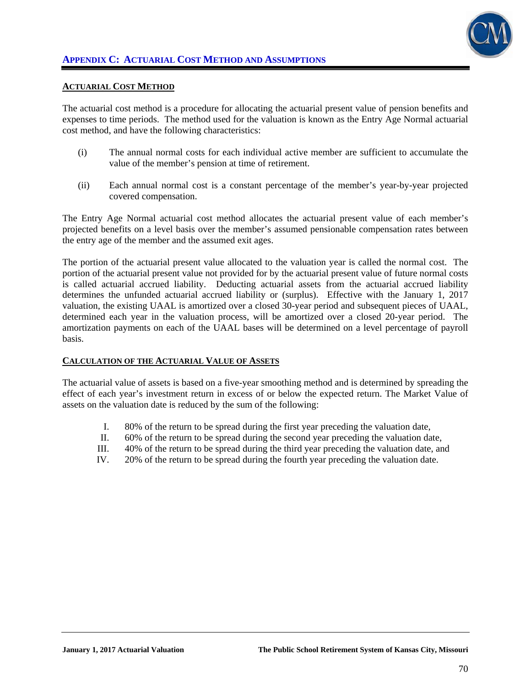

#### **ACTUARIAL COST METHOD**

The actuarial cost method is a procedure for allocating the actuarial present value of pension benefits and expenses to time periods. The method used for the valuation is known as the Entry Age Normal actuarial cost method, and have the following characteristics:

- (i) The annual normal costs for each individual active member are sufficient to accumulate the value of the member's pension at time of retirement.
- (ii) Each annual normal cost is a constant percentage of the member's year-by-year projected covered compensation.

The Entry Age Normal actuarial cost method allocates the actuarial present value of each member's projected benefits on a level basis over the member's assumed pensionable compensation rates between the entry age of the member and the assumed exit ages.

The portion of the actuarial present value allocated to the valuation year is called the normal cost. The portion of the actuarial present value not provided for by the actuarial present value of future normal costs is called actuarial accrued liability. Deducting actuarial assets from the actuarial accrued liability determines the unfunded actuarial accrued liability or (surplus). Effective with the January 1, 2017 valuation, the existing UAAL is amortized over a closed 30-year period and subsequent pieces of UAAL, determined each year in the valuation process, will be amortized over a closed 20-year period. The amortization payments on each of the UAAL bases will be determined on a level percentage of payroll basis.

#### **CALCULATION OF THE ACTUARIAL VALUE OF ASSETS**

The actuarial value of assets is based on a five-year smoothing method and is determined by spreading the effect of each year's investment return in excess of or below the expected return. The Market Value of assets on the valuation date is reduced by the sum of the following:

- I. 80% of the return to be spread during the first year preceding the valuation date,
- II. 60% of the return to be spread during the second year preceding the valuation date,
- III. 40% of the return to be spread during the third year preceding the valuation date, and
- IV. 20% of the return to be spread during the fourth year preceding the valuation date.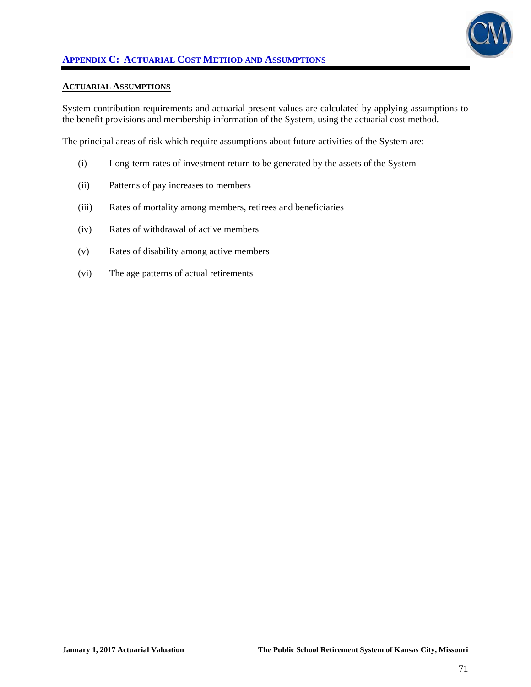

#### **ACTUARIAL ASSUMPTIONS**

System contribution requirements and actuarial present values are calculated by applying assumptions to the benefit provisions and membership information of the System, using the actuarial cost method.

The principal areas of risk which require assumptions about future activities of the System are:

- (i) Long-term rates of investment return to be generated by the assets of the System
- (ii) Patterns of pay increases to members
- (iii) Rates of mortality among members, retirees and beneficiaries
- (iv) Rates of withdrawal of active members
- (v) Rates of disability among active members
- (vi) The age patterns of actual retirements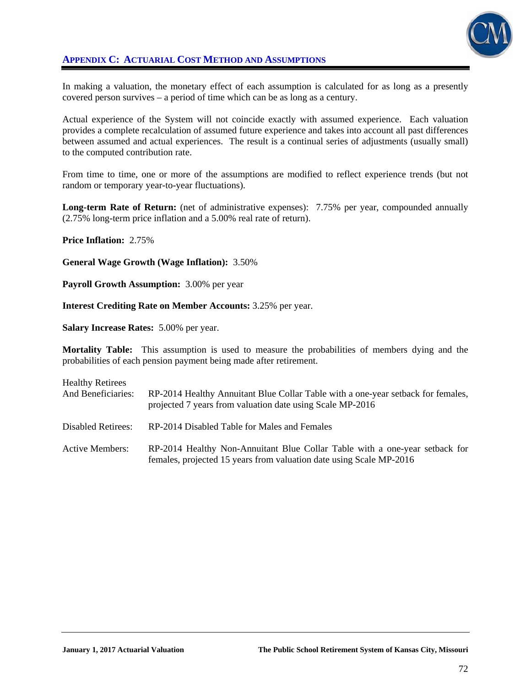

## **APPENDIX C: ACTUARIAL COST METHOD AND ASSUMPTIONS**

In making a valuation, the monetary effect of each assumption is calculated for as long as a presently covered person survives – a period of time which can be as long as a century.

Actual experience of the System will not coincide exactly with assumed experience. Each valuation provides a complete recalculation of assumed future experience and takes into account all past differences between assumed and actual experiences. The result is a continual series of adjustments (usually small) to the computed contribution rate.

From time to time, one or more of the assumptions are modified to reflect experience trends (but not random or temporary year-to-year fluctuations).

**Long-term Rate of Return:** (net of administrative expenses): 7.75% per year, compounded annually (2.75% long-term price inflation and a 5.00% real rate of return).

**Price Inflation:** 2.75%

**General Wage Growth (Wage Inflation):** 3.50%

**Payroll Growth Assumption:** 3.00% per year

**Interest Crediting Rate on Member Accounts:** 3.25% per year.

**Salary Increase Rates:** 5.00% per year.

**Mortality Table:** This assumption is used to measure the probabilities of members dying and the probabilities of each pension payment being made after retirement.

| <b>Healthy Retirees</b><br>And Beneficiaries: | RP-2014 Healthy Annuitant Blue Collar Table with a one-year setback for females,<br>projected 7 years from valuation date using Scale MP-2016      |
|-----------------------------------------------|----------------------------------------------------------------------------------------------------------------------------------------------------|
| Disabled Retirees:                            | RP-2014 Disabled Table for Males and Females                                                                                                       |
| <b>Active Members:</b>                        | RP-2014 Healthy Non-Annuitant Blue Collar Table with a one-year setback for<br>females, projected 15 years from valuation date using Scale MP-2016 |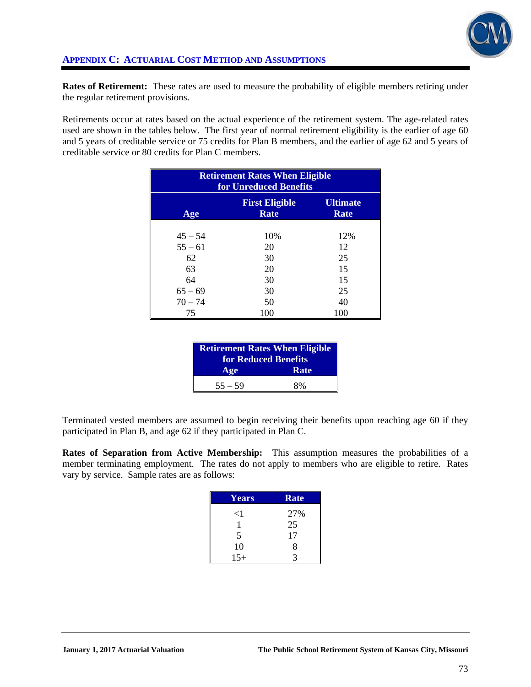

**Rates of Retirement:** These rates are used to measure the probability of eligible members retiring under the regular retirement provisions.

Retirements occur at rates based on the actual experience of the retirement system. The age-related rates used are shown in the tables below. The first year of normal retirement eligibility is the earlier of age 60 and 5 years of creditable service or 75 credits for Plan B members, and the earlier of age 62 and 5 years of creditable service or 80 credits for Plan C members.

| <b>Retirement Rates When Eligible</b><br>for Unreduced Benefits |                                      |                         |  |  |
|-----------------------------------------------------------------|--------------------------------------|-------------------------|--|--|
| Age                                                             | <b>First Eligible</b><br><b>Rate</b> | <b>Ultimate</b><br>Rate |  |  |
| $45 - 54$                                                       | 10%                                  | 12%                     |  |  |
| $55 - 61$                                                       | 20                                   | 12                      |  |  |
| 62                                                              | 30                                   | 25                      |  |  |
| 63                                                              | 20                                   | 15                      |  |  |
| 64                                                              | 30                                   | 15                      |  |  |
| $65 - 69$                                                       | 30                                   | 25                      |  |  |
| $70 - 74$                                                       | 50                                   | 40                      |  |  |
| 75                                                              | 100                                  | 100                     |  |  |

| <b>Retirement Rates When Eligible</b><br>for Reduced Benefits |      |  |
|---------------------------------------------------------------|------|--|
| Age                                                           | Rate |  |
| $55 - 59$                                                     | 8%   |  |

Terminated vested members are assumed to begin receiving their benefits upon reaching age 60 if they participated in Plan B, and age 62 if they participated in Plan C.

**Rates of Separation from Active Membership:** This assumption measures the probabilities of a member terminating employment. The rates do not apply to members who are eligible to retire. Rates vary by service. Sample rates are as follows:

| Years    | <b>Rate</b> |
|----------|-------------|
| $\leq$ 1 | 27%         |
|          | 25          |
| 5        | 17          |
| 10       | 8           |
| $15+$    | 2           |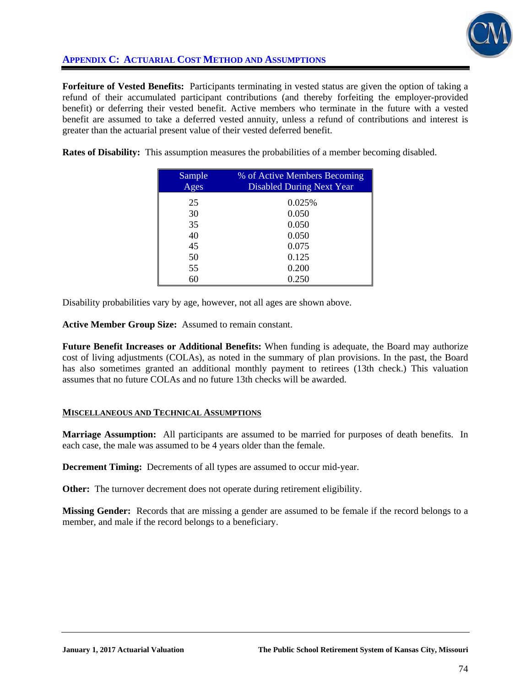

# **APPENDIX C: ACTUARIAL COST METHOD AND ASSUMPTIONS**

**Forfeiture of Vested Benefits:** Participants terminating in vested status are given the option of taking a refund of their accumulated participant contributions (and thereby forfeiting the employer-provided benefit) or deferring their vested benefit. Active members who terminate in the future with a vested benefit are assumed to take a deferred vested annuity, unless a refund of contributions and interest is greater than the actuarial present value of their vested deferred benefit.

**Rates of Disability:** This assumption measures the probabilities of a member becoming disabled.

| Sample<br>Ages | % of Active Members Becoming<br><b>Disabled During Next Year</b> |
|----------------|------------------------------------------------------------------|
| 25             | 0.025%                                                           |
| 30             | 0.050                                                            |
| 35             | 0.050                                                            |
| 40             | 0.050                                                            |
| 45             | 0.075                                                            |
| 50             | 0.125                                                            |
| 55             | 0.200                                                            |
| 60             | 0.250                                                            |

Disability probabilities vary by age, however, not all ages are shown above.

**Active Member Group Size:** Assumed to remain constant.

**Future Benefit Increases or Additional Benefits:** When funding is adequate, the Board may authorize cost of living adjustments (COLAs), as noted in the summary of plan provisions. In the past, the Board has also sometimes granted an additional monthly payment to retirees (13th check.) This valuation assumes that no future COLAs and no future 13th checks will be awarded.

## **MISCELLANEOUS AND TECHNICAL ASSUMPTIONS**

**Marriage Assumption:** All participants are assumed to be married for purposes of death benefits. In each case, the male was assumed to be 4 years older than the female.

**Decrement Timing:** Decrements of all types are assumed to occur mid-year.

**Other:** The turnover decrement does not operate during retirement eligibility.

**Missing Gender:** Records that are missing a gender are assumed to be female if the record belongs to a member, and male if the record belongs to a beneficiary.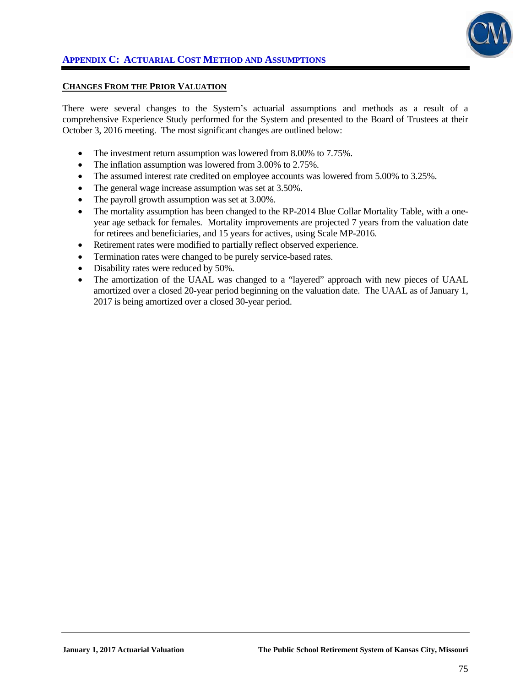

#### **CHANGES FROM THE PRIOR VALUATION**

There were several changes to the System's actuarial assumptions and methods as a result of a comprehensive Experience Study performed for the System and presented to the Board of Trustees at their October 3, 2016 meeting. The most significant changes are outlined below:

- The investment return assumption was lowered from 8.00% to 7.75%.
- The inflation assumption was lowered from 3.00% to 2.75%.
- The assumed interest rate credited on employee accounts was lowered from 5.00% to 3.25%.
- The general wage increase assumption was set at 3.50%.
- The payroll growth assumption was set at 3.00%.
- The mortality assumption has been changed to the RP-2014 Blue Collar Mortality Table, with a oneyear age setback for females. Mortality improvements are projected 7 years from the valuation date for retirees and beneficiaries, and 15 years for actives, using Scale MP-2016.
- Retirement rates were modified to partially reflect observed experience.
- Termination rates were changed to be purely service-based rates.
- Disability rates were reduced by 50%.
- The amortization of the UAAL was changed to a "layered" approach with new pieces of UAAL amortized over a closed 20-year period beginning on the valuation date. The UAAL as of January 1, 2017 is being amortized over a closed 30-year period.